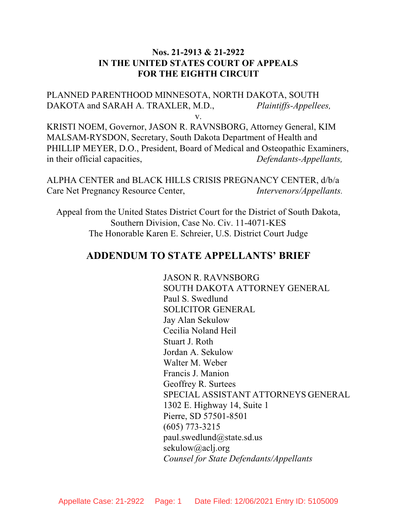## **Nos. 21-2913 & 21-2922 IN THE UNITED STATES COURT OF APPEALS FOR THE EIGHTH CIRCUIT**

PLANNED PARENTHOOD MINNESOTA, NORTH DAKOTA, SOUTH DAKOTA and SARAH A. TRAXLER, M.D., *Plaintiffs-Appellees,*

v.

KRISTI NOEM, Governor, JASON R. RAVNSBORG, Attorney General, KIM MALSAM-RYSDON, Secretary, South Dakota Department of Health and PHILLIP MEYER, D.O., President, Board of Medical and Osteopathic Examiners, in their official capacities, *Defendants-Appellants,*

ALPHA CENTER and BLACK HILLS CRISIS PREGNANCY CENTER, d/b/a Care Net Pregnancy Resource Center, *Intervenors/Appellants.*

Appeal from the United States District Court for the District of South Dakota, Southern Division, Case No. Civ. 11-4071-KES The Honorable Karen E. Schreier, U.S. District Court Judge

# **ADDENDUM TO STATE APPELLANTS' BRIEF**

JASON R. RAVNSBORG SOUTH DAKOTA ATTORNEY GENERAL Paul S. Swedlund SOLICITOR GENERAL Jay Alan Sekulow Cecilia Noland Heil Stuart J. Roth Jordan A. Sekulow Walter M. Weber Francis J. Manion Geoffrey R. Surtees SPECIAL ASSISTANT ATTORNEYS GENERAL 1302 E. Highway 14, Suite 1 Pierre, SD 57501-8501 (605) 773-3215 paul.swedlund@state.sd.us sekulow@aclj.org *Counsel for State Defendants/Appellants*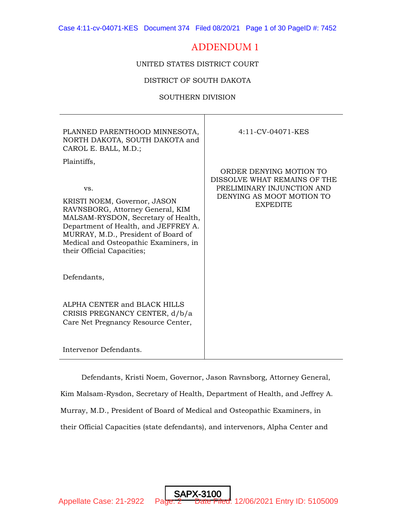## ADDENDUM 1

UNITED STATES DISTRICT COURT

DISTRICT OF SOUTH DAKOTA

## SOUTHERN DIVISION

| PLANNED PARENTHOOD MINNESOTA,<br>NORTH DAKOTA, SOUTH DAKOTA and<br>CAROL E. BALL, M.D.;                                                                                                                                                                                             | 4:11-CV-04071-KES                                                                                                                     |
|-------------------------------------------------------------------------------------------------------------------------------------------------------------------------------------------------------------------------------------------------------------------------------------|---------------------------------------------------------------------------------------------------------------------------------------|
| Plaintiffs,<br>VS.<br>KRISTI NOEM, Governor, JASON<br>RAVNSBORG, Attorney General, KIM<br>MALSAM-RYSDON, Secretary of Health,<br>Department of Health, and JEFFREY A.<br>MURRAY, M.D., President of Board of<br>Medical and Osteopathic Examiners, in<br>their Official Capacities; | ORDER DENYING MOTION TO<br>DISSOLVE WHAT REMAINS OF THE<br>PRELIMINARY INJUNCTION AND<br>DENYING AS MOOT MOTION TO<br><b>EXPEDITE</b> |
| Defendants,                                                                                                                                                                                                                                                                         |                                                                                                                                       |
| ALPHA CENTER and BLACK HILLS<br>CRISIS PREGNANCY CENTER, d/b/a<br>Care Net Pregnancy Resource Center,                                                                                                                                                                               |                                                                                                                                       |
| Intervenor Defendants.                                                                                                                                                                                                                                                              |                                                                                                                                       |

Defendants, Kristi Noem, Governor, Jason Ravnsborg, Attorney General,

Kim Malsam-Rysdon, Secretary of Health, Department of Health, and Jeffrey A.

Murray, M.D., President of Board of Medical and Osteopathic Examiners, in

SAP)

their Official Capacities (state defendants), and intervenors, Alpha Center and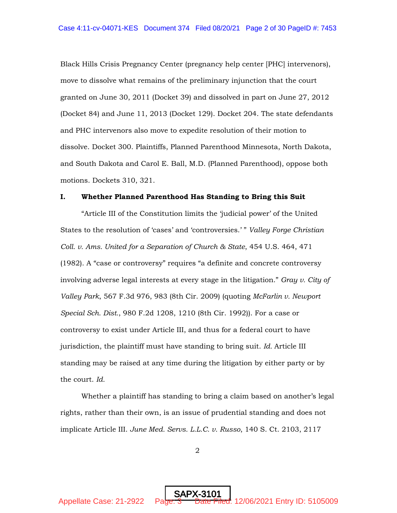Black Hills Crisis Pregnancy Center (pregnancy help center [PHC] intervenors), move to dissolve what remains of the preliminary injunction that the court granted on June 30, 2011 (Docket 39) and dissolved in part on June 27, 2012 (Docket 84) and June 11, 2013 (Docket 129). Docket 204. The state defendants and PHC intervenors also move to expedite resolution of their motion to dissolve. Docket 300. Plaintiffs, Planned Parenthood Minnesota, North Dakota, and South Dakota and Carol E. Ball, M.D. (Planned Parenthood), oppose both motions. Dockets 310, 321.

## **I. Whether Planned Parenthood Has Standing to Bring this Suit**

"Article III of the Constitution limits the 'judicial power' of the United States to the resolution of 'cases' and 'controversies.' " *Valley Forge Christian Coll. v. Ams. United for a Separation of Church & State*, 454 U.S. 464, 471 (1982). A "case or controversy" requires "a definite and concrete controversy involving adverse legal interests at every stage in the litigation." *Gray v. City of Valley Park*, 567 F.3d 976, 983 (8th Cir. 2009) (quoting *McFarlin v. Newport Special Sch. Dist.*, 980 F.2d 1208, 1210 (8th Cir. 1992)). For a case or controversy to exist under Article III, and thus for a federal court to have jurisdiction, the plaintiff must have standing to bring suit. *Id.* Article III standing may be raised at any time during the litigation by either party or by the court. *Id.*

Whether a plaintiff has standing to bring a claim based on another's legal rights, rather than their own, is an issue of prudential standing and does not implicate Article III. *June Med. Servs. L.L.C. v. Russo*, 140 S. Ct. 2103, 2117

2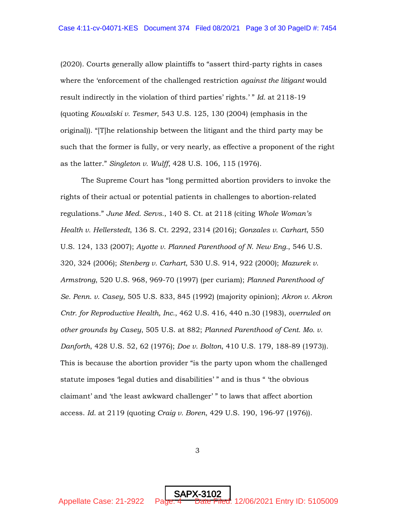(2020). Courts generally allow plaintiffs to "assert third-party rights in cases where the 'enforcement of the challenged restriction *against the litigant* would result indirectly in the violation of third parties' rights.' " *Id.* at 2118-19 (quoting *Kowalski v. Tesmer*, 543 U.S. 125, 130 (2004) (emphasis in the original)). "[T]he relationship between the litigant and the third party may be such that the former is fully, or very nearly, as effective a proponent of the right as the latter." *Singleton v. Wulff*, 428 U.S. 106, 115 (1976).

The Supreme Court has "long permitted abortion providers to invoke the rights of their actual or potential patients in challenges to abortion-related regulations." *June Med. Servs.*, 140 S. Ct. at 2118 (citing *Whole Woman's Health v. Hellerstedt*, 136 S. Ct. 2292, 2314 (2016); *Gonzales v. Carhart*, 550 U.S. 124, 133 (2007); *Ayotte v. Planned Parenthood of N. New Eng.*, 546 U.S. 320, 324 (2006); *Stenberg v. Carhart*, 530 U.S. 914, 922 (2000); *Mazurek v. Armstrong*, 520 U.S. 968, 969-70 (1997) (per curiam); *Planned Parenthood of Se. Penn. v. Casey*, 505 U.S. 833, 845 (1992) (majority opinion); *Akron v. Akron Cntr. for Reproductive Health, Inc.*, 462 U.S. 416, 440 n.30 (1983), *overruled on other grounds by Casey*, 505 U.S. at 882; *Planned Parenthood of Cent. Mo. v. Danforth*, 428 U.S. 52, 62 (1976); *Doe v. Bolton*, 410 U.S. 179, 188-89 (1973)). This is because the abortion provider "is the party upon whom the challenged statute imposes 'legal duties and disabilities' " and is thus " 'the obvious claimant' and 'the least awkward challenger' " to laws that affect abortion access. *Id.* at 2119 (quoting *Craig v. Boren*, 429 U.S. 190, 196-97 (1976)).

3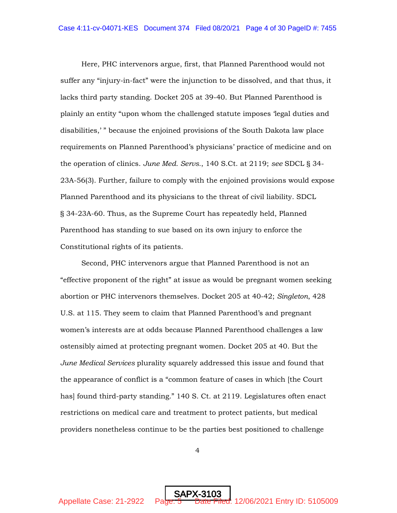Here, PHC intervenors argue, first, that Planned Parenthood would not suffer any "injury-in-fact" were the injunction to be dissolved, and that thus, it lacks third party standing. Docket 205 at 39-40. But Planned Parenthood is plainly an entity "upon whom the challenged statute imposes 'legal duties and disabilities,' " because the enjoined provisions of the South Dakota law place requirements on Planned Parenthood's physicians' practice of medicine and on the operation of clinics. *June Med. Servs.*, 140 S.Ct. at 2119; *see* SDCL § 34- 23A-56(3). Further, failure to comply with the enjoined provisions would expose Planned Parenthood and its physicians to the threat of civil liability. SDCL § 34-23A-60. Thus, as the Supreme Court has repeatedly held, Planned Parenthood has standing to sue based on its own injury to enforce the Constitutional rights of its patients.

Second, PHC intervenors argue that Planned Parenthood is not an "effective proponent of the right" at issue as would be pregnant women seeking abortion or PHC intervenors themselves. Docket 205 at 40-42; *Singleton*, 428 U.S. at 115. They seem to claim that Planned Parenthood's and pregnant women's interests are at odds because Planned Parenthood challenges a law ostensibly aimed at protecting pregnant women. Docket 205 at 40. But the *June Medical Services* plurality squarely addressed this issue and found that the appearance of conflict is a "common feature of cases in which [the Court has] found third-party standing." 140 S. Ct. at 2119. Legislatures often enact restrictions on medical care and treatment to protect patients, but medical providers nonetheless continue to be the parties best positioned to challenge

4

SAPX-3103

Appellate Case: 21-2922 Page: 5 Date Filed: 12/06/2021 Entry ID: 5105009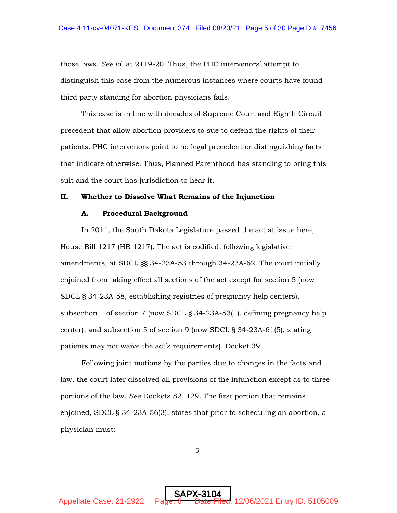those laws. *See id.* at 2119-20. Thus, the PHC intervenors' attempt to distinguish this case from the numerous instances where courts have found third party standing for abortion physicians fails.

This case is in line with decades of Supreme Court and Eighth Circuit precedent that allow abortion providers to sue to defend the rights of their patients. PHC intervenors point to no legal precedent or distinguishing facts that indicate otherwise. Thus, Planned Parenthood has standing to bring this suit and the court has jurisdiction to hear it.

#### **II. Whether to Dissolve What Remains of the Injunction**

#### **A. Procedural Background**

In 2011, the South Dakota Legislature passed the act at issue here, House Bill 1217 (HB 1217). The act is codified, following legislative amendments, at SDCL §§ 34-23A-53 through 34-23A-62. The court initially enjoined from taking effect all sections of the act except for section 5 (now SDCL § 34-23A-58, establishing registries of pregnancy help centers), subsection 1 of section 7 (now SDCL § 34-23A-53(1), defining pregnancy help center), and subsection 5 of section 9 (now SDCL § 34-23A-61(5), stating patients may not waive the act's requirements). Docket 39.

Following joint motions by the parties due to changes in the facts and law, the court later dissolved all provisions of the injunction except as to three portions of the law. *See* Dockets 82, 129. The first portion that remains enjoined, SDCL § 34-23A-56(3), states that prior to scheduling an abortion, a physician must:

5

SAPX-3104

Appellate Case: 21-2922 Page: 6 Date Filed: 12/06/2021 Entry ID: 5105009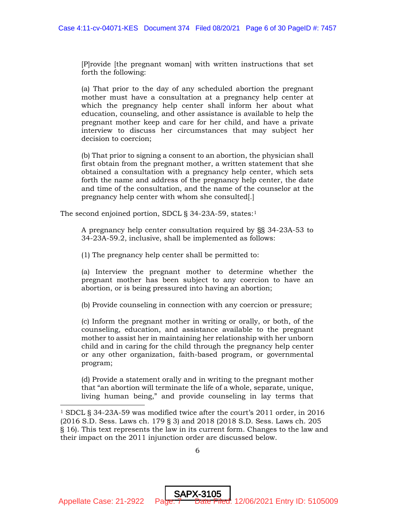[P]rovide [the pregnant woman] with written instructions that set forth the following:

(a) That prior to the day of any scheduled abortion the pregnant mother must have a consultation at a pregnancy help center at which the pregnancy help center shall inform her about what education, counseling, and other assistance is available to help the pregnant mother keep and care for her child, and have a private interview to discuss her circumstances that may subject her decision to coercion;

(b) That prior to signing a consent to an abortion, the physician shall first obtain from the pregnant mother, a written statement that she obtained a consultation with a pregnancy help center, which sets forth the name and address of the pregnancy help center, the date and time of the consultation, and the name of the counselor at the pregnancy help center with whom she consulted[.]

The second enjoined portion, SDCL § 34-23A-59, states:<sup>1</sup>

A pregnancy help center consultation required by §§ 34-23A-53 to 34-23A-59.2, inclusive, shall be implemented as follows:

(1) The pregnancy help center shall be permitted to:

(a) Interview the pregnant mother to determine whether the pregnant mother has been subject to any coercion to have an abortion, or is being pressured into having an abortion;

(b) Provide counseling in connection with any coercion or pressure;

(c) Inform the pregnant mother in writing or orally, or both, of the counseling, education, and assistance available to the pregnant mother to assist her in maintaining her relationship with her unborn child and in caring for the child through the pregnancy help center or any other organization, faith-based program, or governmental program;

(d) Provide a statement orally and in writing to the pregnant mother that "an abortion will terminate the life of a whole, separate, unique, living human being," and provide counseling in lay terms that

<sup>1</sup> SDCL § 34-23A-59 was modified twice after the court's 2011 order, in 2016 (2016 S.D. Sess. Laws ch. 179 § 3) and 2018 (2018 S.D. Sess. Laws ch. 205 § 16). This text represents the law in its current form. Changes to the law and their impact on the 2011 injunction order are discussed below.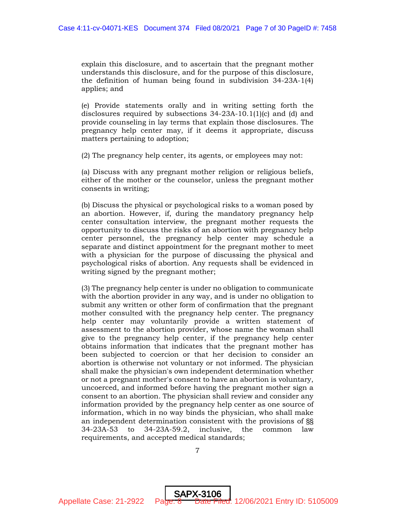explain this disclosure, and to ascertain that the pregnant mother understands this disclosure, and for the purpose of this disclosure, the definition of human being found in subdivision 34-23A-1(4) applies; and

(e) Provide statements orally and in writing setting forth the disclosures required by subsections 34-23A-10.1(1)(c) and (d) and provide counseling in lay terms that explain those disclosures. The pregnancy help center may, if it deems it appropriate, discuss matters pertaining to adoption;

(2) The pregnancy help center, its agents, or employees may not:

(a) Discuss with any pregnant mother religion or religious beliefs, either of the mother or the counselor, unless the pregnant mother consents in writing;

(b) Discuss the physical or psychological risks to a woman posed by an abortion. However, if, during the mandatory pregnancy help center consultation interview, the pregnant mother requests the opportunity to discuss the risks of an abortion with pregnancy help center personnel, the pregnancy help center may schedule a separate and distinct appointment for the pregnant mother to meet with a physician for the purpose of discussing the physical and psychological risks of abortion. Any requests shall be evidenced in writing signed by the pregnant mother;

(3) The pregnancy help center is under no obligation to communicate with the abortion provider in any way, and is under no obligation to submit any written or other form of confirmation that the pregnant mother consulted with the pregnancy help center. The pregnancy help center may voluntarily provide a written statement of assessment to the abortion provider, whose name the woman shall give to the pregnancy help center, if the pregnancy help center obtains information that indicates that the pregnant mother has been subjected to coercion or that her decision to consider an abortion is otherwise not voluntary or not informed. The physician shall make the physician's own independent determination whether or not a pregnant mother's consent to have an abortion is voluntary, uncoerced, and informed before having the pregnant mother sign a consent to an abortion. The physician shall review and consider any information provided by the pregnancy help center as one source of information, which in no way binds the physician, who shall make an independent determination consistent with the provisions of §§ 34-23A-53 to 34-23A-59.2, inclusive, the common law requirements, and accepted medical standards;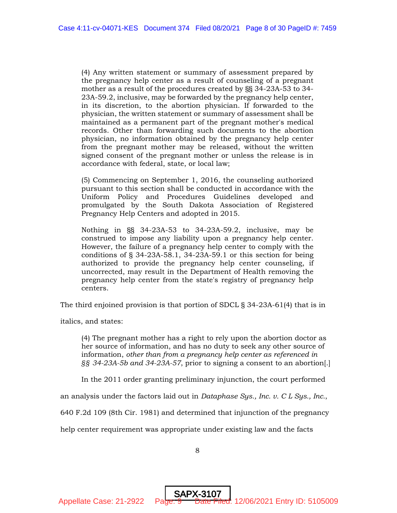(4) Any written statement or summary of assessment prepared by the pregnancy help center as a result of counseling of a pregnant mother as a result of the procedures created by §§ 34-23A-53 to 34- 23A-59.2, inclusive, may be forwarded by the pregnancy help center, in its discretion, to the abortion physician. If forwarded to the physician, the written statement or summary of assessment shall be maintained as a permanent part of the pregnant mother's medical records. Other than forwarding such documents to the abortion physician, no information obtained by the pregnancy help center from the pregnant mother may be released, without the written signed consent of the pregnant mother or unless the release is in accordance with federal, state, or local law;

(5) Commencing on September 1, 2016, the counseling authorized pursuant to this section shall be conducted in accordance with the Uniform Policy and Procedures Guidelines developed and promulgated by the South Dakota Association of Registered Pregnancy Help Centers and adopted in 2015.

Nothing in §§ 34-23A-53 to 34-23A-59.2, inclusive, may be construed to impose any liability upon a pregnancy help center. However, the failure of a pregnancy help center to comply with the conditions of § 34-23A-58.1, 34-23A-59.1 or this section for being authorized to provide the pregnancy help center counseling, if uncorrected, may result in the Department of Health removing the pregnancy help center from the state's registry of pregnancy help centers.

The third enjoined provision is that portion of SDCL § 34-23A-61(4) that is in

italics, and states:

(4) The pregnant mother has a right to rely upon the abortion doctor as her source of information, and has no duty to seek any other source of information, *other than from a pregnancy help center as referenced in §§ 34-23A-5b and 34-23A-57*, prior to signing a consent to an abortion[.]

In the 2011 order granting preliminary injunction, the court performed

an analysis under the factors laid out in *Dataphase Sys., Inc. v. C L Sys., Inc.*,

640 F.2d 109 (8th Cir. 1981) and determined that injunction of the pregnancy

help center requirement was appropriate under existing law and the facts

8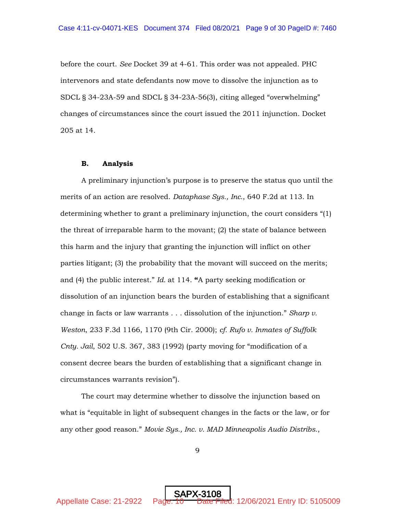before the court. *See* Docket 39 at 4-61. This order was not appealed. PHC intervenors and state defendants now move to dissolve the injunction as to SDCL § 34-23A-59 and SDCL § 34-23A-56(3), citing alleged "overwhelming" changes of circumstances since the court issued the 2011 injunction. Docket 205 at 14.

#### **B. Analysis**

A preliminary injunction's purpose is to preserve the status quo until the merits of an action are resolved. *Dataphase Sys., Inc.*, 640 F.2d at 113. In determining whether to grant a preliminary injunction, the court considers "(1) the threat of irreparable harm to the movant; (2) the state of balance between this harm and the injury that granting the injunction will inflict on other parties litigant; (3) the probability that the movant will succeed on the merits; and (4) the public interest." *Id.* at 114. **"**A party seeking modification or dissolution of an injunction bears the burden of establishing that a significant change in facts or law warrants . . . dissolution of the injunction." *Sharp v. Weston*, 233 F.3d 1166, 1170 (9th Cir. 2000); *cf. Rufo v. Inmates of Suffolk Cnty. Jail*, 502 U.S. 367, 383 (1992) (party moving for "modification of a consent decree bears the burden of establishing that a significant change in circumstances warrants revision").

The court may determine whether to dissolve the injunction based on what is "equitable in light of subsequent changes in the facts or the law, or for any other good reason." *Movie Sys., Inc. v. MAD Minneapolis Audio Distribs.*,

9

SAPX-310<u>8</u>

Appellate Case: 21-2922 Page: 10 Date Filed: 12/06/2021 Entry ID: 5105009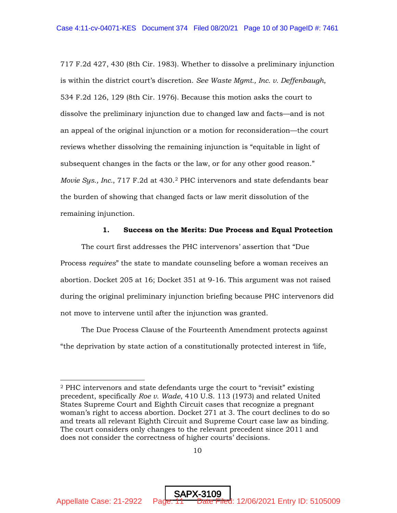717 F.2d 427, 430 (8th Cir. 1983). Whether to dissolve a preliminary injunction is within the district court's discretion. *See Waste Mgmt., Inc. v. Deffenbaugh*, 534 F.2d 126, 129 (8th Cir. 1976). Because this motion asks the court to dissolve the preliminary injunction due to changed law and facts—and is not an appeal of the original injunction or a motion for reconsideration—the court reviews whether dissolving the remaining injunction is "equitable in light of subsequent changes in the facts or the law, or for any other good reason." *Movie Sys., Inc.*, 717 F.2d at 430.2 PHC intervenors and state defendants bear the burden of showing that changed facts or law merit dissolution of the remaining injunction.

#### **1. Success on the Merits: Due Process and Equal Protection**

The court first addresses the PHC intervenors' assertion that "Due Process *requires*" the state to mandate counseling before a woman receives an abortion. Docket 205 at 16; Docket 351 at 9-16. This argument was not raised during the original preliminary injunction briefing because PHC intervenors did not move to intervene until after the injunction was granted.

The Due Process Clause of the Fourteenth Amendment protects against "the deprivation by state action of a constitutionally protected interest in 'life,

<sup>2</sup> PHC intervenors and state defendants urge the court to "revisit" existing precedent, specifically *Roe v. Wade*, 410 U.S. 113 (1973) and related United States Supreme Court and Eighth Circuit cases that recognize a pregnant woman's right to access abortion. Docket 271 at 3. The court declines to do so and treats all relevant Eighth Circuit and Supreme Court case law as binding. The court considers only changes to the relevant precedent since 2011 and does not consider the correctness of higher courts' decisions.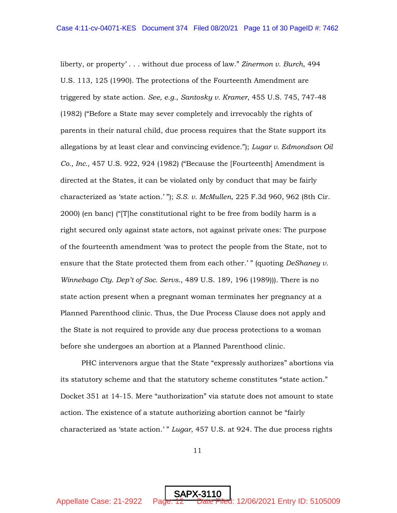liberty, or property' . . . without due process of law." *Zinermon v. Burch*, 494 U.S. 113, 125 (1990). The protections of the Fourteenth Amendment are triggered by state action. *See, e.g.*, *Santosky v. Kramer*, 455 U.S. 745, 747-48 (1982) ("Before a State may sever completely and irrevocably the rights of parents in their natural child, due process requires that the State support its allegations by at least clear and convincing evidence."); *Lugar v. Edmondson Oil Co., Inc.*, 457 U.S. 922, 924 (1982) ("Because the [Fourteenth] Amendment is directed at the States, it can be violated only by conduct that may be fairly characterized as 'state action.' "); *S.S. v. McMullen*, 225 F.3d 960, 962 (8th Cir. 2000) (en banc) ("[T]he constitutional right to be free from bodily harm is a right secured only against state actors, not against private ones: The purpose of the fourteenth amendment 'was to protect the people from the State, not to ensure that the State protected them from each other.'" (quoting *DeShaney v. Winnebago Cty. Dep't of Soc. Servs.*, 489 U.S. 189, 196 (1989))). There is no state action present when a pregnant woman terminates her pregnancy at a Planned Parenthood clinic. Thus, the Due Process Clause does not apply and the State is not required to provide any due process protections to a woman before she undergoes an abortion at a Planned Parenthood clinic.

PHC intervenors argue that the State "expressly authorizes" abortions via its statutory scheme and that the statutory scheme constitutes "state action." Docket 351 at 14-15. Mere "authorization" via statute does not amount to state action. The existence of a statute authorizing abortion cannot be "fairly characterized as 'state action.' " *Lugar*, 457 U.S. at 924. The due process rights

11

SAPX-311<u>0</u>

Appellate Case: 21-2922 Page: 12 Date Filed: 12/06/2021 Entry ID: 5105009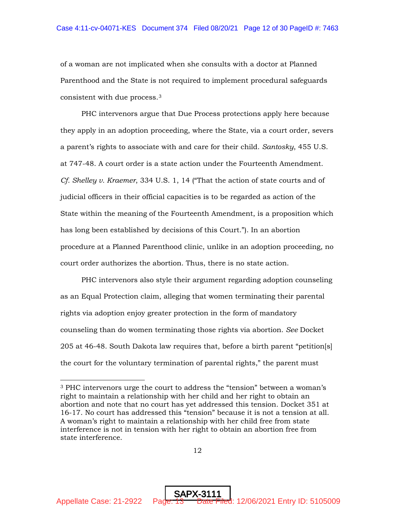of a woman are not implicated when she consults with a doctor at Planned Parenthood and the State is not required to implement procedural safeguards consistent with due process.3

PHC intervenors argue that Due Process protections apply here because they apply in an adoption proceeding, where the State, via a court order, severs a parent's rights to associate with and care for their child. *Santosky*, 455 U.S. at 747-48. A court order is a state action under the Fourteenth Amendment. *Cf. Shelley v. Kraemer*, 334 U.S. 1, 14 ("That the action of state courts and of judicial officers in their official capacities is to be regarded as action of the State within the meaning of the Fourteenth Amendment, is a proposition which has long been established by decisions of this Court."). In an abortion procedure at a Planned Parenthood clinic, unlike in an adoption proceeding, no court order authorizes the abortion. Thus, there is no state action.

PHC intervenors also style their argument regarding adoption counseling as an Equal Protection claim, alleging that women terminating their parental rights via adoption enjoy greater protection in the form of mandatory counseling than do women terminating those rights via abortion. *See* Docket 205 at 46-48. South Dakota law requires that, before a birth parent "petition[s] the court for the voluntary termination of parental rights," the parent must

<sup>3</sup> PHC intervenors urge the court to address the "tension" between a woman's right to maintain a relationship with her child and her right to obtain an abortion and note that no court has yet addressed this tension. Docket 351 at 16-17. No court has addressed this "tension" because it is not a tension at all. A woman's right to maintain a relationship with her child free from state interference is not in tension with her right to obtain an abortion free from state interference.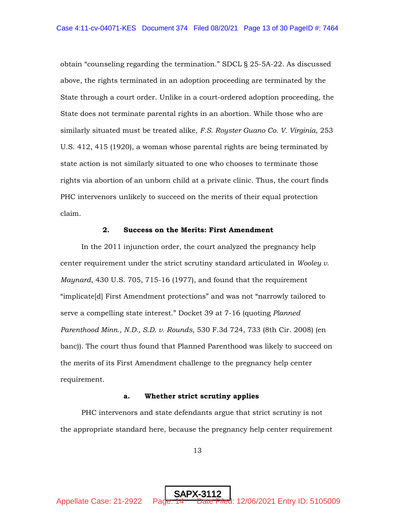obtain "counseling regarding the termination." SDCL § 25-5A-22. As discussed above, the rights terminated in an adoption proceeding are terminated by the State through a court order. Unlike in a court-ordered adoption proceeding, the State does not terminate parental rights in an abortion. While those who are similarly situated must be treated alike, *F.S. Royster Guano Co. V. Virginia*, 253 U.S. 412, 415 (1920), a woman whose parental rights are being terminated by state action is not similarly situated to one who chooses to terminate those rights via abortion of an unborn child at a private clinic. Thus, the court finds PHC intervenors unlikely to succeed on the merits of their equal protection claim.

### **2. Success on the Merits: First Amendment**

In the 2011 injunction order, the court analyzed the pregnancy help center requirement under the strict scrutiny standard articulated in *Wooley v. Maynard*, 430 U.S. 705, 715-16 (1977), and found that the requirement "implicate[d] First Amendment protections" and was not "narrowly tailored to serve a compelling state interest." Docket 39 at 7-16 (quoting *Planned Parenthood Minn., N.D., S.D. v. Rounds*, 530 F.3d 724, 733 (8th Cir. 2008) (en banc)). The court thus found that Planned Parenthood was likely to succeed on the merits of its First Amendment challenge to the pregnancy help center requirement.

#### **a. Whether strict scrutiny applies**

PHC intervenors and state defendants argue that strict scrutiny is not the appropriate standard here, because the pregnancy help center requirement

13

SAPX-311<u>2</u>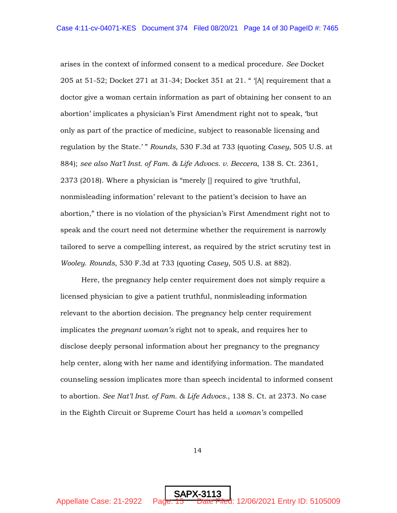arises in the context of informed consent to a medical procedure. *See* Docket 205 at 51-52; Docket 271 at 31-34; Docket 351 at 21. " '[A] requirement that a doctor give a woman certain information as part of obtaining her consent to an abortion' implicates a physician's First Amendment right not to speak, 'but only as part of the practice of medicine, subject to reasonable licensing and regulation by the State.' " *Rounds*, 530 F.3d at 733 (quoting *Casey*, 505 U.S. at 884); *see also Nat'l Inst. of Fam. & Life Advocs. v. Beccera*, 138 S. Ct. 2361, 2373 (2018). Where a physician is "merely [] required to give 'truthful, nonmisleading information' relevant to the patient's decision to have an abortion," there is no violation of the physician's First Amendment right not to speak and the court need not determine whether the requirement is narrowly tailored to serve a compelling interest, as required by the strict scrutiny test in *Wooley*. *Rounds*, 530 F.3d at 733 (quoting *Casey*, 505 U.S. at 882).

Here, the pregnancy help center requirement does not simply require a licensed physician to give a patient truthful, nonmisleading information relevant to the abortion decision. The pregnancy help center requirement implicates the *pregnant woman's* right not to speak, and requires her to disclose deeply personal information about her pregnancy to the pregnancy help center, along with her name and identifying information. The mandated counseling session implicates more than speech incidental to informed consent to abortion. *See Nat'l Inst. of Fam. & Life Advocs.*, 138 S. Ct. at 2373. No case in the Eighth Circuit or Supreme Court has held a *woman's* compelled

14

SAPX-311<u>3</u>

Appellate Case: 21-2922 Page: 15 Date Filed: 12/06/2021 Entry ID: 5105009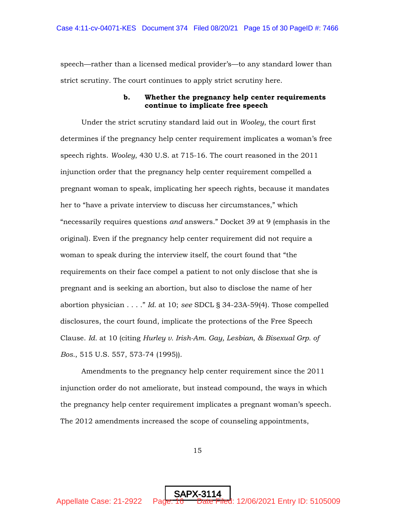speech—rather than a licensed medical provider's—to any standard lower than strict scrutiny. The court continues to apply strict scrutiny here.

## **b. Whether the pregnancy help center requirements continue to implicate free speech**

Under the strict scrutiny standard laid out in *Wooley*, the court first determines if the pregnancy help center requirement implicates a woman's free speech rights. *Wooley*, 430 U.S. at 715-16. The court reasoned in the 2011 injunction order that the pregnancy help center requirement compelled a pregnant woman to speak, implicating her speech rights, because it mandates her to "have a private interview to discuss her circumstances," which "necessarily requires questions *and* answers." Docket 39 at 9 (emphasis in the original). Even if the pregnancy help center requirement did not require a woman to speak during the interview itself, the court found that "the requirements on their face compel a patient to not only disclose that she is pregnant and is seeking an abortion, but also to disclose the name of her abortion physician . . . ." *Id.* at 10; *see* SDCL § 34-23A-59(4). Those compelled disclosures, the court found, implicate the protections of the Free Speech Clause. *Id.* at 10 (citing *Hurley v. Irish-Am. Gay, Lesbian, & Bisexual Grp. of Bos.*, 515 U.S. 557, 573-74 (1995)).

Amendments to the pregnancy help center requirement since the 2011 injunction order do not ameliorate, but instead compound, the ways in which the pregnancy help center requirement implicates a pregnant woman's speech. The 2012 amendments increased the scope of counseling appointments,

15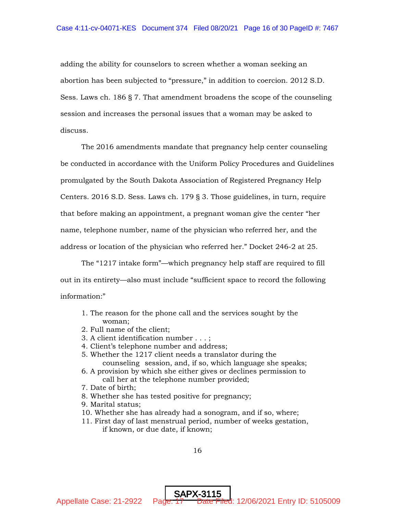adding the ability for counselors to screen whether a woman seeking an abortion has been subjected to "pressure," in addition to coercion. 2012 S.D. Sess. Laws ch. 186 § 7. That amendment broadens the scope of the counseling session and increases the personal issues that a woman may be asked to discuss.

The 2016 amendments mandate that pregnancy help center counseling be conducted in accordance with the Uniform Policy Procedures and Guidelines promulgated by the South Dakota Association of Registered Pregnancy Help Centers. 2016 S.D. Sess. Laws ch. 179 § 3. Those guidelines, in turn, require that before making an appointment, a pregnant woman give the center "her name, telephone number, name of the physician who referred her, and the address or location of the physician who referred her." Docket 246-2 at 25.

The "1217 intake form"—which pregnancy help staff are required to fill out in its entirety—also must include "sufficient space to record the following information:"

- 1. The reason for the phone call and the services sought by the woman;
- 2. Full name of the client;
- 3. A client identification number . . . ;
- 4. Client's telephone number and address;
- 5. Whether the 1217 client needs a translator during the counseling session, and, if so, which language she speaks;
- 6. A provision by which she either gives or declines permission to call her at the telephone number provided;
- 7. Date of birth;
- 8. Whether she has tested positive for pregnancy;
- 9. Marital status;
- 10. Whether she has already had a sonogram, and if so, where;
- 11. First day of last menstrual period, number of weeks gestation, if known, or due date, if known;

SAPX-311<u>5</u>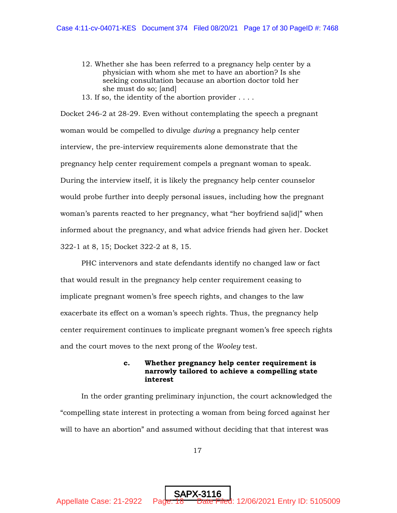- 12. Whether she has been referred to a pregnancy help center by a physician with whom she met to have an abortion? Is she seeking consultation because an abortion doctor told her she must do so; [and]
- 13. If so, the identity of the abortion provider . . . .

Docket 246-2 at 28-29. Even without contemplating the speech a pregnant woman would be compelled to divulge *during* a pregnancy help center interview, the pre-interview requirements alone demonstrate that the pregnancy help center requirement compels a pregnant woman to speak. During the interview itself, it is likely the pregnancy help center counselor would probe further into deeply personal issues, including how the pregnant woman's parents reacted to her pregnancy, what "her boyfriend sa[id]" when informed about the pregnancy, and what advice friends had given her. Docket 322-1 at 8, 15; Docket 322-2 at 8, 15.

PHC intervenors and state defendants identify no changed law or fact that would result in the pregnancy help center requirement ceasing to implicate pregnant women's free speech rights, and changes to the law exacerbate its effect on a woman's speech rights. Thus, the pregnancy help center requirement continues to implicate pregnant women's free speech rights and the court moves to the next prong of the *Wooley* test.

## **c. Whether pregnancy help center requirement is narrowly tailored to achieve a compelling state interest**

In the order granting preliminary injunction, the court acknowledged the "compelling state interest in protecting a woman from being forced against her will to have an abortion" and assumed without deciding that that interest was

17

SAPX-311<u>6</u>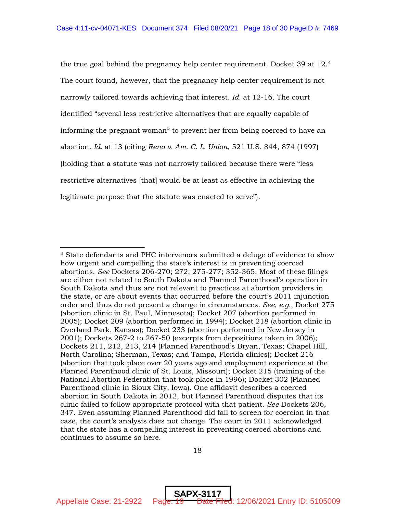the true goal behind the pregnancy help center requirement. Docket 39 at 12.4 The court found, however, that the pregnancy help center requirement is not narrowly tailored towards achieving that interest. *Id.* at 12-16. The court identified "several less restrictive alternatives that are equally capable of informing the pregnant woman" to prevent her from being coerced to have an abortion. *Id.* at 13 (citing *Reno v. Am. C. L. Union*, 521 U.S. 844, 874 (1997) (holding that a statute was not narrowly tailored because there were "less restrictive alternatives [that] would be at least as effective in achieving the legitimate purpose that the statute was enacted to serve").

SAPX-3117

Appellate Case: 21-2922 Page: 19 Date Filed: 12/06/2021 Entry ID: 5105009

<sup>4</sup> State defendants and PHC intervenors submitted a deluge of evidence to show how urgent and compelling the state's interest is in preventing coerced abortions. *See* Dockets 206-270; 272; 275-277; 352-365. Most of these filings are either not related to South Dakota and Planned Parenthood's operation in South Dakota and thus are not relevant to practices at abortion providers in the state, or are about events that occurred before the court's 2011 injunction order and thus do not present a change in circumstances. *See, e.g.*, Docket 275 (abortion clinic in St. Paul, Minnesota); Docket 207 (abortion performed in 2005); Docket 209 (abortion performed in 1994); Docket 218 (abortion clinic in Overland Park, Kansas); Docket 233 (abortion performed in New Jersey in 2001); Dockets 267-2 to 267-50 (excerpts from depositions taken in 2006); Dockets 211, 212, 213, 214 (Planned Parenthood's Bryan, Texas; Chapel Hill, North Carolina; Sherman, Texas; and Tampa, Florida clinics); Docket 216 (abortion that took place over 20 years ago and employment experience at the Planned Parenthood clinic of St. Louis, Missouri); Docket 215 (training of the National Abortion Federation that took place in 1996); Docket 302 (Planned Parenthood clinic in Sioux City, Iowa). One affidavit describes a coerced abortion in South Dakota in 2012, but Planned Parenthood disputes that its clinic failed to follow appropriate protocol with that patient. *See* Dockets 206, 347. Even assuming Planned Parenthood did fail to screen for coercion in that case, the court's analysis does not change. The court in 2011 acknowledged that the state has a compelling interest in preventing coerced abortions and continues to assume so here.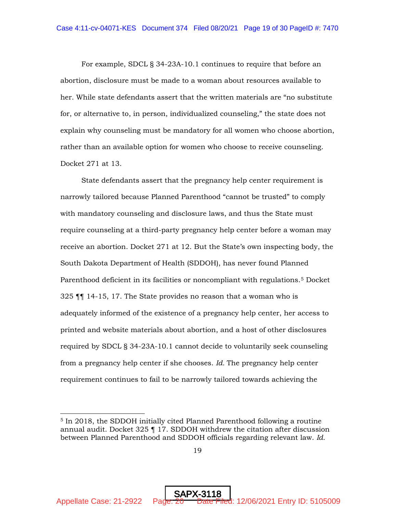For example, SDCL § 34-23A-10.1 continues to require that before an abortion, disclosure must be made to a woman about resources available to her. While state defendants assert that the written materials are "no substitute for, or alternative to, in person, individualized counseling," the state does not explain why counseling must be mandatory for all women who choose abortion, rather than an available option for women who choose to receive counseling. Docket 271 at 13.

State defendants assert that the pregnancy help center requirement is narrowly tailored because Planned Parenthood "cannot be trusted" to comply with mandatory counseling and disclosure laws, and thus the State must require counseling at a third-party pregnancy help center before a woman may receive an abortion. Docket 271 at 12. But the State's own inspecting body, the South Dakota Department of Health (SDDOH), has never found Planned Parenthood deficient in its facilities or noncompliant with regulations.<sup>5</sup> Docket 325 ¶¶ 14-15, 17. The State provides no reason that a woman who is adequately informed of the existence of a pregnancy help center, her access to printed and website materials about abortion, and a host of other disclosures required by SDCL § 34-23A-10.1 cannot decide to voluntarily seek counseling from a pregnancy help center if she chooses. *Id.* The pregnancy help center requirement continues to fail to be narrowly tailored towards achieving the

<sup>5</sup> In 2018, the SDDOH initially cited Planned Parenthood following a routine annual audit. Docket  $325$   $\parallel$  17. SDDOH withdrew the citation after discussion between Planned Parenthood and SDDOH officials regarding relevant law. *Id.*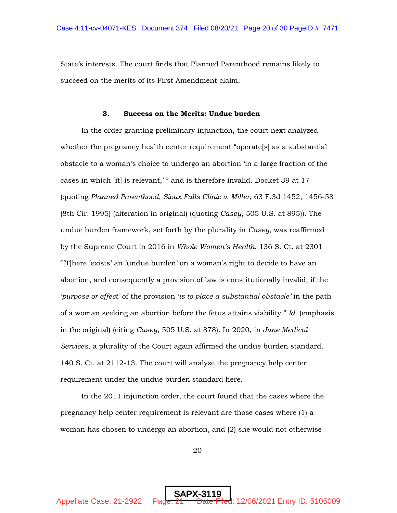State's interests. The court finds that Planned Parenthood remains likely to succeed on the merits of its First Amendment claim.

#### **3. Success on the Merits: Undue burden**

In the order granting preliminary injunction, the court next analyzed whether the pregnancy health center requirement "operate[s] as a substantial obstacle to a woman's choice to undergo an abortion 'in a large fraction of the cases in which [it] is relevant,' " and is therefore invalid. Docket 39 at 17 (quoting *Planned Parenthood, Sioux Falls Clinic v. Miller*, 63 F.3d 1452, 1456-58 (8th Cir. 1995) (alteration in original) (quoting *Casey*, 505 U.S. at 895)). The undue burden framework, set forth by the plurality in *Casey*, was reaffirmed by the Supreme Court in 2016 in *Whole Women's Health*. 136 S. Ct. at 2301 "[T]here 'exists' an 'undue burden' on a woman's right to decide to have an abortion, and consequently a provision of law is constitutionally invalid, if the '*purpose or effect'* of the provision '*is to place a substantial obstacle'* in the path of a woman seeking an abortion before the fetus attains viability." *Id.* (emphasis in the original) (citing *Casey*, 505 U.S. at 878). In 2020, in *June Medical Services*, a plurality of the Court again affirmed the undue burden standard*.*  140 S. Ct. at 2112-13. The court will analyze the pregnancy help center requirement under the undue burden standard here.

In the 2011 injunction order, the court found that the cases where the pregnancy help center requirement is relevant are those cases where (1) a woman has chosen to undergo an abortion, and (2) she would not otherwise

20

SAPX-311<u>9</u>

Appellate Case: 21-2922 Page:  $21$  Date Filed: 12/06/2021 Entry ID: 5105009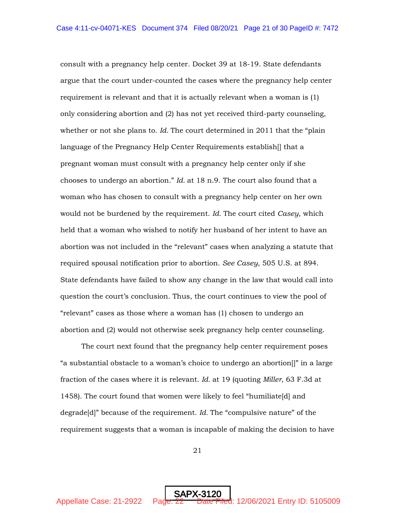consult with a pregnancy help center. Docket 39 at 18-19. State defendants argue that the court under-counted the cases where the pregnancy help center requirement is relevant and that it is actually relevant when a woman is (1) only considering abortion and (2) has not yet received third-party counseling, whether or not she plans to. *Id.* The court determined in 2011 that the "plain language of the Pregnancy Help Center Requirements establish[] that a pregnant woman must consult with a pregnancy help center only if she chooses to undergo an abortion." *Id.* at 18 n.9. The court also found that a woman who has chosen to consult with a pregnancy help center on her own would not be burdened by the requirement. *Id.* The court cited *Casey*, which held that a woman who wished to notify her husband of her intent to have an abortion was not included in the "relevant" cases when analyzing a statute that required spousal notification prior to abortion. *See Casey*, 505 U.S. at 894. State defendants have failed to show any change in the law that would call into question the court's conclusion. Thus, the court continues to view the pool of "relevant" cases as those where a woman has (1) chosen to undergo an abortion and (2) would not otherwise seek pregnancy help center counseling.

The court next found that the pregnancy help center requirement poses "a substantial obstacle to a woman's choice to undergo an abortion[]" in a large fraction of the cases where it is relevant. *Id.* at 19 (quoting *Miller*, 63 F.3d at 1458). The court found that women were likely to feel "humiliate[d] and degrade[d]" because of the requirement. *Id.* The "compulsive nature" of the requirement suggests that a woman is incapable of making the decision to have

21

SAPX-3120

Appellate Case: 21-2922 Page: 22 Date Filed: 12/06/2021 Entry ID: 5105009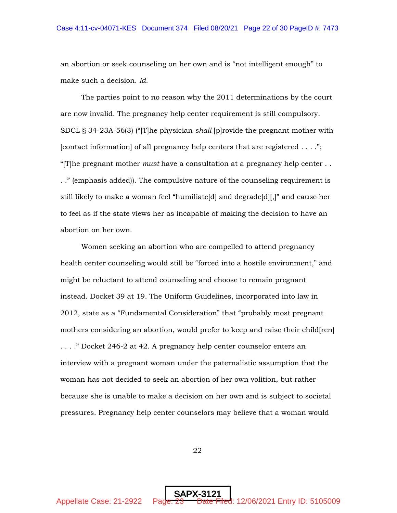an abortion or seek counseling on her own and is "not intelligent enough" to make such a decision. *Id.* 

The parties point to no reason why the 2011 determinations by the court are now invalid. The pregnancy help center requirement is still compulsory. SDCL § 34-23A-56(3) ("[T]he physician *shall* [p]rovide the pregnant mother with [contact information] of all pregnancy help centers that are registered . . . ."; "[T]he pregnant mother *must* have a consultation at a pregnancy help center . . . ." (emphasis added)). The compulsive nature of the counseling requirement is still likely to make a woman feel "humiliate[d] and degrade[d][,]" and cause her to feel as if the state views her as incapable of making the decision to have an abortion on her own.

Women seeking an abortion who are compelled to attend pregnancy health center counseling would still be "forced into a hostile environment," and might be reluctant to attend counseling and choose to remain pregnant instead. Docket 39 at 19. The Uniform Guidelines, incorporated into law in 2012, state as a "Fundamental Consideration" that "probably most pregnant mothers considering an abortion, would prefer to keep and raise their child[ren] . . . ." Docket 246-2 at 42. A pregnancy help center counselor enters an interview with a pregnant woman under the paternalistic assumption that the woman has not decided to seek an abortion of her own volition, but rather because she is unable to make a decision on her own and is subject to societal pressures. Pregnancy help center counselors may believe that a woman would

22

SAPX-3121

Appellate Case: 21-2922 Page: 23 Date Filed: 12/06/2021 Entry ID: 5105009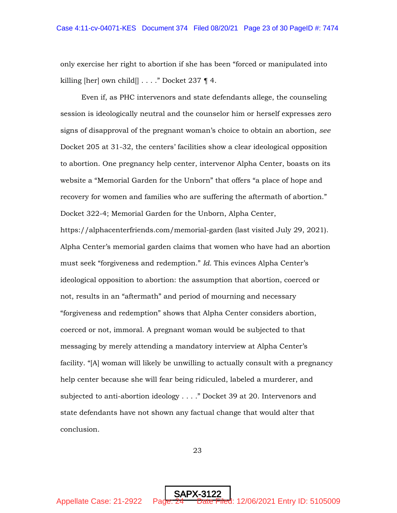only exercise her right to abortion if she has been "forced or manipulated into killing  $[her]$  own child $[] \ldots$ ." Docket 237 ¶ 4.

Even if, as PHC intervenors and state defendants allege, the counseling session is ideologically neutral and the counselor him or herself expresses zero signs of disapproval of the pregnant woman's choice to obtain an abortion, *see*  Docket 205 at 31-32, the centers' facilities show a clear ideological opposition to abortion. One pregnancy help center, intervenor Alpha Center, boasts on its website a "Memorial Garden for the Unborn" that offers "a place of hope and recovery for women and families who are suffering the aftermath of abortion." Docket 322-4; Memorial Garden for the Unborn, Alpha Center, https://alphacenterfriends.com/memorial-garden (last visited July 29, 2021). Alpha Center's memorial garden claims that women who have had an abortion must seek "forgiveness and redemption." *Id.* This evinces Alpha Center's ideological opposition to abortion: the assumption that abortion, coerced or not, results in an "aftermath" and period of mourning and necessary "forgiveness and redemption" shows that Alpha Center considers abortion, coerced or not, immoral. A pregnant woman would be subjected to that messaging by merely attending a mandatory interview at Alpha Center's facility. "[A] woman will likely be unwilling to actually consult with a pregnancy help center because she will fear being ridiculed, labeled a murderer, and subjected to anti-abortion ideology . . . ." Docket 39 at 20. Intervenors and state defendants have not shown any factual change that would alter that conclusion.

23

SAPX-312<u>2</u>

Appellate Case: 21-2922 Page:  $24$  Date Filed: 12/06/2021 Entry ID: 5105009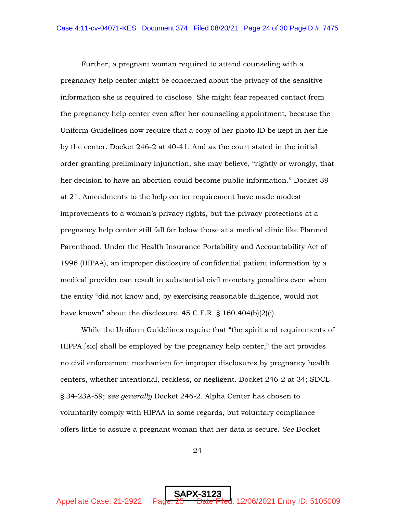Further, a pregnant woman required to attend counseling with a pregnancy help center might be concerned about the privacy of the sensitive information she is required to disclose. She might fear repeated contact from the pregnancy help center even after her counseling appointment, because the Uniform Guidelines now require that a copy of her photo ID be kept in her file by the center. Docket 246-2 at 40-41. And as the court stated in the initial order granting preliminary injunction, she may believe, "rightly or wrongly, that her decision to have an abortion could become public information." Docket 39 at 21. Amendments to the help center requirement have made modest improvements to a woman's privacy rights, but the privacy protections at a pregnancy help center still fall far below those at a medical clinic like Planned Parenthood. Under the Health Insurance Portability and Accountability Act of 1996 (HIPAA), an improper disclosure of confidential patient information by a medical provider can result in substantial civil monetary penalties even when the entity "did not know and, by exercising reasonable diligence, would not have known" about the disclosure. 45 C.F.R. § 160.404(b)(2)(i).

While the Uniform Guidelines require that "the spirit and requirements of HIPPA [sic] shall be employed by the pregnancy help center," the act provides no civil enforcement mechanism for improper disclosures by pregnancy health centers, whether intentional, reckless, or negligent. Docket 246-2 at 34; SDCL § 34-23A-59; *see generally* Docket 246-2. Alpha Center has chosen to voluntarily comply with HIPAA in some regards, but voluntary compliance offers little to assure a pregnant woman that her data is secure. *See* Docket

24

SAPX-312<u>3</u>

Appellate Case: 21-2922 Page: 25 Date Filed: 12/06/2021 Entry ID: 5105009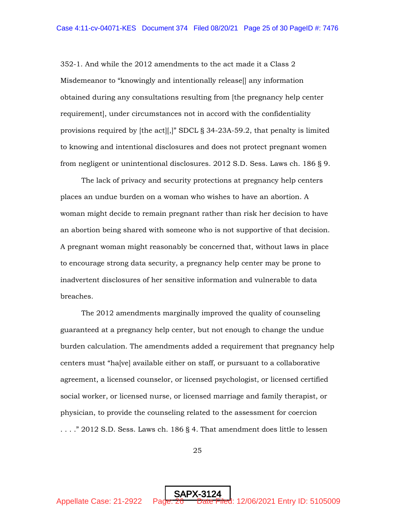352-1. And while the 2012 amendments to the act made it a Class 2 Misdemeanor to "knowingly and intentionally release[] any information obtained during any consultations resulting from [the pregnancy help center requirement], under circumstances not in accord with the confidentiality provisions required by [the act][,]" SDCL § 34-23A-59.2, that penalty is limited to knowing and intentional disclosures and does not protect pregnant women from negligent or unintentional disclosures. 2012 S.D. Sess. Laws ch. 186 § 9.

The lack of privacy and security protections at pregnancy help centers places an undue burden on a woman who wishes to have an abortion. A woman might decide to remain pregnant rather than risk her decision to have an abortion being shared with someone who is not supportive of that decision. A pregnant woman might reasonably be concerned that, without laws in place to encourage strong data security, a pregnancy help center may be prone to inadvertent disclosures of her sensitive information and vulnerable to data breaches.

The 2012 amendments marginally improved the quality of counseling guaranteed at a pregnancy help center, but not enough to change the undue burden calculation. The amendments added a requirement that pregnancy help centers must "ha[ve] available either on staff, or pursuant to a collaborative agreement, a licensed counselor, or licensed psychologist, or licensed certified social worker, or licensed nurse, or licensed marriage and family therapist, or physician, to provide the counseling related to the assessment for coercion . . . ." 2012 S.D. Sess. Laws ch. 186 § 4. That amendment does little to lessen

25

SAPX-3124

Appellate Case: 21-2922 Page:  $\frac{26}{26}$  Date Filed: 12/06/2021 Entry ID: 5105009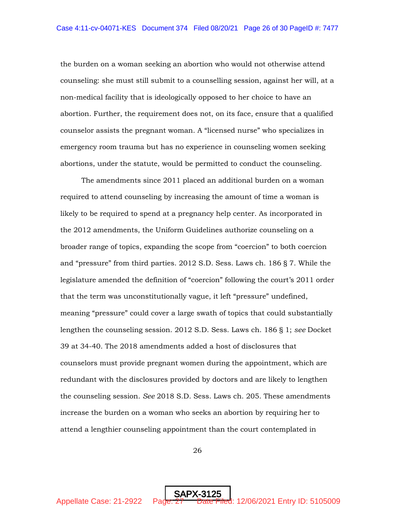the burden on a woman seeking an abortion who would not otherwise attend counseling: she must still submit to a counselling session, against her will, at a non-medical facility that is ideologically opposed to her choice to have an abortion. Further, the requirement does not, on its face, ensure that a qualified counselor assists the pregnant woman. A "licensed nurse" who specializes in emergency room trauma but has no experience in counseling women seeking abortions, under the statute, would be permitted to conduct the counseling.

The amendments since 2011 placed an additional burden on a woman required to attend counseling by increasing the amount of time a woman is likely to be required to spend at a pregnancy help center. As incorporated in the 2012 amendments, the Uniform Guidelines authorize counseling on a broader range of topics, expanding the scope from "coercion" to both coercion and "pressure" from third parties. 2012 S.D. Sess. Laws ch. 186 § 7. While the legislature amended the definition of "coercion" following the court's 2011 order that the term was unconstitutionally vague, it left "pressure" undefined, meaning "pressure" could cover a large swath of topics that could substantially lengthen the counseling session. 2012 S.D. Sess. Laws ch. 186 § 1; *see* Docket 39 at 34-40. The 2018 amendments added a host of disclosures that counselors must provide pregnant women during the appointment, which are redundant with the disclosures provided by doctors and are likely to lengthen the counseling session. *See* 2018 S.D. Sess. Laws ch. 205. These amendments increase the burden on a woman who seeks an abortion by requiring her to attend a lengthier counseling appointment than the court contemplated in

26

SAPX-312<u>5</u>

Appellate Case: 21-2922 Page:  $27$  Date Filed: 12/06/2021 Entry ID: 5105009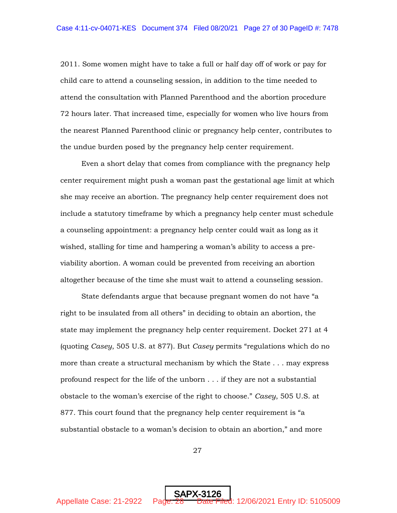2011. Some women might have to take a full or half day off of work or pay for child care to attend a counseling session, in addition to the time needed to attend the consultation with Planned Parenthood and the abortion procedure 72 hours later. That increased time, especially for women who live hours from the nearest Planned Parenthood clinic or pregnancy help center, contributes to the undue burden posed by the pregnancy help center requirement.

Even a short delay that comes from compliance with the pregnancy help center requirement might push a woman past the gestational age limit at which she may receive an abortion. The pregnancy help center requirement does not include a statutory timeframe by which a pregnancy help center must schedule a counseling appointment: a pregnancy help center could wait as long as it wished, stalling for time and hampering a woman's ability to access a previability abortion. A woman could be prevented from receiving an abortion altogether because of the time she must wait to attend a counseling session.

State defendants argue that because pregnant women do not have "a right to be insulated from all others" in deciding to obtain an abortion, the state may implement the pregnancy help center requirement. Docket 271 at 4 (quoting *Casey*, 505 U.S. at 877). But *Casey* permits "regulations which do no more than create a structural mechanism by which the State . . . may express profound respect for the life of the unborn . . . if they are not a substantial obstacle to the woman's exercise of the right to choose." *Casey*, 505 U.S. at 877. This court found that the pregnancy help center requirement is "a substantial obstacle to a woman's decision to obtain an abortion," and more

27

SAPX-312<u>6</u>

Appellate Case: 21-2922 Page:  $28$  Date Filed: 12/06/2021 Entry ID: 5105009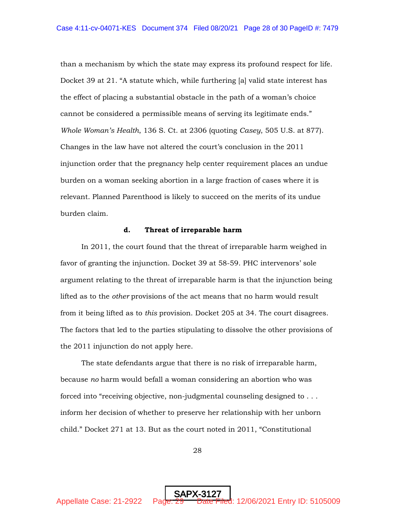than a mechanism by which the state may express its profound respect for life. Docket 39 at 21. "A statute which, while furthering [a] valid state interest has the effect of placing a substantial obstacle in the path of a woman's choice cannot be considered a permissible means of serving its legitimate ends." *Whole Woman's Health*, 136 S. Ct. at 2306 (quoting *Casey*, 505 U.S. at 877). Changes in the law have not altered the court's conclusion in the 2011 injunction order that the pregnancy help center requirement places an undue burden on a woman seeking abortion in a large fraction of cases where it is relevant. Planned Parenthood is likely to succeed on the merits of its undue burden claim.

#### **d. Threat of irreparable harm**

In 2011, the court found that the threat of irreparable harm weighed in favor of granting the injunction. Docket 39 at 58-59. PHC intervenors' sole argument relating to the threat of irreparable harm is that the injunction being lifted as to the *other* provisions of the act means that no harm would result from it being lifted as to *this* provision. Docket 205 at 34. The court disagrees. The factors that led to the parties stipulating to dissolve the other provisions of the 2011 injunction do not apply here.

The state defendants argue that there is no risk of irreparable harm, because *no* harm would befall a woman considering an abortion who was forced into "receiving objective, non-judgmental counseling designed to . . . inform her decision of whether to preserve her relationship with her unborn child." Docket 271 at 13. But as the court noted in 2011, "Constitutional

28

SAPX-312<u>7</u>

Appellate Case: 21-2922 Page: 29 Date Filed: 12/06/2021 Entry ID: 5105009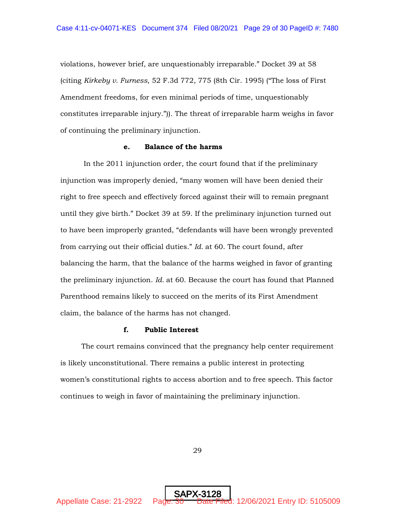violations, however brief, are unquestionably irreparable." Docket 39 at 58 (citing *Kirkeby v. Furness*, 52 F.3d 772, 775 (8th Cir. 1995) ("The loss of First Amendment freedoms, for even minimal periods of time, unquestionably constitutes irreparable injury.")). The threat of irreparable harm weighs in favor of continuing the preliminary injunction.

## **e. Balance of the harms**

In the 2011 injunction order, the court found that if the preliminary injunction was improperly denied, "many women will have been denied their right to free speech and effectively forced against their will to remain pregnant until they give birth." Docket 39 at 59. If the preliminary injunction turned out to have been improperly granted, "defendants will have been wrongly prevented from carrying out their official duties." *Id.* at 60. The court found, after balancing the harm, that the balance of the harms weighed in favor of granting the preliminary injunction. *Id.* at 60. Because the court has found that Planned Parenthood remains likely to succeed on the merits of its First Amendment claim, the balance of the harms has not changed.

## **f. Public Interest**

The court remains convinced that the pregnancy help center requirement is likely unconstitutional. There remains a public interest in protecting women's constitutional rights to access abortion and to free speech. This factor continues to weigh in favor of maintaining the preliminary injunction.

29

SAPX-312<u>8</u>

Appellate Case: 21-2922 Page: 30 Date Filed: 12/06/2021 Entry ID: 5105009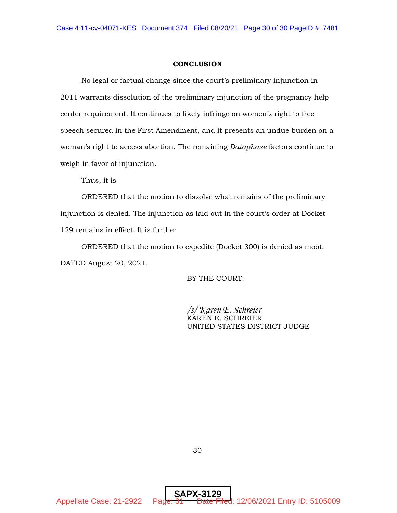#### **CONCLUSION**

No legal or factual change since the court's preliminary injunction in 2011 warrants dissolution of the preliminary injunction of the pregnancy help center requirement. It continues to likely infringe on women's right to free speech secured in the First Amendment, and it presents an undue burden on a woman's right to access abortion. The remaining *Dataphase* factors continue to weigh in favor of injunction.

Thus, it is

ORDERED that the motion to dissolve what remains of the preliminary injunction is denied. The injunction as laid out in the court's order at Docket 129 remains in effect. It is further

ORDERED that the motion to expedite (Docket 300) is denied as moot. DATED August 20, 2021.

BY THE COURT:

*/s/ Karen E. Schreier* KAREN E. SCHREIER UNITED STATES DISTRICT JUDGE

30

SAPX-

Appellate Case: 21-2922 Page: 31 Date Filed: 12/06/2021 Entry ID: 5105009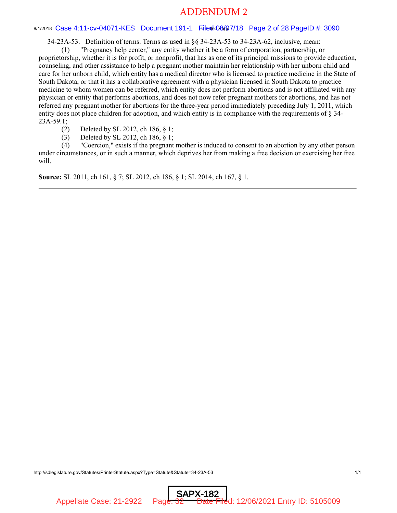## ADDENDUM 2

#### 8/1/2018 Case 4:11-cv-04071-KES Document 191-1 Fileddag@7/18 Page 2 of 28 PageID #: 3090

34-23A-53. Definition of terms. Terms as used in §§ 34-23A-53 to 34-23A-62, inclusive, mean:

(1) "Pregnancy help center," any entity whether it be a form of corporation, partnership, or proprietorship, whether it is for profit, or nonprofit, that has as one of its principal missions to provide education, counseling, and other assistance to help a pregnant mother maintain her relationship with her unborn child and care for her unborn child, which entity has a medical director who is licensed to practice medicine in the State of South Dakota, or that it has a collaborative agreement with a physician licensed in South Dakota to practice medicine to whom women can be referred, which entity does not perform abortions and is not affiliated with any physician or entity that performs abortions, and does not now refer pregnant mothers for abortions, and has not referred any pregnant mother for abortions for the three-year period immediately preceding July 1, 2011, which entity does not place children for adoption, and which entity is in compliance with the requirements of § 34-  $23A-59.1;$ 

(2) Deleted by SL 2012, ch 186, § 1;

(3) Deleted by SL 2012, ch 186, § 1;

(4) "Coercion," exists if the pregnant mother is induced to consent to an abortion by any other person under circumstances, or in such a manner, which deprives her from making a free decision or exercising her free will.

**Source:** SL 2011, ch 161, § 7; SL 2012, ch 186, § 1; SL 2014, ch 167, § 1.

http://sdlegislature.gov/Statutes/PrinterStatute.aspx?Type=Statute&Statute=34-23A-53 1/1

SAPX-182 Appellate Case: 21-2922 Page: 32 Date Filed: 12/06/2021 Entry ID: 5105009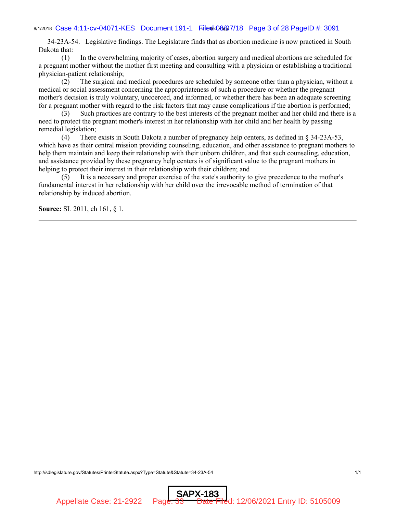## 8/1/2018 Case 4:11-cv-04071-KES Document 191-1 Fileddag@7/18 Page 3 of 28 PageID #: 3091

 34-23A-54. Legislative findings. The Legislature finds that as abortion medicine is now practiced in South Dakota that:

 (1) In the overwhelming majority of cases, abortion surgery and medical abortions are scheduled for a pregnant mother without the mother first meeting and consulting with a physician or establishing a traditional physician-patient relationship;

 (2) The surgical and medical procedures are scheduled by someone other than a physician, without a medical or social assessment concerning the appropriateness of such a procedure or whether the pregnant mother's decision is truly voluntary, uncoerced, and informed, or whether there has been an adequate screening for a pregnant mother with regard to the risk factors that may cause complications if the abortion is performed;

 (3) Such practices are contrary to the best interests of the pregnant mother and her child and there is a need to protect the pregnant mother's interest in her relationship with her child and her health by passing remedial legislation;

 (4) There exists in South Dakota a number of pregnancy help centers, as defined in § 34-23A-53, which have as their central mission providing counseling, education, and other assistance to pregnant mothers to help them maintain and keep their relationship with their unborn children, and that such counseling, education, and assistance provided by these pregnancy help centers is of significant value to the pregnant mothers in helping to protect their interest in their relationship with their children; and

 (5) It is a necessary and proper exercise of the state's authority to give precedence to the mother's fundamental interest in her relationship with her child over the irrevocable method of termination of that relationship by induced abortion.

**Source:** SL 2011, ch 161, § 1.

http://sdlegislature.gov/Statutes/PrinterStatute.aspx?Type=Statute&Statute=34-23A-54 1/1

SAPX-183 Appellate Case: 21-2922 Page: 33 Date Filed: 12/06/2021 Entry ID: 5105009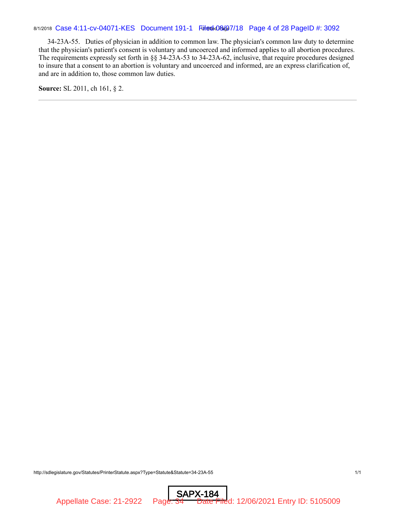34-23A-55. Duties of physician in addition to common law. The physician's common law duty to determine that the physician's patient's consent is voluntary and uncoerced and informed applies to all abortion procedures. The requirements expressly set forth in §§ 34-23A-53 to 34-23A-62, inclusive, that require procedures designed to insure that a consent to an abortion is voluntary and uncoerced and informed, are an express clarification of, and are in addition to, those common law duties.

**Source:** SL 2011, ch 161, § 2.

http://sdlegislature.gov/Statutes/PrinterStatute.aspx?Type=Statute&Statute=34-23A-55 1/1

SAPX-184 Appellate Case: 21-2922 Page: 34 Date Filed: 12/06/2021 Entry ID: 5105009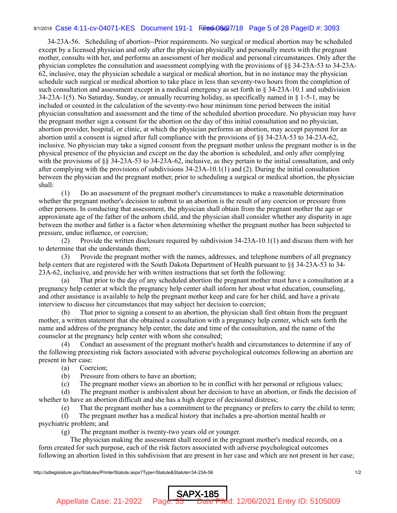## 8/1/2018 Case 4:11-cv-04071-KES Document 191-1 Fileddag@7/18 Page 5 of 28 PageID #: 3093

 34-23A-56. Scheduling of abortion--Prior requirements. No surgical or medical abortion may be scheduled except by a licensed physician and only after the physician physically and personally meets with the pregnant mother, consults with her, and performs an assessment of her medical and personal circumstances. Only after the physician completes the consultation and assessment complying with the provisions of §§ 34-23A-53 to 34-23A-62, inclusive, may the physician schedule a surgical or medical abortion, but in no instance may the physician schedule such surgical or medical abortion to take place in less than seventy-two hours from the completion of such consultation and assessment except in a medical emergency as set forth in § 34-23A-10.1 and subdivision 34-23A-1(5). No Saturday, Sunday, or annually recurring holiday, as specifically named in § 1-5-1, may be included or counted in the calculation of the seventy-two hour minimum time period between the initial physician consultation and assessment and the time of the scheduled abortion procedure. No physician may have the pregnant mother sign a consent for the abortion on the day of this initial consultation and no physician, abortion provider, hospital, or clinic, at which the physician performs an abortion, may accept payment for an abortion until a consent is signed after full compliance with the provisions of §§ 34-23A-53 to 34-23A-62, inclusive. No physician may take a signed consent from the pregnant mother unless the pregnant mother is in the physical presence of the physician and except on the day the abortion is scheduled, and only after complying with the provisions of  $\S$  34-23A-53 to 34-23A-62, inclusive, as they pertain to the initial consultation, and only after complying with the provisions of subdivisions 34-23A-10.1(1) and (2). During the initial consultation between the physician and the pregnant mother, prior to scheduling a surgical or medical abortion, the physician shall:

 (1) Do an assessment of the pregnant mother's circumstances to make a reasonable determination whether the pregnant mother's decision to submit to an abortion is the result of any coercion or pressure from other persons. In conducting that assessment, the physician shall obtain from the pregnant mother the age or approximate age of the father of the unborn child, and the physician shall consider whether any disparity in age between the mother and father is a factor when determining whether the pregnant mother has been subjected to pressure, undue influence, or coercion;

 (2) Provide the written disclosure required by subdivision 34-23A-10.1(1) and discuss them with her to determine that she understands them;

 (3) Provide the pregnant mother with the names, addresses, and telephone numbers of all pregnancy help centers that are registered with the South Dakota Department of Health pursuant to §§ 34-23A-53 to 34- 23A-62, inclusive, and provide her with written instructions that set forth the following:

 (a) That prior to the day of any scheduled abortion the pregnant mother must have a consultation at a pregnancy help center at which the pregnancy help center shall inform her about what education, counseling, and other assistance is available to help the pregnant mother keep and care for her child, and have a private interview to discuss her circumstances that may subject her decision to coercion;

 (b) That prior to signing a consent to an abortion, the physician shall first obtain from the pregnant mother, a written statement that she obtained a consultation with a pregnancy help center, which sets forth the name and address of the pregnancy help center, the date and time of the consultation, and the name of the counselor at the pregnancy help center with whom she consulted;

 (4) Conduct an assessment of the pregnant mother's health and circumstances to determine if any of the following preexisting risk factors associated with adverse psychological outcomes following an abortion are present in her case:

(a) Coercion;

(b) Pressure from others to have an abortion;

(c) The pregnant mother views an abortion to be in conflict with her personal or religious values;

 (d) The pregnant mother is ambivalent about her decision to have an abortion, or finds the decision of whether to have an abortion difficult and she has a high degree of decisional distress;

(e) That the pregnant mother has a commitment to the pregnancy or prefers to carry the child to term;

 (f) The pregnant mother has a medical history that includes a pre-abortion mental health or psychiatric problem; and

(g) The pregnant mother is twenty-two years old or younger.

 The physician making the assessment shall record in the pregnant mother's medical records, on a form created for such purpose, each of the risk factors associated with adverse psychological outcomes following an abortion listed in this subdivision that are present in her case and which are not present in her case;

SAPX-185

http://sdlegislature.gov/Statutes/PrinterStatute.aspx?Type=Statute&Statute=34-23A-56 1/2

Appellate Case: 21-2922 Page: 35 Date Filed: 12/06/2021 Entry ID: 5105009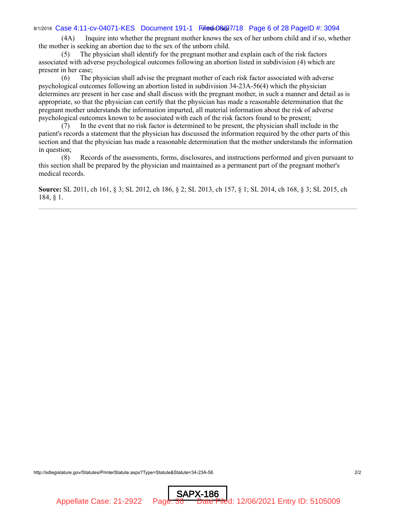## 8/1/2018 Case 4:11-cv-04071-KES Document 191-1 Fileddag@7/18 Page 6 of 28 PageID #: 3094

 (4A) Inquire into whether the pregnant mother knows the sex of her unborn child and if so, whether the mother is seeking an abortion due to the sex of the unborn child.

 (5) The physician shall identify for the pregnant mother and explain each of the risk factors associated with adverse psychological outcomes following an abortion listed in subdivision (4) which are present in her case;

 (6) The physician shall advise the pregnant mother of each risk factor associated with adverse psychological outcomes following an abortion listed in subdivision 34-23A-56(4) which the physician determines are present in her case and shall discuss with the pregnant mother, in such a manner and detail as is appropriate, so that the physician can certify that the physician has made a reasonable determination that the pregnant mother understands the information imparted, all material information about the risk of adverse psychological outcomes known to be associated with each of the risk factors found to be present;

 (7) In the event that no risk factor is determined to be present, the physician shall include in the patient's records a statement that the physician has discussed the information required by the other parts of this section and that the physician has made a reasonable determination that the mother understands the information in question;

 (8) Records of the assessments, forms, disclosures, and instructions performed and given pursuant to this section shall be prepared by the physician and maintained as a permanent part of the pregnant mother's medical records.

**Source:** SL 2011, ch 161, § 3; SL 2012, ch 186, § 2; SL 2013, ch 157, § 1; SL 2014, ch 168, § 3; SL 2015, ch 184, § 1.

http://sdlegislature.gov/Statutes/PrinterStatute.aspx?Type=Statute&Statute=34-23A-56 2/2

SAPX-186 Appellate Case: 21-2922 Page: 36 Date Filed: 12/06/2021 Entry ID: 5105009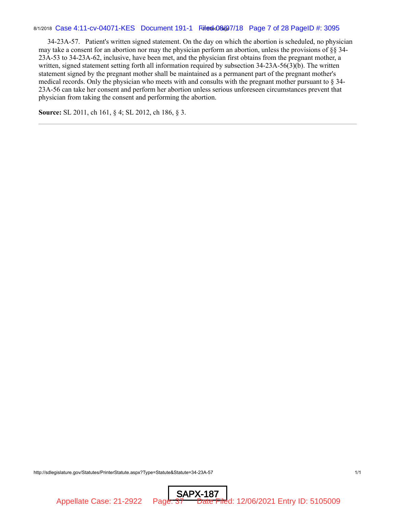## 8/1/2018 Case 4:11-cv-04071-KES Document 191-1 FileddaGG47/18 Page 7 of 28 PageID #: 3095

 34-23A-57. Patient's written signed statement. On the day on which the abortion is scheduled, no physician may take a consent for an abortion nor may the physician perform an abortion, unless the provisions of §§ 34- 23A-53 to 34-23A-62, inclusive, have been met, and the physician first obtains from the pregnant mother, a written, signed statement setting forth all information required by subsection 34-23A-56(3)(b). The written statement signed by the pregnant mother shall be maintained as a permanent part of the pregnant mother's medical records. Only the physician who meets with and consults with the pregnant mother pursuant to § 34- 23A-56 can take her consent and perform her abortion unless serious unforeseen circumstances prevent that physician from taking the consent and performing the abortion.

**Source:** SL 2011, ch 161, § 4; SL 2012, ch 186, § 3.

http://sdlegislature.gov/Statutes/PrinterStatute.aspx?Type=Statute&Statute=34-23A-57 1/1

SAPX-187

Appellate Case: 21-2922 Page: 37 Date Filed: 12/06/2021 Entry ID: 5105009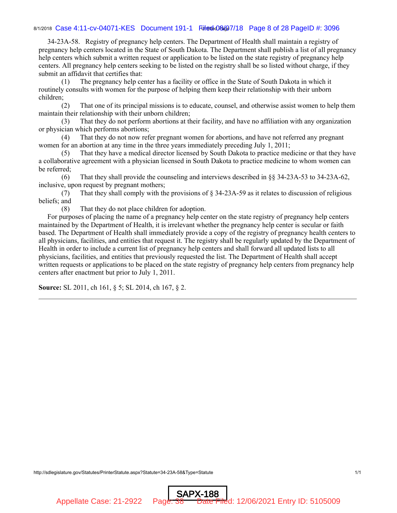## 8/1/2018 Case 4:11-cv-04071-KES Document 191-1 Fileddag@7/18 Page 8 of 28 PageID #: 3096

 34-23A-58. Registry of pregnancy help centers. The Department of Health shall maintain a registry of pregnancy help centers located in the State of South Dakota. The Department shall publish a list of all pregnancy help centers which submit a written request or application to be listed on the state registry of pregnancy help centers. All pregnancy help centers seeking to be listed on the registry shall be so listed without charge, if they submit an affidavit that certifies that:

 (1) The pregnancy help center has a facility or office in the State of South Dakota in which it routinely consults with women for the purpose of helping them keep their relationship with their unborn children;

 (2) That one of its principal missions is to educate, counsel, and otherwise assist women to help them maintain their relationship with their unborn children;

 (3) That they do not perform abortions at their facility, and have no affiliation with any organization or physician which performs abortions;

 (4) That they do not now refer pregnant women for abortions, and have not referred any pregnant women for an abortion at any time in the three years immediately preceding July 1, 2011;

 (5) That they have a medical director licensed by South Dakota to practice medicine or that they have a collaborative agreement with a physician licensed in South Dakota to practice medicine to whom women can be referred;

 (6) That they shall provide the counseling and interviews described in §§ 34-23A-53 to 34-23A-62, inclusive, upon request by pregnant mothers;

 (7) That they shall comply with the provisions of § 34-23A-59 as it relates to discussion of religious beliefs; and

(8) That they do not place children for adoption.

 For purposes of placing the name of a pregnancy help center on the state registry of pregnancy help centers maintained by the Department of Health, it is irrelevant whether the pregnancy help center is secular or faith based. The Department of Health shall immediately provide a copy of the registry of pregnancy health centers to all physicians, facilities, and entities that request it. The registry shall be regularly updated by the Department of Health in order to include a current list of pregnancy help centers and shall forward all updated lists to all physicians, facilities, and entities that previously requested the list. The Department of Health shall accept written requests or applications to be placed on the state registry of pregnancy help centers from pregnancy help centers after enactment but prior to July 1, 2011.

**Source:** SL 2011, ch 161, § 5; SL 2014, ch 167, § 2.

http://sdlegislature.gov/Statutes/PrinterStatute.aspx?Statute=34-23A-58&Type=Statute 1/1

SAPX-188 Appellate Case: 21-2922 Page: 38 Date Filed: 12/06/2021 Entry ID: 5105009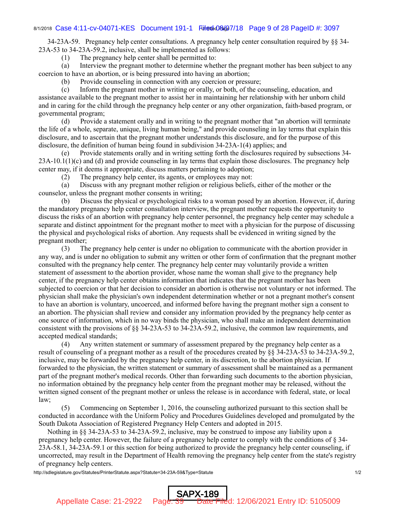## 8/1/2018 Case 4:11-cv-04071-KES Document 191-1 Fileddag@7/18 Page 9 of 28 PageID #: 3097

 34-23A-59. Pregnancy help center consultations. A pregnancy help center consultation required by §§ 34- 23A-53 to 34-23A-59.2, inclusive, shall be implemented as follows:

(1) The pregnancy help center shall be permitted to:

 (a) Interview the pregnant mother to determine whether the pregnant mother has been subject to any coercion to have an abortion, or is being pressured into having an abortion;

(b) Provide counseling in connection with any coercion or pressure;

 (c) Inform the pregnant mother in writing or orally, or both, of the counseling, education, and assistance available to the pregnant mother to assist her in maintaining her relationship with her unborn child and in caring for the child through the pregnancy help center or any other organization, faith-based program, or governmental program;

 (d) Provide a statement orally and in writing to the pregnant mother that "an abortion will terminate the life of a whole, separate, unique, living human being," and provide counseling in lay terms that explain this disclosure, and to ascertain that the pregnant mother understands this disclosure, and for the purpose of this disclosure, the definition of human being found in subdivision 34-23A-1(4) applies; and

 (e) Provide statements orally and in writing setting forth the disclosures required by subsections 34-  $23A-10.1(1)(c)$  and (d) and provide counseling in lay terms that explain those disclosures. The pregnancy help center may, if it deems it appropriate, discuss matters pertaining to adoption;

(2) The pregnancy help center, its agents, or employees may not:

 (a) Discuss with any pregnant mother religion or religious beliefs, either of the mother or the counselor, unless the pregnant mother consents in writing;

 (b) Discuss the physical or psychological risks to a woman posed by an abortion. However, if, during the mandatory pregnancy help center consultation interview, the pregnant mother requests the opportunity to discuss the risks of an abortion with pregnancy help center personnel, the pregnancy help center may schedule a separate and distinct appointment for the pregnant mother to meet with a physician for the purpose of discussing the physical and psychological risks of abortion. Any requests shall be evidenced in writing signed by the pregnant mother;

 (3) The pregnancy help center is under no obligation to communicate with the abortion provider in any way, and is under no obligation to submit any written or other form of confirmation that the pregnant mother consulted with the pregnancy help center. The pregnancy help center may voluntarily provide a written statement of assessment to the abortion provider, whose name the woman shall give to the pregnancy help center, if the pregnancy help center obtains information that indicates that the pregnant mother has been subjected to coercion or that her decision to consider an abortion is otherwise not voluntary or not informed. The physician shall make the physician's own independent determination whether or not a pregnant mother's consent to have an abortion is voluntary, uncoerced, and informed before having the pregnant mother sign a consent to an abortion. The physician shall review and consider any information provided by the pregnancy help center as one source of information, which in no way binds the physician, who shall make an independent determination consistent with the provisions of §§ 34-23A-53 to 34-23A-59.2, inclusive, the common law requirements, and accepted medical standards;

 (4) Any written statement or summary of assessment prepared by the pregnancy help center as a result of counseling of a pregnant mother as a result of the procedures created by §§ 34-23A-53 to 34-23A-59.2, inclusive, may be forwarded by the pregnancy help center, in its discretion, to the abortion physician. If forwarded to the physician, the written statement or summary of assessment shall be maintained as a permanent part of the pregnant mother's medical records. Other than forwarding such documents to the abortion physician, no information obtained by the pregnancy help center from the pregnant mother may be released, without the written signed consent of the pregnant mother or unless the release is in accordance with federal, state, or local law;

 (5) Commencing on September 1, 2016, the counseling authorized pursuant to this section shall be conducted in accordance with the Uniform Policy and Procedures Guidelines developed and promulgated by the South Dakota Association of Registered Pregnancy Help Centers and adopted in 2015.

 Nothing in §§ 34-23A-53 to 34-23A-59.2, inclusive, may be construed to impose any liability upon a pregnancy help center. However, the failure of a pregnancy help center to comply with the conditions of § 34- 23A-58.1, 34-23A-59.1 or this section for being authorized to provide the pregnancy help center counseling, if uncorrected, may result in the Department of Health removing the pregnancy help center from the state's registry of pregnancy help centers.

SAPX-189

http://sdlegislature.gov/Statutes/PrinterStatute.aspx?Statute=34-23A-59&Type=Statute 1/2

Appellate Case: 21-2922 Page: 39 Date Filed: 12/06/2021 Entry ID: 5105009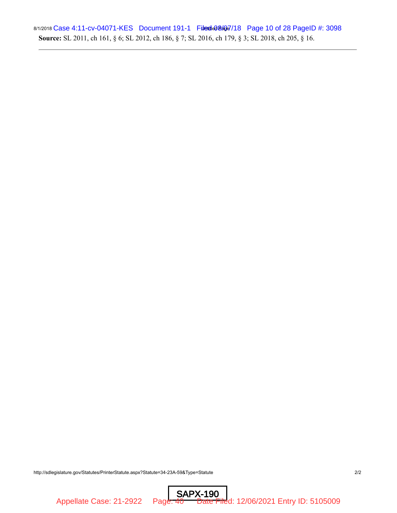## 8/1/2018 Case 4:11-cv-04071-KES Document 191-1 Filedde08407/18 Page 10 of 28 PageID #: 3098 **Source:** SL 2011, ch 161, § 6; SL 2012, ch 186, § 7; SL 2016, ch 179, § 3; SL 2018, ch 205, § 16.

http://sdlegislature.gov/Statutes/PrinterStatute.aspx?Statute=34-23A-59&Type=Statute 2/2

SAPX-190 Appellate Case: 21-2922 Page: 40 Date Filed: 12/06/2021 Entry ID: 5105009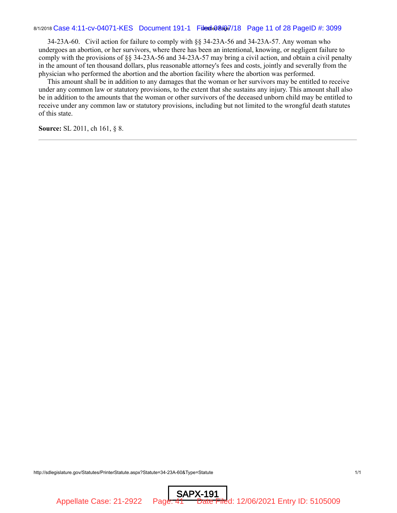## 8/1/2018 Case 4:11-cv-04071-KES Document 191-1 Filedde08407/18 Page 11 of 28 PageID #: 3099

 34-23A-60. Civil action for failure to comply with §§ 34-23A-56 and 34-23A-57. Any woman who undergoes an abortion, or her survivors, where there has been an intentional, knowing, or negligent failure to comply with the provisions of §§ 34-23A-56 and 34-23A-57 may bring a civil action, and obtain a civil penalty in the amount of ten thousand dollars, plus reasonable attorney's fees and costs, jointly and severally from the physician who performed the abortion and the abortion facility where the abortion was performed.

 This amount shall be in addition to any damages that the woman or her survivors may be entitled to receive under any common law or statutory provisions, to the extent that she sustains any injury. This amount shall also be in addition to the amounts that the woman or other survivors of the deceased unborn child may be entitled to receive under any common law or statutory provisions, including but not limited to the wrongful death statutes of this state.

**Source:** SL 2011, ch 161, § 8.

http://sdlegislature.gov/Statutes/PrinterStatute.aspx?Statute=34-23A-60&Type=Statute 1/1

SAPX-191

Appellate Case: 21-2922 Page: 41 Date Filed: 12/06/2021 Entry ID: 5105009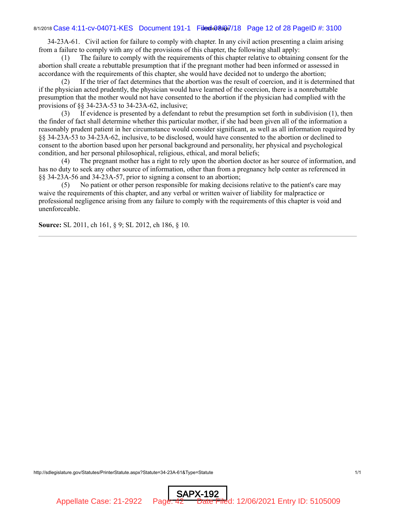## 8/1/2018 Case 4:11-cv-04071-KES Document 191-1 Filedde08407/18 Page 12 of 28 PageID #: 3100

 34-23A-61. Civil action for failure to comply with chapter. In any civil action presenting a claim arising from a failure to comply with any of the provisions of this chapter, the following shall apply:

 (1) The failure to comply with the requirements of this chapter relative to obtaining consent for the abortion shall create a rebuttable presumption that if the pregnant mother had been informed or assessed in accordance with the requirements of this chapter, she would have decided not to undergo the abortion;

 (2) If the trier of fact determines that the abortion was the result of coercion, and it is determined that if the physician acted prudently, the physician would have learned of the coercion, there is a nonrebuttable presumption that the mother would not have consented to the abortion if the physician had complied with the provisions of §§ 34-23A-53 to 34-23A-62, inclusive;

 (3) If evidence is presented by a defendant to rebut the presumption set forth in subdivision (1), then the finder of fact shall determine whether this particular mother, if she had been given all of the information a reasonably prudent patient in her circumstance would consider significant, as well as all information required by §§ 34-23A-53 to 34-23A-62, inclusive, to be disclosed, would have consented to the abortion or declined to consent to the abortion based upon her personal background and personality, her physical and psychological condition, and her personal philosophical, religious, ethical, and moral beliefs;

 (4) The pregnant mother has a right to rely upon the abortion doctor as her source of information, and has no duty to seek any other source of information, other than from a pregnancy help center as referenced in §§ 34-23A-56 and 34-23A-57, prior to signing a consent to an abortion;

SAPX-192

 (5) No patient or other person responsible for making decisions relative to the patient's care may waive the requirements of this chapter, and any verbal or written waiver of liability for malpractice or professional negligence arising from any failure to comply with the requirements of this chapter is void and unenforceable.

**Source:** SL 2011, ch 161, § 9; SL 2012, ch 186, § 10.

http://sdlegislature.gov/Statutes/PrinterStatute.aspx?Statute=34-23A-61&Type=Statute 1/1

Appellate Case: 21-2922 Page: 42 Date Filed: 12/06/2021 Entry ID: 5105009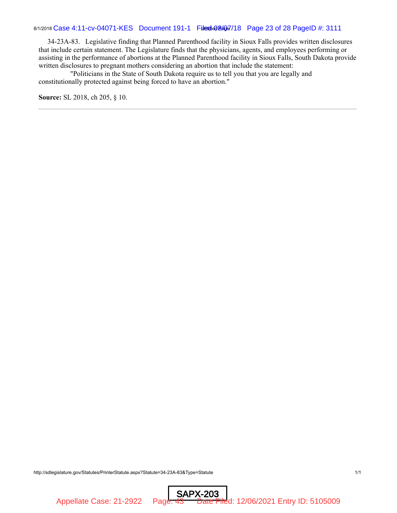## 8/1/2018 Case 4:11-cv-04071-KES Document 191-1 Filedde08407/18 Page 23 of 28 PageID #: 3111

 34-23A-83. Legislative finding that Planned Parenthood facility in Sioux Falls provides written disclosures that include certain statement. The Legislature finds that the physicians, agents, and employees performing or assisting in the performance of abortions at the Planned Parenthood facility in Sioux Falls, South Dakota provide written disclosures to pregnant mothers considering an abortion that include the statement:

 "Politicians in the State of South Dakota require us to tell you that you are legally and constitutionally protected against being forced to have an abortion."

**Source:** SL 2018, ch 205, § 10.

http://sdlegislature.gov/Statutes/PrinterStatute.aspx?Statute=34-23A-83&Type=Statute 1/1

SAPX-203 Appellate Case: 21-2922 Page: 43 Date Filed: 12/06/2021 Entry ID: 5105009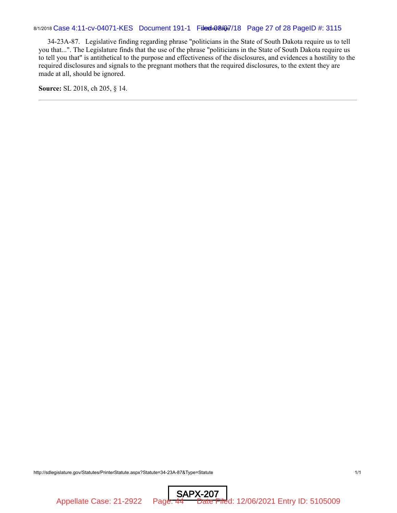34-23A-87. Legislative finding regarding phrase "politicians in the State of South Dakota require us to tell you that...". The Legislature finds that the use of the phrase "politicians in the State of South Dakota require us to tell you that" is antithetical to the purpose and effectiveness of the disclosures, and evidences a hostility to the required disclosures and signals to the pregnant mothers that the required disclosures, to the extent they are made at all, should be ignored.

**Source:** SL 2018, ch 205, § 14.

http://sdlegislature.gov/Statutes/PrinterStatute.aspx?Statute=34-23A-87&Type=Statute 1/1

SAPX-207 Appellate Case: 21-2922 Page: 44 Date Filed: 12/06/2021 Entry ID: 5105009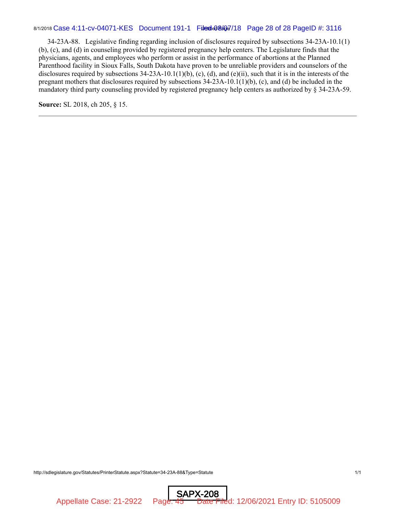## 8/1/2018 Case 4:11-cv-04071-KES Document 191-1 Filedde08407/18 Page 28 of 28 PageID #: 3116

 34-23A-88. Legislative finding regarding inclusion of disclosures required by subsections 34-23A-10.1(1) (b), (c), and (d) in counseling provided by registered pregnancy help centers. The Legislature finds that the physicians, agents, and employees who perform or assist in the performance of abortions at the Planned Parenthood facility in Sioux Falls, South Dakota have proven to be unreliable providers and counselors of the disclosures required by subsections  $34-23A-10.1(1)(b)$ , (c), (d), and (e)(ii), such that it is in the interests of the pregnant mothers that disclosures required by subsections 34-23A-10.1(1)(b), (c), and (d) be included in the mandatory third party counseling provided by registered pregnancy help centers as authorized by § 34-23A-59.

**Source:** SL 2018, ch 205, § 15.

http://sdlegislature.gov/Statutes/PrinterStatute.aspx?Statute=34-23A-88&Type=Statute 1/1

SAPX-208 Appellate Case: 21-2922 Page: 45 Date Filed: 12/06/2021 Entry ID: 5105009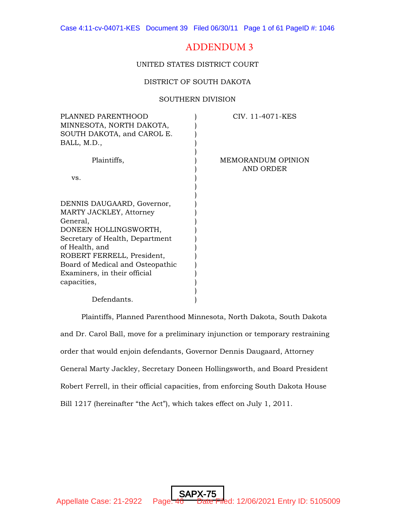# ADDENDUM 3

UNITED STATES DISTRICT COURT

## DISTRICT OF SOUTH DAKOTA

#### SOUTHERN DIVISION

| PLANNED PARENTHOOD<br>MINNESOTA, NORTH DAKOTA,<br>SOUTH DAKOTA, and CAROL E.<br>BALL, M.D., | CIV. 11-4071-KES                |
|---------------------------------------------------------------------------------------------|---------------------------------|
| Plaintiffs,                                                                                 | MEMORANDUM OPINION<br>AND ORDER |
| VS.                                                                                         |                                 |
| DENNIS DAUGAARD, Governor,                                                                  |                                 |
| MARTY JACKLEY, Attorney                                                                     |                                 |
| General,                                                                                    |                                 |
| DONEEN HOLLINGSWORTH,                                                                       |                                 |
| Secretary of Health, Department                                                             |                                 |
| of Health, and                                                                              |                                 |
| ROBERT FERRELL, President,                                                                  |                                 |
| Board of Medical and Osteopathic                                                            |                                 |
| Examiners, in their official                                                                |                                 |
| capacities,                                                                                 |                                 |
| Defendants.                                                                                 |                                 |

Plaintiffs, Planned Parenthood Minnesota, North Dakota, South Dakota and Dr. Carol Ball, move for a preliminary injunction or temporary restraining order that would enjoin defendants, Governor Dennis Daugaard, Attorney General Marty Jackley, Secretary Doneen Hollingsworth, and Board President Robert Ferrell, in their official capacities, from enforcing South Dakota House Bill 1217 (hereinafter "the Act"), which takes effect on July 1, 2011.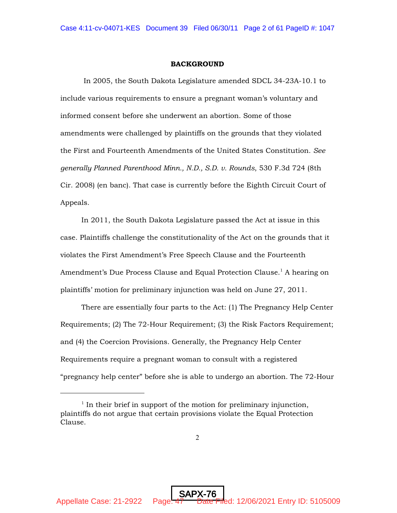## BACKGROUND

 In 2005, the South Dakota Legislature amended SDCL 34-23A-10.1 to include various requirements to ensure a pregnant woman's voluntary and informed consent before she underwent an abortion. Some of those amendments were challenged by plaintiffs on the grounds that they violated the First and Fourteenth Amendments of the United States Constitution. *See generally Planned Parenthood Minn., N.D., S.D. v. Rounds*, 530 F.3d 724 (8th Cir. 2008) (en banc). That case is currently before the Eighth Circuit Court of Appeals.

In 2011, the South Dakota Legislature passed the Act at issue in this case. Plaintiffs challenge the constitutionality of the Act on the grounds that it violates the First Amendment's Free Speech Clause and the Fourteenth Amendment's Due Process Clause and Equal Protection Clause.<sup>1</sup> A hearing on plaintiffs' motion for preliminary injunction was held on June 27, 2011.

There are essentially four parts to the Act: (1) The Pregnancy Help Center Requirements; (2) The 72-Hour Requirement; (3) the Risk Factors Requirement; and (4) the Coercion Provisions. Generally, the Pregnancy Help Center Requirements require a pregnant woman to consult with a registered "pregnancy help center" before she is able to undergo an abortion. The 72-Hour

 $1$  In their brief in support of the motion for preliminary injunction, plaintiffs do not argue that certain provisions violate the Equal Protection Clause.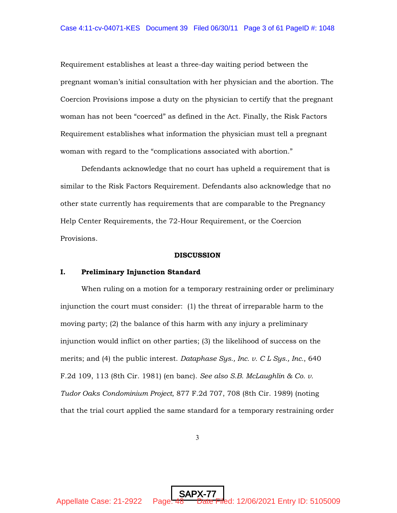Requirement establishes at least a three-day waiting period between the pregnant woman's initial consultation with her physician and the abortion. The Coercion Provisions impose a duty on the physician to certify that the pregnant woman has not been "coerced" as defined in the Act. Finally, the Risk Factors Requirement establishes what information the physician must tell a pregnant woman with regard to the "complications associated with abortion."

Defendants acknowledge that no court has upheld a requirement that is similar to the Risk Factors Requirement. Defendants also acknowledge that no other state currently has requirements that are comparable to the Pregnancy Help Center Requirements, the 72-Hour Requirement, or the Coercion Provisions.

#### DISCUSSION

#### I. Preliminary Injunction Standard

When ruling on a motion for a temporary restraining order or preliminary injunction the court must consider: (1) the threat of irreparable harm to the moving party; (2) the balance of this harm with any injury a preliminary injunction would inflict on other parties; (3) the likelihood of success on the merits; and (4) the public interest. *Dataphase Sys., Inc. v. C L Sys., Inc.*, 640 F.2d 109, 113 (8th Cir. 1981) (en banc). *See also S.B. McLaughlin & Co. v. Tudor Oaks Condominium Project*, 877 F.2d 707, 708 (8th Cir. 1989) (noting that the trial court applied the same standard for a temporary restraining order

3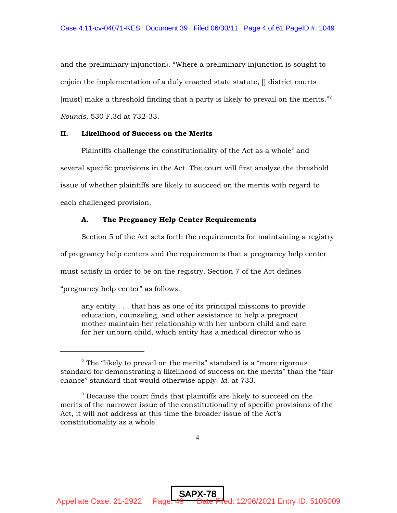and the preliminary injunction). "Where a preliminary injunction is sought to enjoin the implementation of a duly enacted state statute, [] district courts [must] make a threshold finding that a party is likely to prevail on the merits."<sup>2</sup> *Rounds*, 530 F.3d at 732-33.

## II. Likelihood of Success on the Merits

Plaintiffs challenge the constitutionality of the Act as a whole<sup>3</sup> and several specific provisions in the Act. The court will first analyze the threshold issue of whether plaintiffs are likely to succeed on the merits with regard to each challenged provision.

## A. The Pregnancy Help Center Requirements

Section 5 of the Act sets forth the requirements for maintaining a registry of pregnancy help centers and the requirements that a pregnancy help center must satisfy in order to be on the registry. Section 7 of the Act defines "pregnancy help center" as follows:

any entity . . . that has as one of its principal missions to provide education, counseling, and other assistance to help a pregnant mother maintain her relationship with her unborn child and care for her unborn child, which entity has a medical director who is

SAPX-78

Appellate Case: 21-2922 Page: 49 Date Filed: 12/06/2021 Entry ID: 5105009

 $2$  The "likely to prevail on the merits" standard is a "more rigorous standard for demonstrating a likelihood of success on the merits" than the "fair chance" standard that would otherwise apply. *Id.* at 733.

 $3$  Because the court finds that plaintiffs are likely to succeed on the merits of the narrower issue of the constitutionality of specific provisions of the Act, it will not address at this time the broader issue of the Act's constitutionality as a whole.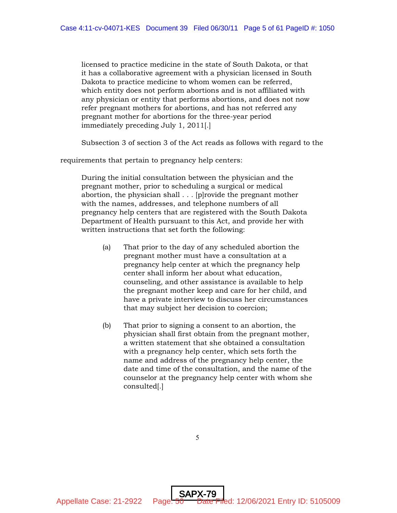licensed to practice medicine in the state of South Dakota, or that it has a collaborative agreement with a physician licensed in South Dakota to practice medicine to whom women can be referred, which entity does not perform abortions and is not affiliated with any physician or entity that performs abortions, and does not now refer pregnant mothers for abortions, and has not referred any pregnant mother for abortions for the three-year period immediately preceding July 1, 2011[.]

Subsection 3 of section 3 of the Act reads as follows with regard to the

requirements that pertain to pregnancy help centers:

During the initial consultation between the physician and the pregnant mother, prior to scheduling a surgical or medical abortion, the physician shall . . . [p]rovide the pregnant mother with the names, addresses, and telephone numbers of all pregnancy help centers that are registered with the South Dakota Department of Health pursuant to this Act, and provide her with written instructions that set forth the following:

- (a) That prior to the day of any scheduled abortion the pregnant mother must have a consultation at a pregnancy help center at which the pregnancy help center shall inform her about what education, counseling, and other assistance is available to help the pregnant mother keep and care for her child, and have a private interview to discuss her circumstances that may subject her decision to coercion;
- (b) That prior to signing a consent to an abortion, the physician shall first obtain from the pregnant mother, a written statement that she obtained a consultation with a pregnancy help center, which sets forth the name and address of the pregnancy help center, the date and time of the consultation, and the name of the counselor at the pregnancy help center with whom she consulted[.]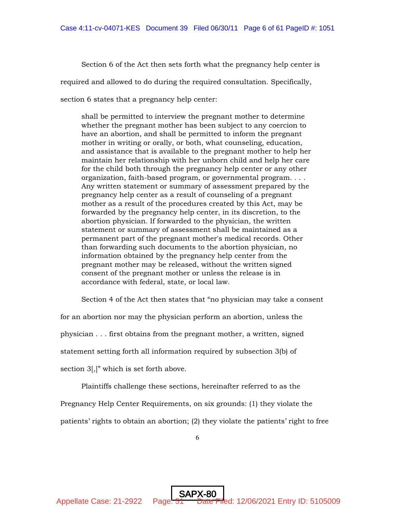Section 6 of the Act then sets forth what the pregnancy help center is

required and allowed to do during the required consultation. Specifically,

section 6 states that a pregnancy help center:

shall be permitted to interview the pregnant mother to determine whether the pregnant mother has been subject to any coercion to have an abortion, and shall be permitted to inform the pregnant mother in writing or orally, or both, what counseling, education, and assistance that is available to the pregnant mother to help her maintain her relationship with her unborn child and help her care for the child both through the pregnancy help center or any other organization, faith-based program, or governmental program. . . . Any written statement or summary of assessment prepared by the pregnancy help center as a result of counseling of a pregnant mother as a result of the procedures created by this Act, may be forwarded by the pregnancy help center, in its discretion, to the abortion physician. If forwarded to the physician, the written statement or summary of assessment shall be maintained as a permanent part of the pregnant mother's medical records. Other than forwarding such documents to the abortion physician, no information obtained by the pregnancy help center from the pregnant mother may be released, without the written signed consent of the pregnant mother or unless the release is in accordance with federal, state, or local law.

Section 4 of the Act then states that "no physician may take a consent

for an abortion nor may the physician perform an abortion, unless the

physician . . . first obtains from the pregnant mother, a written, signed

statement setting forth all information required by subsection 3(b) of

section  $3$ ,]" which is set forth above.

Plaintiffs challenge these sections, hereinafter referred to as the

Pregnancy Help Center Requirements, on six grounds: (1) they violate the

patients' rights to obtain an abortion; (2) they violate the patients' right to free

SAPX-80

Appellate Case: 21-2922 Page:  $\frac{51}{200}$  Date Filed: 12/06/2021 Entry ID: 5105009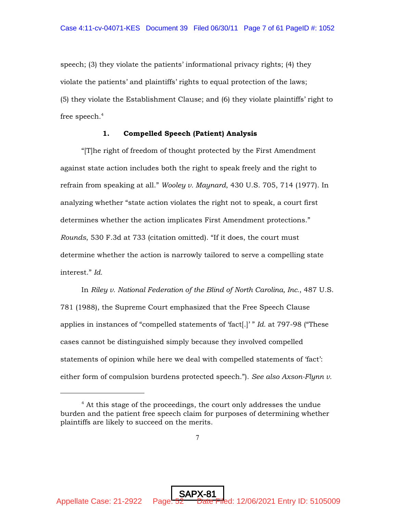speech; (3) they violate the patients' informational privacy rights; (4) they violate the patients' and plaintiffs' rights to equal protection of the laws; (5) they violate the Establishment Clause; and (6) they violate plaintiffs' right to free speech. $4$ 

## 1. Compelled Speech (Patient) Analysis

"[T]he right of freedom of thought protected by the First Amendment against state action includes both the right to speak freely and the right to refrain from speaking at all." *Wooley v. Maynard*, 430 U.S. 705, 714 (1977). In analyzing whether "state action violates the right not to speak, a court first determines whether the action implicates First Amendment protections." *Rounds*, 530 F.3d at 733 (citation omitted). "If it does, the court must determine whether the action is narrowly tailored to serve a compelling state interest." *Id.*

In *Riley v. National Federation of the Blind of North Carolina, Inc.*, 487 U.S. 781 (1988), the Supreme Court emphasized that the Free Speech Clause applies in instances of "compelled statements of 'fact[.]' " *Id.* at 797-98 ("These cases cannot be distinguished simply because they involved compelled statements of opinion while here we deal with compelled statements of 'fact': either form of compulsion burdens protected speech."). *See also Axson-Flynn v.*

 $4$  At this stage of the proceedings, the court only addresses the undue burden and the patient free speech claim for purposes of determining whether plaintiffs are likely to succeed on the merits.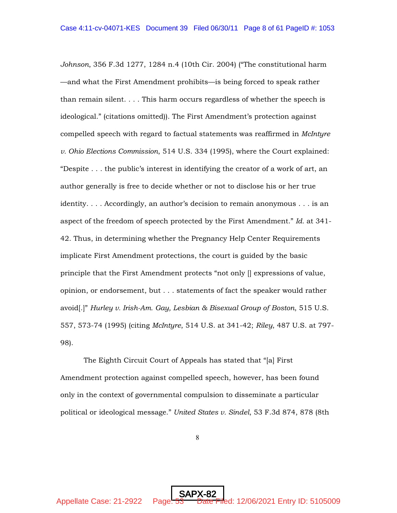*Johnson*, 356 F.3d 1277, 1284 n.4 (10th Cir. 2004) ("The constitutional harm —and what the First Amendment prohibits—is being forced to speak rather than remain silent. . . . This harm occurs regardless of whether the speech is ideological." (citations omitted)). The First Amendment's protection against compelled speech with regard to factual statements was reaffirmed in *McIntyre v. Ohio Elections Commission*, 514 U.S. 334 (1995), where the Court explained: "Despite . . . the public's interest in identifying the creator of a work of art, an author generally is free to decide whether or not to disclose his or her true identity. . . . Accordingly, an author's decision to remain anonymous . . . is an aspect of the freedom of speech protected by the First Amendment." *Id.* at 341- 42. Thus, in determining whether the Pregnancy Help Center Requirements implicate First Amendment protections, the court is guided by the basic principle that the First Amendment protects "not only [] expressions of value, opinion, or endorsement, but . . . statements of fact the speaker would rather avoid[.]" *Hurley v. Irish-Am. Gay, Lesbian & Bisexual Group of Boston*, 515 U.S. 557, 573-74 (1995) (citing *McIntyre*, 514 U.S. at 341-42; *Riley*, 487 U.S. at 797- 98).

 The Eighth Circuit Court of Appeals has stated that "[a] First Amendment protection against compelled speech, however, has been found only in the context of governmental compulsion to disseminate a particular political or ideological message." *United States v. Sindel*, 53 F.3d 874, 878 (8th

8

SAPX-82

Appellate Case: 21-2922 Page: 53 Date Filed: 12/06/2021 Entry ID: 5105009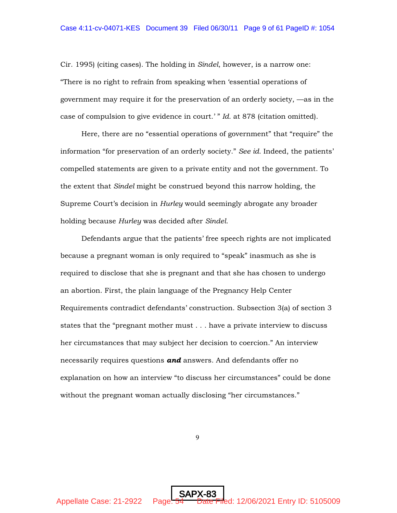Cir. 1995) (citing cases). The holding in *Sindel*, however, is a narrow one: "There is no right to refrain from speaking when 'essential operations of government may require it for the preservation of an orderly society, —as in the case of compulsion to give evidence in court.' " *Id.* at 878 (citation omitted).

Here, there are no "essential operations of government" that "require" the information "for preservation of an orderly society." *See id.* Indeed, the patients' compelled statements are given to a private entity and not the government. To the extent that *Sindel* might be construed beyond this narrow holding, the Supreme Court's decision in *Hurley* would seemingly abrogate any broader holding because *Hurley* was decided after *Sindel*.

Defendants argue that the patients' free speech rights are not implicated because a pregnant woman is only required to "speak" inasmuch as she is required to disclose that she is pregnant and that she has chosen to undergo an abortion. First, the plain language of the Pregnancy Help Center Requirements contradict defendants' construction. Subsection 3(a) of section 3 states that the "pregnant mother must . . . have a private interview to discuss her circumstances that may subject her decision to coercion." An interview necessarily requires questions *and* answers. And defendants offer no explanation on how an interview "to discuss her circumstances" could be done without the pregnant woman actually disclosing "her circumstances."

9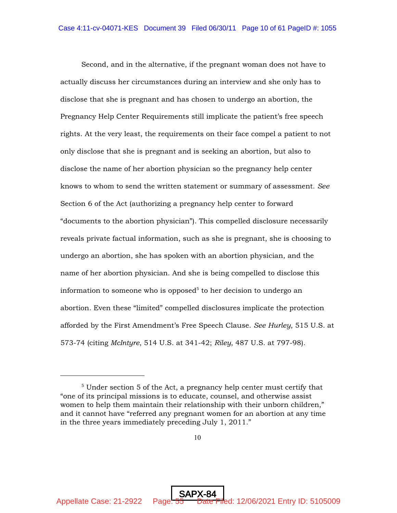Second, and in the alternative, if the pregnant woman does not have to actually discuss her circumstances during an interview and she only has to disclose that she is pregnant and has chosen to undergo an abortion, the Pregnancy Help Center Requirements still implicate the patient's free speech rights. At the very least, the requirements on their face compel a patient to not only disclose that she is pregnant and is seeking an abortion, but also to disclose the name of her abortion physician so the pregnancy help center knows to whom to send the written statement or summary of assessment. *See* Section 6 of the Act (authorizing a pregnancy help center to forward "documents to the abortion physician"). This compelled disclosure necessarily reveals private factual information, such as she is pregnant, she is choosing to undergo an abortion, she has spoken with an abortion physician, and the name of her abortion physician. And she is being compelled to disclose this information to someone who is opposed<sup>5</sup> to her decision to undergo an abortion. Even these "limited" compelled disclosures implicate the protection afforded by the First Amendment's Free Speech Clause. *See Hurley*, 515 U.S. at 573-74 (citing *McIntyre*, 514 U.S. at 341-42; *Riley*, 487 U.S. at 797-98).

SAPX-84

Appellate Case: 21-2922 Page: 55 Date Filed: 12/06/2021 Entry ID: 5105009

 $5$  Under section 5 of the Act, a pregnancy help center must certify that "one of its principal missions is to educate, counsel, and otherwise assist women to help them maintain their relationship with their unborn children," and it cannot have "referred any pregnant women for an abortion at any time in the three years immediately preceding July 1, 2011."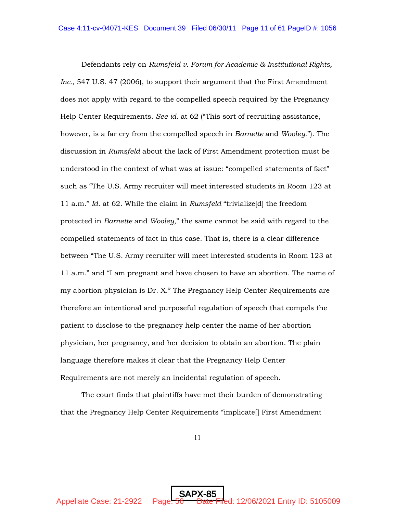Defendants rely on *Rumsfeld v. Forum for Academic & Institutional Rights, Inc.*, 547 U.S. 47 (2006), to support their argument that the First Amendment does not apply with regard to the compelled speech required by the Pregnancy Help Center Requirements. *See id.* at 62 ("This sort of recruiting assistance, however, is a far cry from the compelled speech in *Barnette* and *Wooley*."). The discussion in *Rumsfeld* about the lack of First Amendment protection must be understood in the context of what was at issue: "compelled statements of fact" such as "The U.S. Army recruiter will meet interested students in Room 123 at 11 a.m." *Id.* at 62. While the claim in *Rumsfeld* "trivialize[d] the freedom protected in *Barnette* and *Wooley*," the same cannot be said with regard to the compelled statements of fact in this case. That is, there is a clear difference between "The U.S. Army recruiter will meet interested students in Room 123 at 11 a.m." and "I am pregnant and have chosen to have an abortion. The name of my abortion physician is Dr. X." The Pregnancy Help Center Requirements are therefore an intentional and purposeful regulation of speech that compels the patient to disclose to the pregnancy help center the name of her abortion physician, her pregnancy, and her decision to obtain an abortion. The plain language therefore makes it clear that the Pregnancy Help Center Requirements are not merely an incidental regulation of speech.

The court finds that plaintiffs have met their burden of demonstrating that the Pregnancy Help Center Requirements "implicate[] First Amendment

11

SAPX-85

Appellate Case: 21-2922 Page:  $\frac{56}{6}$  Date Filed: 12/06/2021 Entry ID: 5105009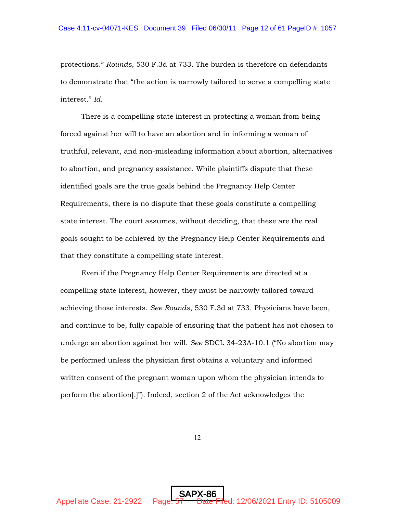protections." *Rounds*, 530 F.3d at 733. The burden is therefore on defendants to demonstrate that "the action is narrowly tailored to serve a compelling state interest." *Id.*

There is a compelling state interest in protecting a woman from being forced against her will to have an abortion and in informing a woman of truthful, relevant, and non-misleading information about abortion, alternatives to abortion, and pregnancy assistance. While plaintiffs dispute that these identified goals are the true goals behind the Pregnancy Help Center Requirements, there is no dispute that these goals constitute a compelling state interest. The court assumes, without deciding, that these are the real goals sought to be achieved by the Pregnancy Help Center Requirements and that they constitute a compelling state interest.

Even if the Pregnancy Help Center Requirements are directed at a compelling state interest, however, they must be narrowly tailored toward achieving those interests. *See Rounds*, 530 F.3d at 733. Physicians have been, and continue to be, fully capable of ensuring that the patient has not chosen to undergo an abortion against her will. *See* SDCL 34-23A-10.1 ("No abortion may be performed unless the physician first obtains a voluntary and informed written consent of the pregnant woman upon whom the physician intends to perform the abortion[.]"). Indeed, section 2 of the Act acknowledges the

12

SAPX-86

Appellate Case: 21-2922 Page: 57 Date Filed: 12/06/2021 Entry ID: 5105009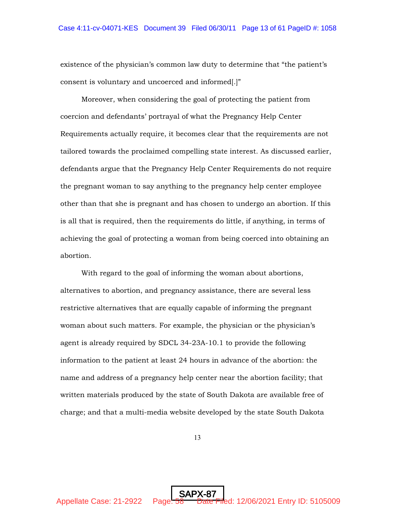existence of the physician's common law duty to determine that "the patient's consent is voluntary and uncoerced and informed[.]"

Moreover, when considering the goal of protecting the patient from coercion and defendants' portrayal of what the Pregnancy Help Center Requirements actually require, it becomes clear that the requirements are not tailored towards the proclaimed compelling state interest. As discussed earlier, defendants argue that the Pregnancy Help Center Requirements do not require the pregnant woman to say anything to the pregnancy help center employee other than that she is pregnant and has chosen to undergo an abortion. If this is all that is required, then the requirements do little, if anything, in terms of achieving the goal of protecting a woman from being coerced into obtaining an abortion.

With regard to the goal of informing the woman about abortions, alternatives to abortion, and pregnancy assistance, there are several less restrictive alternatives that are equally capable of informing the pregnant woman about such matters. For example, the physician or the physician's agent is already required by SDCL 34-23A-10.1 to provide the following information to the patient at least 24 hours in advance of the abortion: the name and address of a pregnancy help center near the abortion facility; that written materials produced by the state of South Dakota are available free of charge; and that a multi-media website developed by the state South Dakota

13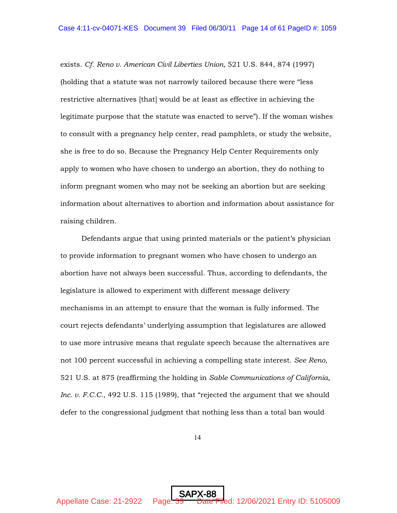exists. *Cf. Reno v. American Civil Liberties Union,* 521 U.S. 844, 874 (1997) (holding that a statute was not narrowly tailored because there were "less restrictive alternatives [that] would be at least as effective in achieving the legitimate purpose that the statute was enacted to serve"). If the woman wishes to consult with a pregnancy help center, read pamphlets, or study the website, she is free to do so. Because the Pregnancy Help Center Requirements only apply to women who have chosen to undergo an abortion, they do nothing to inform pregnant women who may not be seeking an abortion but are seeking information about alternatives to abortion and information about assistance for raising children.

Defendants argue that using printed materials or the patient's physician to provide information to pregnant women who have chosen to undergo an abortion have not always been successful. Thus, according to defendants, the legislature is allowed to experiment with different message delivery mechanisms in an attempt to ensure that the woman is fully informed. The court rejects defendants' underlying assumption that legislatures are allowed to use more intrusive means that regulate speech because the alternatives are not 100 percent successful in achieving a compelling state interest. *See Reno*, 521 U.S. at 875 (reaffirming the holding in *Sable Communications of California, Inc. v. F.C.C.*, 492 U.S. 115 (1989), that "rejected the argument that we should defer to the congressional judgment that nothing less than a total ban would

14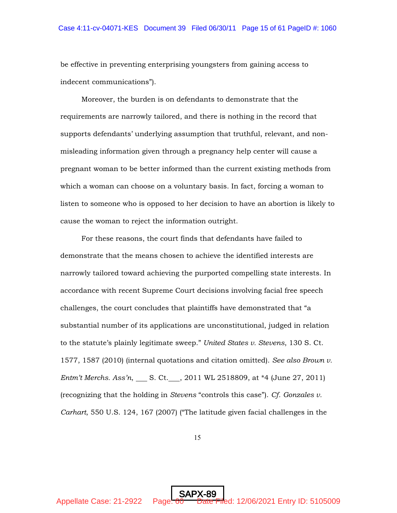be effective in preventing enterprising youngsters from gaining access to indecent communications").

Moreover, the burden is on defendants to demonstrate that the requirements are narrowly tailored, and there is nothing in the record that supports defendants' underlying assumption that truthful, relevant, and nonmisleading information given through a pregnancy help center will cause a pregnant woman to be better informed than the current existing methods from which a woman can choose on a voluntary basis. In fact, forcing a woman to listen to someone who is opposed to her decision to have an abortion is likely to cause the woman to reject the information outright.

For these reasons, the court finds that defendants have failed to demonstrate that the means chosen to achieve the identified interests are narrowly tailored toward achieving the purported compelling state interests. In accordance with recent Supreme Court decisions involving facial free speech challenges, the court concludes that plaintiffs have demonstrated that "a substantial number of its applications are unconstitutional, judged in relation to the statute's plainly legitimate sweep." *United States v. Stevens*, 130 S. Ct. 1577, 1587 (2010) (internal quotations and citation omitted). *See also Brown v. Entm't Merchs. Ass'n*, S. Ct. , 2011 WL 2518809, at \*4 (June 27, 2011) (recognizing that the holding in *Stevens* "controls this case"). *Cf. Gonzales v. Carhart*, 550 U.S. 124, 167 (2007) ("The latitude given facial challenges in the

15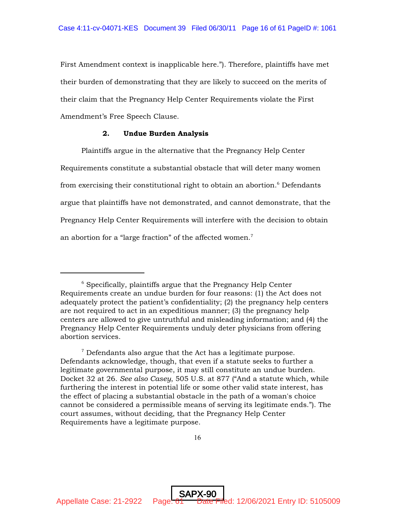First Amendment context is inapplicable here."). Therefore, plaintiffs have met their burden of demonstrating that they are likely to succeed on the merits of their claim that the Pregnancy Help Center Requirements violate the First Amendment's Free Speech Clause.

## 2. Undue Burden Analysis

Plaintiffs argue in the alternative that the Pregnancy Help Center Requirements constitute a substantial obstacle that will deter many women from exercising their constitutional right to obtain an abortion. $6$  Defendants argue that plaintiffs have not demonstrated, and cannot demonstrate, that the Pregnancy Help Center Requirements will interfere with the decision to obtain an abortion for a "large fraction" of the affected women.<sup>7</sup>

 $6$  Specifically, plaintiffs argue that the Pregnancy Help Center Requirements create an undue burden for four reasons: (1) the Act does not adequately protect the patient's confidentiality; (2) the pregnancy help centers are not required to act in an expeditious manner; (3) the pregnancy help centers are allowed to give untruthful and misleading information; and (4) the Pregnancy Help Center Requirements unduly deter physicians from offering abortion services.

 $7$  Defendants also argue that the Act has a legitimate purpose. Defendants acknowledge, though, that even if a statute seeks to further a legitimate governmental purpose, it may still constitute an undue burden. Docket 32 at 26. *See also Casey*, 505 U.S. at 877 ("And a statute which, while furthering the interest in potential life or some other valid state interest, has the effect of placing a substantial obstacle in the path of a woman's choice cannot be considered a permissible means of serving its legitimate ends."). The court assumes, without deciding, that the Pregnancy Help Center Requirements have a legitimate purpose.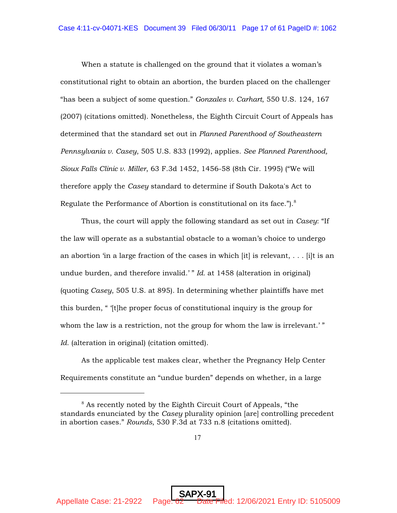When a statute is challenged on the ground that it violates a woman's constitutional right to obtain an abortion, the burden placed on the challenger "has been a subject of some question." *Gonzales v. Carhart*, 550 U.S. 124, 167 (2007) (citations omitted). Nonetheless, the Eighth Circuit Court of Appeals has determined that the standard set out in *Planned Parenthood of Southeastern Pennsylvania v. Casey*, 505 U.S. 833 (1992), applies. *See Planned Parenthood, Sioux Falls Clinic v. Miller*, 63 F.3d 1452, 1456-58 (8th Cir. 1995) ("We will therefore apply the *Casey* standard to determine if South Dakota's Act to Regulate the Performance of Abortion is constitutional on its face."). $8$ 

Thus, the court will apply the following standard as set out in *Casey*: "If the law will operate as a substantial obstacle to a woman's choice to undergo an abortion 'in a large fraction of the cases in which  $[it]$  is relevant, ...  $[i]$  is an undue burden, and therefore invalid.' " *Id.* at 1458 (alteration in original) (quoting *Casey*, 505 U.S. at 895). In determining whether plaintiffs have met this burden, " '[t]he proper focus of constitutional inquiry is the group for whom the law is a restriction, not the group for whom the law is irrelevant.'" *Id.* (alteration in original) (citation omitted).

As the applicable test makes clear, whether the Pregnancy Help Center Requirements constitute an "undue burden" depends on whether, in a large

 $8$  As recently noted by the Eighth Circuit Court of Appeals, "the standards enunciated by the *Casey* plurality opinion [are] controlling precedent in abortion cases." *Rounds*, 530 F.3d at 733 n.8 (citations omitted).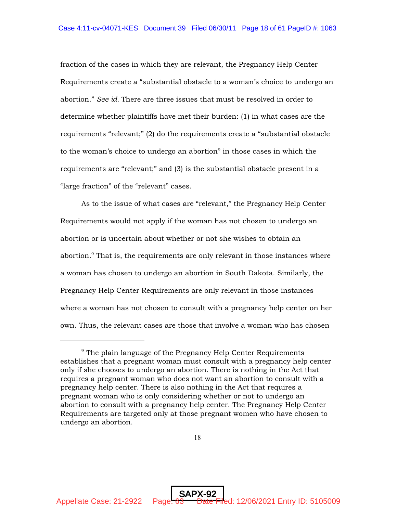fraction of the cases in which they are relevant, the Pregnancy Help Center Requirements create a "substantial obstacle to a woman's choice to undergo an abortion." *See id.* There are three issues that must be resolved in order to determine whether plaintiffs have met their burden: (1) in what cases are the requirements "relevant;" (2) do the requirements create a "substantial obstacle to the woman's choice to undergo an abortion" in those cases in which the requirements are "relevant;" and (3) is the substantial obstacle present in a "large fraction" of the "relevant" cases.

As to the issue of what cases are "relevant," the Pregnancy Help Center Requirements would not apply if the woman has not chosen to undergo an abortion or is uncertain about whether or not she wishes to obtain an abortion.<sup>9</sup> That is, the requirements are only relevant in those instances where a woman has chosen to undergo an abortion in South Dakota. Similarly, the Pregnancy Help Center Requirements are only relevant in those instances where a woman has not chosen to consult with a pregnancy help center on her own. Thus, the relevant cases are those that involve a woman who has chosen

 $9$  The plain language of the Pregnancy Help Center Requirements establishes that a pregnant woman must consult with a pregnancy help center only if she chooses to undergo an abortion. There is nothing in the Act that requires a pregnant woman who does not want an abortion to consult with a pregnancy help center. There is also nothing in the Act that requires a pregnant woman who is only considering whether or not to undergo an abortion to consult with a pregnancy help center. The Pregnancy Help Center Requirements are targeted only at those pregnant women who have chosen to undergo an abortion.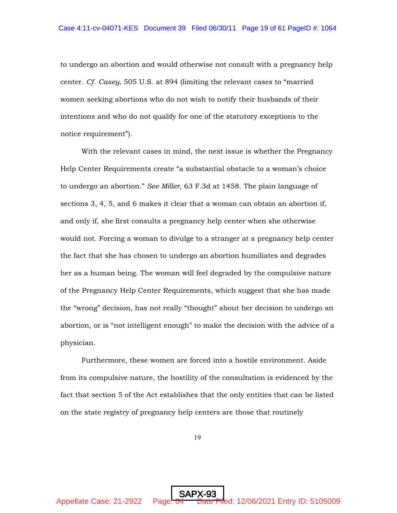to undergo an abortion and would otherwise not consult with a pregnancy help center. *Cf. Casey*, 505 U.S. at 894 (limiting the relevant cases to "married women seeking abortions who do not wish to notify their husbands of their intentions and who do not qualify for one of the statutory exceptions to the notice requirement").

With the relevant cases in mind, the next issue is whether the Pregnancy Help Center Requirements create "a substantial obstacle to a woman's choice to undergo an abortion." *See Miller*, 63 F.3d at 1458. The plain language of sections 3, 4, 5, and 6 makes it clear that a woman can obtain an abortion if, and only if, she first consults a pregnancy help center when she otherwise would not. Forcing a woman to divulge to a stranger at a pregnancy help center the fact that she has chosen to undergo an abortion humiliates and degrades her as a human being. The woman will feel degraded by the compulsive nature of the Pregnancy Help Center Requirements, which suggest that she has made the "wrong" decision, has not really "thought" about her decision to undergo an abortion, or is "not intelligent enough" to make the decision with the advice of a physician.

Furthermore, these women are forced into a hostile environment. Aside from its compulsive nature, the hostility of the consultation is evidenced by the fact that section 5 of the Act establishes that the only entities that can be listed on the state registry of pregnancy help centers are those that routinely

19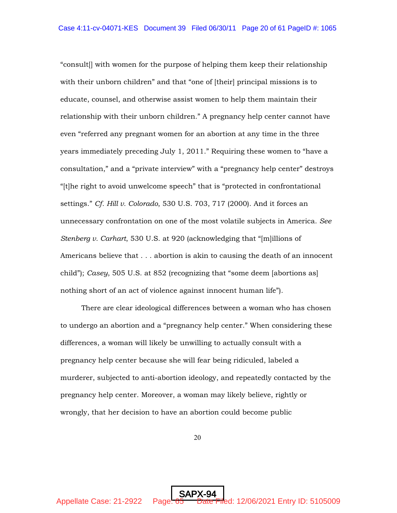"consult[] with women for the purpose of helping them keep their relationship with their unborn children" and that "one of [their] principal missions is to educate, counsel, and otherwise assist women to help them maintain their relationship with their unborn children." A pregnancy help center cannot have even "referred any pregnant women for an abortion at any time in the three years immediately preceding July 1, 2011." Requiring these women to "have a consultation," and a "private interview" with a "pregnancy help center" destroys "[t]he right to avoid unwelcome speech" that is "protected in confrontational settings." *Cf. Hill v. Colorado*, 530 U.S. 703, 717 (2000). And it forces an unnecessary confrontation on one of the most volatile subjects in America. *See Stenberg v. Carhart*, 530 U.S. at 920 (acknowledging that "[m]illions of Americans believe that . . . abortion is akin to causing the death of an innocent child"); *Casey*, 505 U.S. at 852 (recognizing that "some deem [abortions as] nothing short of an act of violence against innocent human life").

There are clear ideological differences between a woman who has chosen to undergo an abortion and a "pregnancy help center." When considering these differences, a woman will likely be unwilling to actually consult with a pregnancy help center because she will fear being ridiculed, labeled a murderer, subjected to anti-abortion ideology, and repeatedly contacted by the pregnancy help center. Moreover, a woman may likely believe, rightly or wrongly, that her decision to have an abortion could become public

20

SAPX-94

Appellate Case: 21-2922 Page: 65 Date Filed: 12/06/2021 Entry ID: 5105009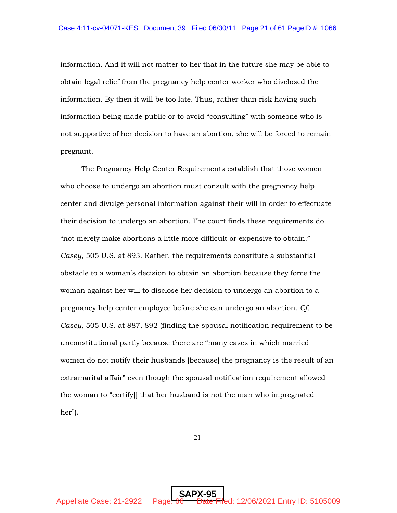information. And it will not matter to her that in the future she may be able to obtain legal relief from the pregnancy help center worker who disclosed the information. By then it will be too late. Thus, rather than risk having such information being made public or to avoid "consulting" with someone who is not supportive of her decision to have an abortion, she will be forced to remain pregnant.

The Pregnancy Help Center Requirements establish that those women who choose to undergo an abortion must consult with the pregnancy help center and divulge personal information against their will in order to effectuate their decision to undergo an abortion. The court finds these requirements do "not merely make abortions a little more difficult or expensive to obtain." *Casey*, 505 U.S. at 893. Rather, the requirements constitute a substantial obstacle to a woman's decision to obtain an abortion because they force the woman against her will to disclose her decision to undergo an abortion to a pregnancy help center employee before she can undergo an abortion. *Cf. Casey*, 505 U.S. at 887, 892 (finding the spousal notification requirement to be unconstitutional partly because there are "many cases in which married women do not notify their husbands [because] the pregnancy is the result of an extramarital affair" even though the spousal notification requirement allowed the woman to "certify[] that her husband is not the man who impregnated her").

21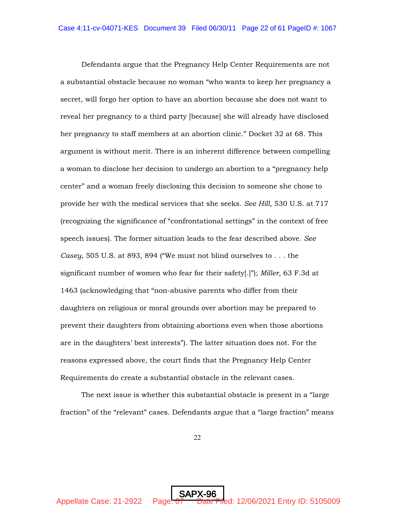Defendants argue that the Pregnancy Help Center Requirements are not a substantial obstacle because no woman "who wants to keep her pregnancy a secret, will forgo her option to have an abortion because she does not want to reveal her pregnancy to a third party [because] she will already have disclosed her pregnancy to staff members at an abortion clinic." Docket 32 at 68. This argument is without merit. There is an inherent difference between compelling a woman to disclose her decision to undergo an abortion to a "pregnancy help center" and a woman freely disclosing this decision to someone she chose to provide her with the medical services that she seeks. *See Hill*, 530 U.S. at 717 (recognizing the significance of "confrontational settings" in the context of free speech issues). The former situation leads to the fear described above. *See Casey*, 505 U.S. at 893, 894 ("We must not blind ourselves to . . . the significant number of women who fear for their safety[.]"); *Miller*, 63 F.3d at 1463 (acknowledging that "non-abusive parents who differ from their daughters on religious or moral grounds over abortion may be prepared to prevent their daughters from obtaining abortions even when those abortions are in the daughters' best interests"). The latter situation does not. For the reasons expressed above, the court finds that the Pregnancy Help Center Requirements do create a substantial obstacle in the relevant cases.

The next issue is whether this substantial obstacle is present in a "large fraction" of the "relevant" cases. Defendants argue that a "large fraction" means

22

SAPX-96

Appellate Case: 21-2922 Page:  $\frac{67}{7}$  Date Filed: 12/06/2021 Entry ID: 5105009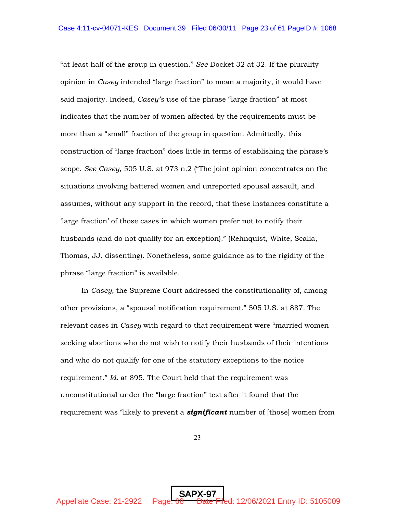"at least half of the group in question." *See* Docket 32 at 32. If the plurality opinion in *Casey* intended "large fraction" to mean a majority, it would have said majority. Indeed, *Casey's* use of the phrase "large fraction" at most indicates that the number of women affected by the requirements must be more than a "small" fraction of the group in question. Admittedly, this construction of "large fraction" does little in terms of establishing the phrase's scope. *See Casey*, 505 U.S. at 973 n.2 ("The joint opinion concentrates on the situations involving battered women and unreported spousal assault, and assumes, without any support in the record, that these instances constitute a 'large fraction' of those cases in which women prefer not to notify their husbands (and do not qualify for an exception)." (Rehnquist, White, Scalia, Thomas, JJ. dissenting). Nonetheless, some guidance as to the rigidity of the phrase "large fraction" is available.

In *Casey*, the Supreme Court addressed the constitutionality of, among other provisions, a "spousal notification requirement." 505 U.S. at 887. The relevant cases in *Casey* with regard to that requirement were "married women seeking abortions who do not wish to notify their husbands of their intentions and who do not qualify for one of the statutory exceptions to the notice requirement." *Id.* at 895. The Court held that the requirement was unconstitutional under the "large fraction" test after it found that the requirement was "likely to prevent a *significant* number of [those] women from

23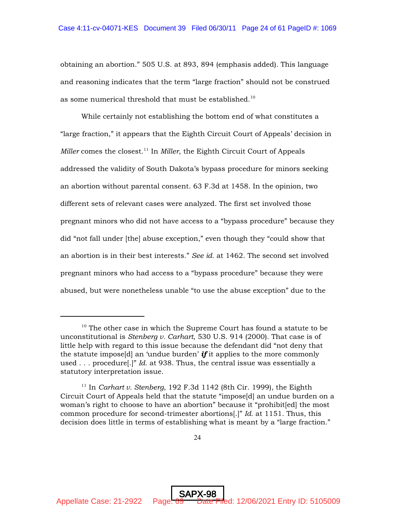obtaining an abortion." 505 U.S. at 893, 894 (emphasis added). This language and reasoning indicates that the term "large fraction" should not be construed as some numerical threshold that must be established.<sup>10</sup>

While certainly not establishing the bottom end of what constitutes a "large fraction," it appears that the Eighth Circuit Court of Appeals' decision in *Miller* comes the closest.<sup>11</sup> In *Miller*, the Eighth Circuit Court of Appeals addressed the validity of South Dakota's bypass procedure for minors seeking an abortion without parental consent. 63 F.3d at 1458. In the opinion, two different sets of relevant cases were analyzed. The first set involved those pregnant minors who did not have access to a "bypass procedure" because they did "not fall under [the] abuse exception," even though they "could show that an abortion is in their best interests." *See id.* at 1462. The second set involved pregnant minors who had access to a "bypass procedure" because they were abused, but were nonetheless unable "to use the abuse exception" due to the

SAPX-98 Appellate Case: 21-2922 Page: 69 Date Filed: 12/06/2021 Entry ID: 5105009

 $10$  The other case in which the Supreme Court has found a statute to be unconstitutional is *Stenberg v. Carhart*, 530 U.S. 914 (2000). That case is of little help with regard to this issue because the defendant did "not deny that the statute impose[d] an 'undue burden' *if* it applies to the more commonly used . . . procedure[.]" *Id.* at 938. Thus, the central issue was essentially a statutory interpretation issue.

<sup>&</sup>lt;sup>11</sup> In *Carhart v. Stenberg*, 192 F.3d 1142 (8th Cir. 1999), the Eighth Circuit Court of Appeals held that the statute "impose[d] an undue burden on a woman's right to choose to have an abortion" because it "prohibit[ed] the most common procedure for second-trimester abortions[.]" *Id.* at 1151. Thus, this decision does little in terms of establishing what is meant by a "large fraction."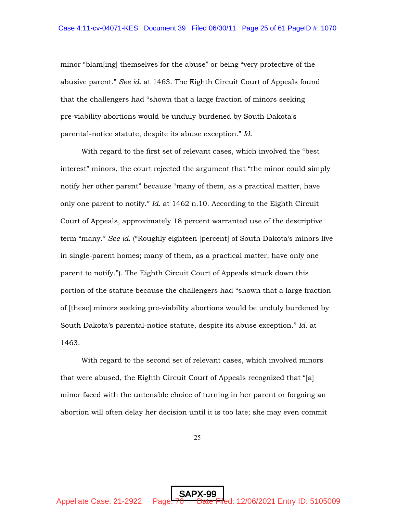minor "blam[ing] themselves for the abuse" or being "very protective of the abusive parent." *See id.* at 1463. The Eighth Circuit Court of Appeals found that the challengers had "shown that a large fraction of minors seeking pre-viability abortions would be unduly burdened by South Dakota's parental-notice statute, despite its abuse exception." *Id.*

With regard to the first set of relevant cases, which involved the "best interest" minors, the court rejected the argument that "the minor could simply notify her other parent" because "many of them, as a practical matter, have only one parent to notify." *Id.* at 1462 n.10. According to the Eighth Circuit Court of Appeals, approximately 18 percent warranted use of the descriptive term "many." *See id.* ("Roughly eighteen [percent] of South Dakota's minors live in single-parent homes; many of them, as a practical matter, have only one parent to notify."). The Eighth Circuit Court of Appeals struck down this portion of the statute because the challengers had "shown that a large fraction of [these] minors seeking pre-viability abortions would be unduly burdened by South Dakota's parental-notice statute, despite its abuse exception." *Id.* at 1463.

With regard to the second set of relevant cases, which involved minors that were abused, the Eighth Circuit Court of Appeals recognized that "[a] minor faced with the untenable choice of turning in her parent or forgoing an abortion will often delay her decision until it is too late; she may even commit

25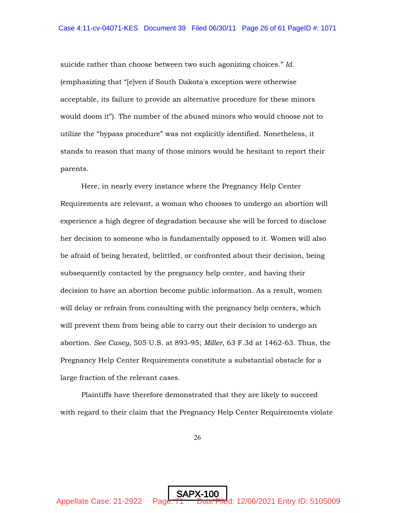suicide rather than choose between two such agonizing choices." *Id.* (emphasizing that "[e]ven if South Dakota's exception were otherwise acceptable, its failure to provide an alternative procedure for these minors would doom it"). The number of the abused minors who would choose not to utilize the "bypass procedure" was not explicitly identified. Nonetheless, it stands to reason that many of those minors would be hesitant to report their parents.

Here, in nearly every instance where the Pregnancy Help Center Requirements are relevant, a woman who chooses to undergo an abortion will experience a high degree of degradation because she will be forced to disclose her decision to someone who is fundamentally opposed to it. Women will also be afraid of being berated, belittled, or confronted about their decision, being subsequently contacted by the pregnancy help center, and having their decision to have an abortion become public information. As a result, women will delay or refrain from consulting with the pregnancy help centers, which will prevent them from being able to carry out their decision to undergo an abortion. *See Casey*, 505 U.S. at 893-95; *Miller*, 63 F.3d at 1462-63. Thus, the Pregnancy Help Center Requirements constitute a substantial obstacle for a large fraction of the relevant cases.

Plaintiffs have therefore demonstrated that they are likely to succeed with regard to their claim that the Pregnancy Help Center Requirements violate

26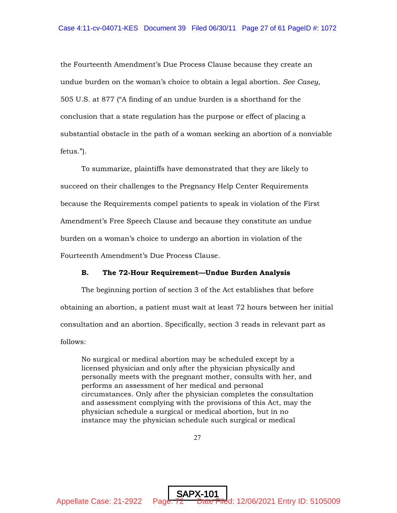the Fourteenth Amendment's Due Process Clause because they create an undue burden on the woman's choice to obtain a legal abortion. *See Casey*, 505 U.S. at 877 ("A finding of an undue burden is a shorthand for the conclusion that a state regulation has the purpose or effect of placing a substantial obstacle in the path of a woman seeking an abortion of a nonviable fetus.").

To summarize, plaintiffs have demonstrated that they are likely to succeed on their challenges to the Pregnancy Help Center Requirements because the Requirements compel patients to speak in violation of the First Amendment's Free Speech Clause and because they constitute an undue burden on a woman's choice to undergo an abortion in violation of the Fourteenth Amendment's Due Process Clause.

#### B. The 72-Hour Requirement—Undue Burden Analysis

The beginning portion of section 3 of the Act establishes that before obtaining an abortion, a patient must wait at least 72 hours between her initial consultation and an abortion. Specifically, section 3 reads in relevant part as follows:

No surgical or medical abortion may be scheduled except by a licensed physician and only after the physician physically and personally meets with the pregnant mother, consults with her, and performs an assessment of her medical and personal circumstances. Only after the physician completes the consultation and assessment complying with the provisions of this Act, may the physician schedule a surgical or medical abortion, but in no instance may the physician schedule such surgical or medical

27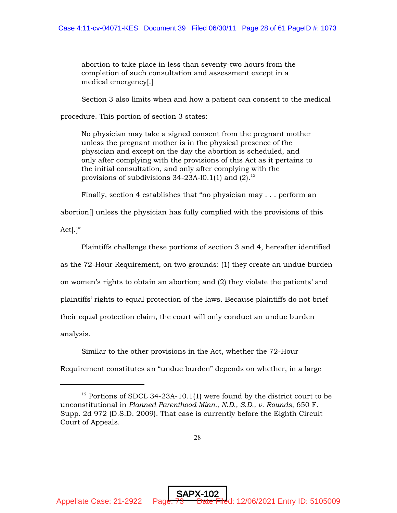abortion to take place in less than seventy-two hours from the completion of such consultation and assessment except in a medical emergency[.]

Section 3 also limits when and how a patient can consent to the medical

procedure. This portion of section 3 states:

No physician may take a signed consent from the pregnant mother unless the pregnant mother is in the physical presence of the physician and except on the day the abortion is scheduled, and only after complying with the provisions of this Act as it pertains to the initial consultation, and only after complying with the provisions of subdivisions  $34-23A-10.1(1)$  and  $(2).^{12}$ 

Finally, section 4 establishes that "no physician may . . . perform an

abortion[] unless the physician has fully complied with the provisions of this

 $Act[.]$ "

Plaintiffs challenge these portions of section 3 and 4, hereafter identified as the 72-Hour Requirement, on two grounds: (1) they create an undue burden on women's rights to obtain an abortion; and (2) they violate the patients' and plaintiffs' rights to equal protection of the laws. Because plaintiffs do not brief their equal protection claim, the court will only conduct an undue burden analysis.

Similar to the other provisions in the Act, whether the 72-Hour

Requirement constitutes an "undue burden" depends on whether, in a large

<sup>&</sup>lt;sup>12</sup> Portions of SDCL 34-23A-10.1(1) were found by the district court to be unconstitutional in *Planned Parenthood Minn., N.D., S.D., v. Rounds*, 650 F. Supp. 2d 972 (D.S.D. 2009). That case is currently before the Eighth Circuit Court of Appeals.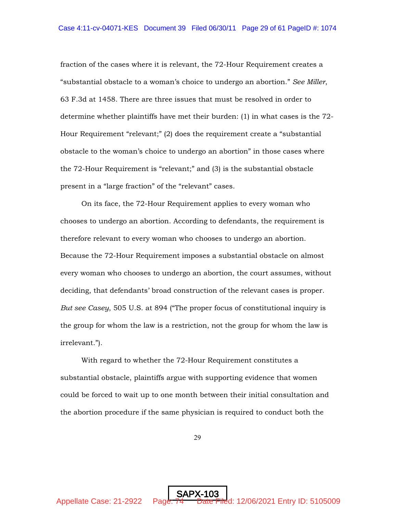fraction of the cases where it is relevant, the 72-Hour Requirement creates a "substantial obstacle to a woman's choice to undergo an abortion." *See Miller*, 63 F.3d at 1458. There are three issues that must be resolved in order to determine whether plaintiffs have met their burden: (1) in what cases is the 72- Hour Requirement "relevant;" (2) does the requirement create a "substantial obstacle to the woman's choice to undergo an abortion" in those cases where the 72-Hour Requirement is "relevant;" and (3) is the substantial obstacle present in a "large fraction" of the "relevant" cases.

On its face, the 72-Hour Requirement applies to every woman who chooses to undergo an abortion. According to defendants, the requirement is therefore relevant to every woman who chooses to undergo an abortion. Because the 72-Hour Requirement imposes a substantial obstacle on almost every woman who chooses to undergo an abortion, the court assumes, without deciding, that defendants' broad construction of the relevant cases is proper. *But see Casey*, 505 U.S. at 894 ("The proper focus of constitutional inquiry is the group for whom the law is a restriction, not the group for whom the law is irrelevant.").

With regard to whether the 72-Hour Requirement constitutes a substantial obstacle, plaintiffs argue with supporting evidence that women could be forced to wait up to one month between their initial consultation and the abortion procedure if the same physician is required to conduct both the

29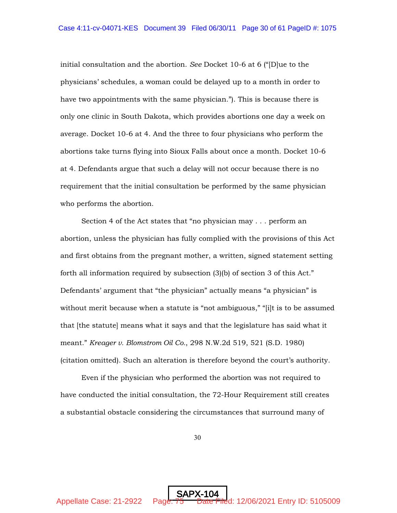initial consultation and the abortion. *See* Docket 10-6 at 6 ("[D]ue to the physicians' schedules, a woman could be delayed up to a month in order to have two appointments with the same physician."). This is because there is only one clinic in South Dakota, which provides abortions one day a week on average. Docket 10-6 at 4. And the three to four physicians who perform the abortions take turns flying into Sioux Falls about once a month. Docket 10-6 at 4. Defendants argue that such a delay will not occur because there is no requirement that the initial consultation be performed by the same physician who performs the abortion.

Section 4 of the Act states that "no physician may . . . perform an abortion, unless the physician has fully complied with the provisions of this Act and first obtains from the pregnant mother, a written, signed statement setting forth all information required by subsection (3)(b) of section 3 of this Act." Defendants' argument that "the physician" actually means "a physician" is without merit because when a statute is "not ambiguous," "[i]t is to be assumed that [the statute] means what it says and that the legislature has said what it meant." *Kreager v. Blomstrom Oil Co.*, 298 N.W.2d 519, 521 (S.D. 1980) (citation omitted). Such an alteration is therefore beyond the court's authority.

Even if the physician who performed the abortion was not required to have conducted the initial consultation, the 72-Hour Requirement still creates a substantial obstacle considering the circumstances that surround many of

30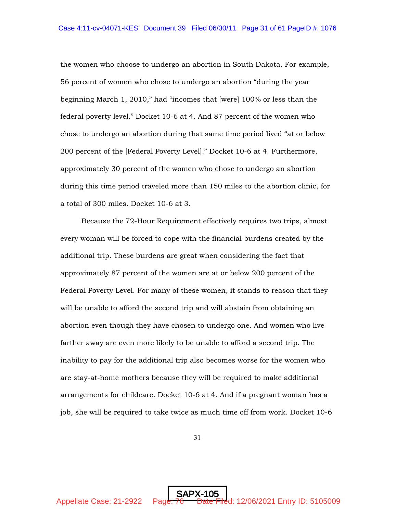the women who choose to undergo an abortion in South Dakota. For example, 56 percent of women who chose to undergo an abortion "during the year beginning March 1, 2010," had "incomes that [were] 100% or less than the federal poverty level." Docket 10-6 at 4. And 87 percent of the women who chose to undergo an abortion during that same time period lived "at or below 200 percent of the [Federal Poverty Level]." Docket 10-6 at 4. Furthermore, approximately 30 percent of the women who chose to undergo an abortion during this time period traveled more than 150 miles to the abortion clinic, for a total of 300 miles. Docket 10-6 at 3.

Because the 72-Hour Requirement effectively requires two trips, almost every woman will be forced to cope with the financial burdens created by the additional trip. These burdens are great when considering the fact that approximately 87 percent of the women are at or below 200 percent of the Federal Poverty Level. For many of these women, it stands to reason that they will be unable to afford the second trip and will abstain from obtaining an abortion even though they have chosen to undergo one. And women who live farther away are even more likely to be unable to afford a second trip. The inability to pay for the additional trip also becomes worse for the women who are stay-at-home mothers because they will be required to make additional arrangements for childcare. Docket 10-6 at 4. And if a pregnant woman has a job, she will be required to take twice as much time off from work. Docket 10-6

31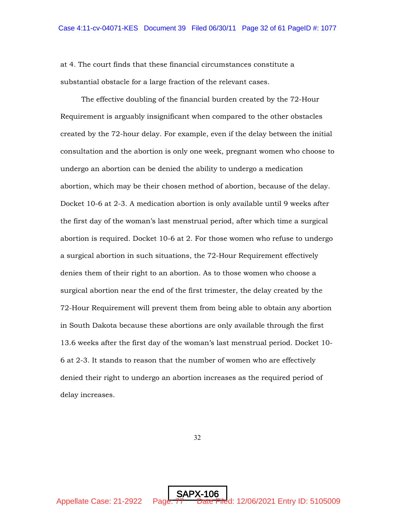at 4. The court finds that these financial circumstances constitute a substantial obstacle for a large fraction of the relevant cases.

The effective doubling of the financial burden created by the 72-Hour Requirement is arguably insignificant when compared to the other obstacles created by the 72-hour delay. For example, even if the delay between the initial consultation and the abortion is only one week, pregnant women who choose to undergo an abortion can be denied the ability to undergo a medication abortion, which may be their chosen method of abortion, because of the delay. Docket 10-6 at 2-3. A medication abortion is only available until 9 weeks after the first day of the woman's last menstrual period, after which time a surgical abortion is required. Docket 10-6 at 2. For those women who refuse to undergo a surgical abortion in such situations, the 72-Hour Requirement effectively denies them of their right to an abortion. As to those women who choose a surgical abortion near the end of the first trimester, the delay created by the 72-Hour Requirement will prevent them from being able to obtain any abortion in South Dakota because these abortions are only available through the first 13.6 weeks after the first day of the woman's last menstrual period. Docket 10- 6 at 2-3. It stands to reason that the number of women who are effectively denied their right to undergo an abortion increases as the required period of delay increases.

32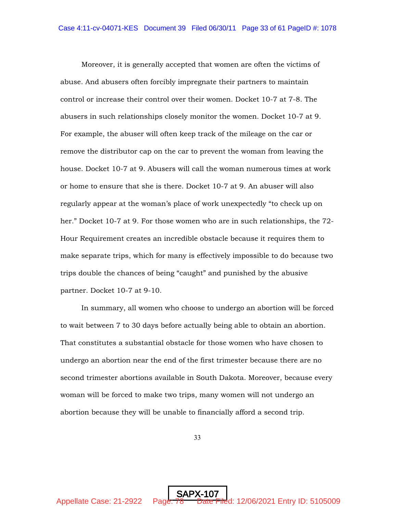Moreover, it is generally accepted that women are often the victims of abuse. And abusers often forcibly impregnate their partners to maintain control or increase their control over their women. Docket 10-7 at 7-8. The abusers in such relationships closely monitor the women. Docket 10-7 at 9. For example, the abuser will often keep track of the mileage on the car or remove the distributor cap on the car to prevent the woman from leaving the house. Docket 10-7 at 9. Abusers will call the woman numerous times at work or home to ensure that she is there. Docket 10-7 at 9. An abuser will also regularly appear at the woman's place of work unexpectedly "to check up on her." Docket 10-7 at 9. For those women who are in such relationships, the 72- Hour Requirement creates an incredible obstacle because it requires them to make separate trips, which for many is effectively impossible to do because two trips double the chances of being "caught" and punished by the abusive partner. Docket 10-7 at 9-10.

In summary, all women who choose to undergo an abortion will be forced to wait between 7 to 30 days before actually being able to obtain an abortion. That constitutes a substantial obstacle for those women who have chosen to undergo an abortion near the end of the first trimester because there are no second trimester abortions available in South Dakota. Moreover, because every woman will be forced to make two trips, many women will not undergo an abortion because they will be unable to financially afford a second trip.

33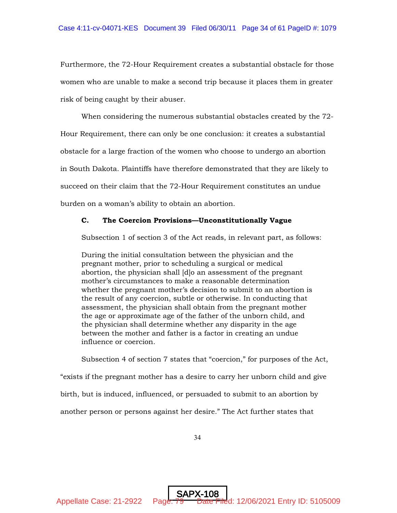Furthermore, the 72-Hour Requirement creates a substantial obstacle for those women who are unable to make a second trip because it places them in greater risk of being caught by their abuser.

When considering the numerous substantial obstacles created by the 72- Hour Requirement, there can only be one conclusion: it creates a substantial obstacle for a large fraction of the women who choose to undergo an abortion in South Dakota. Plaintiffs have therefore demonstrated that they are likely to succeed on their claim that the 72-Hour Requirement constitutes an undue burden on a woman's ability to obtain an abortion.

### C. The Coercion Provisions—Unconstitutionally Vague

Subsection 1 of section 3 of the Act reads, in relevant part, as follows:

During the initial consultation between the physician and the pregnant mother, prior to scheduling a surgical or medical abortion, the physician shall [d]o an assessment of the pregnant mother's circumstances to make a reasonable determination whether the pregnant mother's decision to submit to an abortion is the result of any coercion, subtle or otherwise. In conducting that assessment, the physician shall obtain from the pregnant mother the age or approximate age of the father of the unborn child, and the physician shall determine whether any disparity in the age between the mother and father is a factor in creating an undue influence or coercion.

Subsection 4 of section 7 states that "coercion," for purposes of the Act, "exists if the pregnant mother has a desire to carry her unborn child and give birth, but is induced, influenced, or persuaded to submit to an abortion by another person or persons against her desire." The Act further states that

34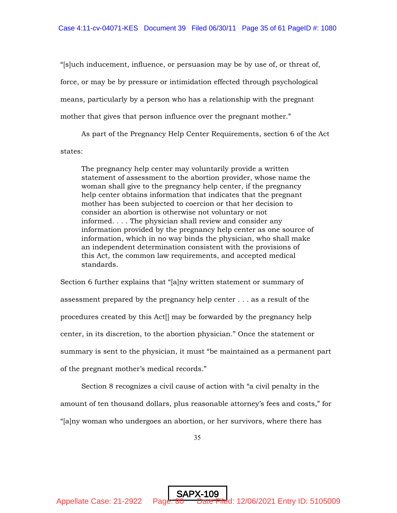"[s]uch inducement, influence, or persuasion may be by use of, or threat of, force, or may be by pressure or intimidation effected through psychological means, particularly by a person who has a relationship with the pregnant mother that gives that person influence over the pregnant mother."

As part of the Pregnancy Help Center Requirements, section 6 of the Act states:

The pregnancy help center may voluntarily provide a written statement of assessment to the abortion provider, whose name the woman shall give to the pregnancy help center, if the pregnancy help center obtains information that indicates that the pregnant mother has been subjected to coercion or that her decision to consider an abortion is otherwise not voluntary or not informed. . . . The physician shall review and consider any information provided by the pregnancy help center as one source of information, which in no way binds the physician, who shall make an independent determination consistent with the provisions of this Act, the common law requirements, and accepted medical standards.

Section 6 further explains that "[a]ny written statement or summary of assessment prepared by the pregnancy help center . . . as a result of the procedures created by this Act[] may be forwarded by the pregnancy help center, in its discretion, to the abortion physician." Once the statement or summary is sent to the physician, it must "be maintained as a permanent part of the pregnant mother's medical records."

Section 8 recognizes a civil cause of action with "a civil penalty in the amount of ten thousand dollars, plus reasonable attorney's fees and costs," for "[a]ny woman who undergoes an abortion, or her survivors, where there has

35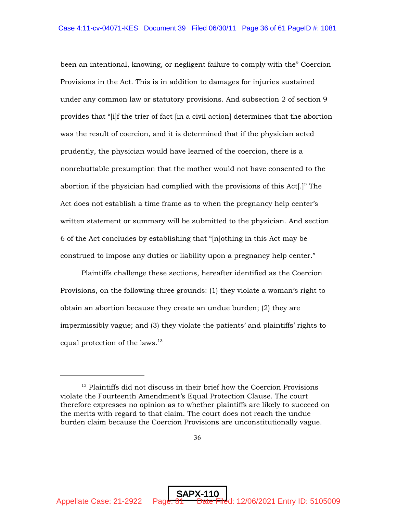been an intentional, knowing, or negligent failure to comply with the" Coercion Provisions in the Act. This is in addition to damages for injuries sustained under any common law or statutory provisions. And subsection 2 of section 9 provides that "[i]f the trier of fact [in a civil action] determines that the abortion was the result of coercion, and it is determined that if the physician acted prudently, the physician would have learned of the coercion, there is a nonrebuttable presumption that the mother would not have consented to the abortion if the physician had complied with the provisions of this Act[.]" The Act does not establish a time frame as to when the pregnancy help center's written statement or summary will be submitted to the physician. And section 6 of the Act concludes by establishing that "[n]othing in this Act may be construed to impose any duties or liability upon a pregnancy help center."

Plaintiffs challenge these sections, hereafter identified as the Coercion Provisions, on the following three grounds: (1) they violate a woman's right to obtain an abortion because they create an undue burden; (2) they are impermissibly vague; and (3) they violate the patients' and plaintiffs' rights to equal protection of the laws.<sup>13</sup>

 $13$  Plaintiffs did not discuss in their brief how the Coercion Provisions violate the Fourteenth Amendment's Equal Protection Clause. The court therefore expresses no opinion as to whether plaintiffs are likely to succeed on the merits with regard to that claim. The court does not reach the undue burden claim because the Coercion Provisions are unconstitutionally vague.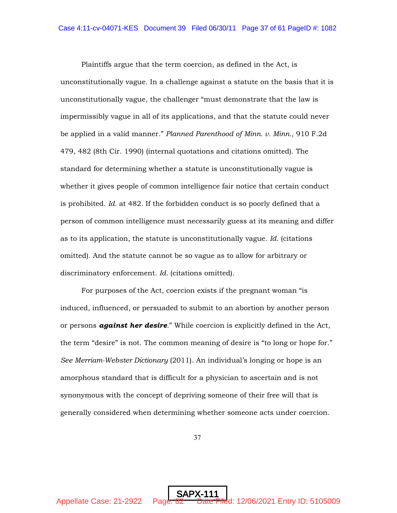Plaintiffs argue that the term coercion, as defined in the Act, is unconstitutionally vague. In a challenge against a statute on the basis that it is unconstitutionally vague, the challenger "must demonstrate that the law is impermissibly vague in all of its applications, and that the statute could never be applied in a valid manner." *Planned Parenthood of Minn. v. Minn.*, 910 F.2d 479, 482 (8th Cir. 1990) (internal quotations and citations omitted). The standard for determining whether a statute is unconstitutionally vague is whether it gives people of common intelligence fair notice that certain conduct is prohibited. *Id.* at 482. If the forbidden conduct is so poorly defined that a person of common intelligence must necessarily guess at its meaning and differ as to its application, the statute is unconstitutionally vague. *Id.* (citations omitted). And the statute cannot be so vague as to allow for arbitrary or discriminatory enforcement. *Id.* (citations omitted).

For purposes of the Act, coercion exists if the pregnant woman "is induced, influenced, or persuaded to submit to an abortion by another person or persons *against her desire*." While coercion is explicitly defined in the Act, the term "desire" is not. The common meaning of desire is "to long or hope for." *See Merriam-Webster Dictionary* (2011). An individual's longing or hope is an amorphous standard that is difficult for a physician to ascertain and is not synonymous with the concept of depriving someone of their free will that is generally considered when determining whether someone acts under coercion.

37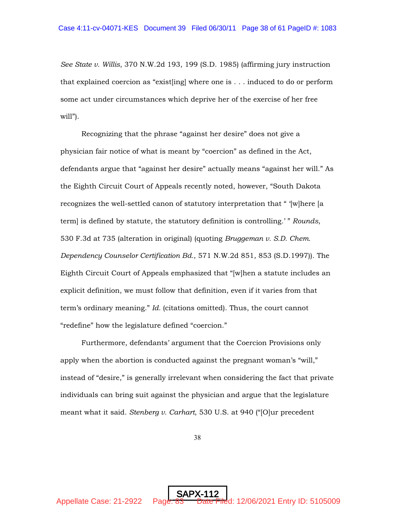*See State v. Willis*, 370 N.W.2d 193, 199 (S.D. 1985) (affirming jury instruction that explained coercion as "exist[ing] where one is . . . induced to do or perform some act under circumstances which deprive her of the exercise of her free will").

Recognizing that the phrase "against her desire" does not give a physician fair notice of what is meant by "coercion" as defined in the Act, defendants argue that "against her desire" actually means "against her will." As the Eighth Circuit Court of Appeals recently noted, however, "South Dakota recognizes the well-settled canon of statutory interpretation that " '[w]here [a term] is defined by statute, the statutory definition is controlling.' " *Rounds*, 530 F.3d at 735 (alteration in original) (quoting *Bruggeman v. S.D. Chem. Dependency Counselor Certification Bd.*, 571 N.W.2d 851, 853 (S.D.1997)). The Eighth Circuit Court of Appeals emphasized that "[w]hen a statute includes an explicit definition, we must follow that definition, even if it varies from that term's ordinary meaning." *Id.* (citations omitted). Thus, the court cannot "redefine" how the legislature defined "coercion."

Furthermore, defendants' argument that the Coercion Provisions only apply when the abortion is conducted against the pregnant woman's "will," instead of "desire," is generally irrelevant when considering the fact that private individuals can bring suit against the physician and argue that the legislature meant what it said. *Stenberg v. Carhart*, 530 U.S. at 940 ("[O]ur precedent

38

SAPX-112

Appellate Case: 21-2922 Page: 83 Date Filed: 12/06/2021 Entry ID: 5105009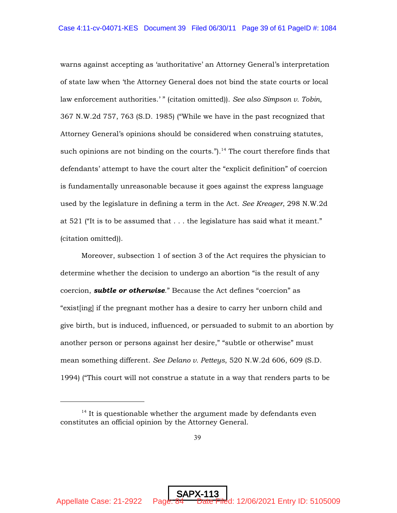warns against accepting as 'authoritative' an Attorney General's interpretation of state law when 'the Attorney General does not bind the state courts or local law enforcement authorities.' " (citation omitted)). *See also Simpson v. Tobin*, 367 N.W.2d 757, 763 (S.D. 1985) ("While we have in the past recognized that Attorney General's opinions should be considered when construing statutes, such opinions are not binding on the courts.").<sup>14</sup> The court therefore finds that defendants' attempt to have the court alter the "explicit definition" of coercion is fundamentally unreasonable because it goes against the express language used by the legislature in defining a term in the Act. *See Kreager*, 298 N.W.2d at 521 ("It is to be assumed that . . . the legislature has said what it meant." (citation omitted)).

Moreover, subsection 1 of section 3 of the Act requires the physician to determine whether the decision to undergo an abortion "is the result of any coercion, *subtle or otherwise*." Because the Act defines "coercion" as "exist[ing] if the pregnant mother has a desire to carry her unborn child and give birth, but is induced, influenced, or persuaded to submit to an abortion by another person or persons against her desire," "subtle or otherwise" must mean something different. *See Delano v. Petteys*, 520 N.W.2d 606, 609 (S.D. 1994) ("This court will not construe a statute in a way that renders parts to be

 $14$  It is questionable whether the argument made by defendants even constitutes an official opinion by the Attorney General.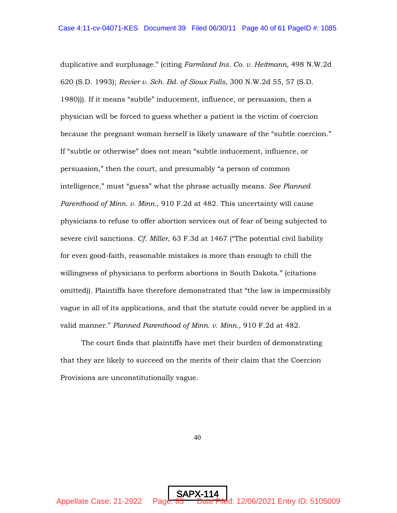duplicative and surplusage." (citing *Farmland Ins. Co. v. Heitmann*, 498 N.W.2d 620 (S.D. 1993); *Revier v. Sch. Bd. of Sioux Falls*, 300 N.W.2d 55, 57 (S.D. 1980))). If it means "subtle" inducement, influence, or persuasion, then a physician will be forced to guess whether a patient is the victim of coercion because the pregnant woman herself is likely unaware of the "subtle coercion." If "subtle or otherwise" does not mean "subtle inducement, influence, or persuasion," then the court, and presumably "a person of common intelligence," must "guess" what the phrase actually means. *See Planned Parenthood of Minn. v. Minn.*, 910 F.2d at 482. This uncertainty will cause physicians to refuse to offer abortion services out of fear of being subjected to severe civil sanctions. *Cf. Miller*, 63 F.3d at 1467 ("The potential civil liability for even good-faith, reasonable mistakes is more than enough to chill the willingness of physicians to perform abortions in South Dakota." (citations omitted)). Plaintiffs have therefore demonstrated that "the law is impermissibly vague in all of its applications, and that the statute could never be applied in a valid manner." *Planned Parenthood of Minn. v. Minn.*, 910 F.2d at 482.

The court finds that plaintiffs have met their burden of demonstrating that they are likely to succeed on the merits of their claim that the Coercion Provisions are unconstitutionally vague.

40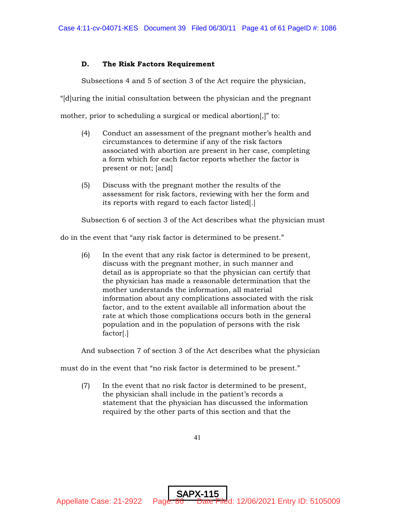# D. The Risk Factors Requirement

Subsections 4 and 5 of section 3 of the Act require the physician,

"[d]uring the initial consultation between the physician and the pregnant

mother, prior to scheduling a surgical or medical abortion[,]" to:

- (4) Conduct an assessment of the pregnant mother's health and circumstances to determine if any of the risk factors associated with abortion are present in her case, completing a form which for each factor reports whether the factor is present or not; [and]
- (5) Discuss with the pregnant mother the results of the assessment for risk factors, reviewing with her the form and its reports with regard to each factor listed[.]

Subsection 6 of section 3 of the Act describes what the physician must

do in the event that "any risk factor is determined to be present."

(6) In the event that any risk factor is determined to be present, discuss with the pregnant mother, in such manner and detail as is appropriate so that the physician can certify that the physician has made a reasonable determination that the mother understands the information, all material information about any complications associated with the risk factor, and to the extent available all information about the rate at which those complications occurs both in the general population and in the population of persons with the risk factor[.]

And subsection 7 of section 3 of the Act describes what the physician

must do in the event that "no risk factor is determined to be present."

(7) In the event that no risk factor is determined to be present, the physician shall include in the patient's records a statement that the physician has discussed the information required by the other parts of this section and that the

41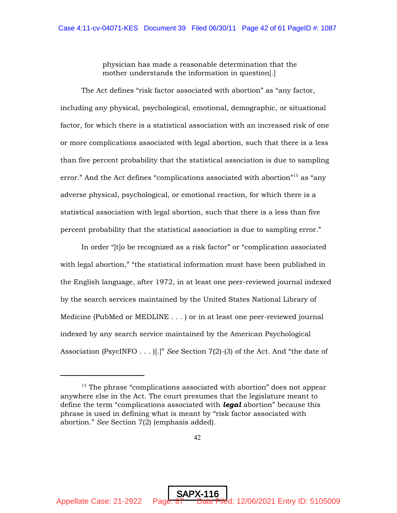physician has made a reasonable determination that the mother understands the information in question[.]

The Act defines "risk factor associated with abortion" as "any factor, including any physical, psychological, emotional, demographic, or situational factor, for which there is a statistical association with an increased risk of one or more complications associated with legal abortion, such that there is a less than five percent probability that the statistical association is due to sampling error." And the Act defines "complications associated with abortion"<sup>15</sup> as "any adverse physical, psychological, or emotional reaction, for which there is a statistical association with legal abortion, such that there is a less than five percent probability that the statistical association is due to sampling error."

In order "[t]o be recognized as a risk factor" or "complication associated with legal abortion," "the statistical information must have been published in the English language, after 1972, in at least one peer-reviewed journal indexed by the search services maintained by the United States National Library of Medicine (PubMed or MEDLINE . . . ) or in at least one peer-reviewed journal indexed by any search service maintained by the American Psychological Association (PsycINFO . . . )[.]" *See* Section 7(2)-(3) of the Act. And "the date of

 $15$  The phrase "complications associated with abortion" does not appear anywhere else in the Act. The court presumes that the legislature meant to define the term "complications associated with *legal* abortion" because this phrase is used in defining what is meant by "risk factor associated with abortion." *See* Section 7(2) (emphasis added).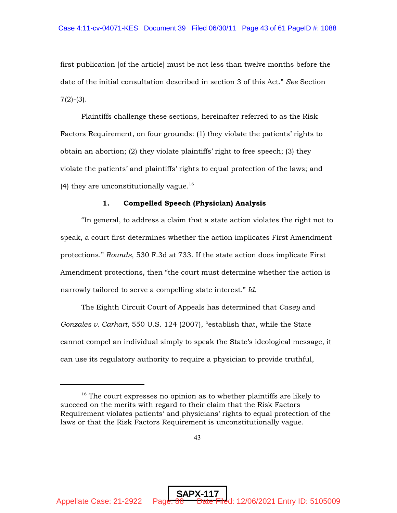first publication [of the article] must be not less than twelve months before the date of the initial consultation described in section 3 of this Act." *See* Section  $7(2)-(3)$ .

Plaintiffs challenge these sections, hereinafter referred to as the Risk Factors Requirement, on four grounds: (1) they violate the patients' rights to obtain an abortion; (2) they violate plaintiffs' right to free speech; (3) they violate the patients' and plaintiffs' rights to equal protection of the laws; and (4) they are unconstitutionally vague.<sup>16</sup>

# 1. Compelled Speech (Physician) Analysis

"In general, to address a claim that a state action violates the right not to speak, a court first determines whether the action implicates First Amendment protections." *Rounds*, 530 F.3d at 733. If the state action does implicate First Amendment protections, then "the court must determine whether the action is narrowly tailored to serve a compelling state interest." *Id.*

The Eighth Circuit Court of Appeals has determined that *Casey* and *Gonzales v. Carhart*, 550 U.S. 124 (2007), "establish that, while the State cannot compel an individual simply to speak the State's ideological message, it can use its regulatory authority to require a physician to provide truthful,

 $16$  The court expresses no opinion as to whether plaintiffs are likely to succeed on the merits with regard to their claim that the Risk Factors Requirement violates patients' and physicians' rights to equal protection of the laws or that the Risk Factors Requirement is unconstitutionally vague.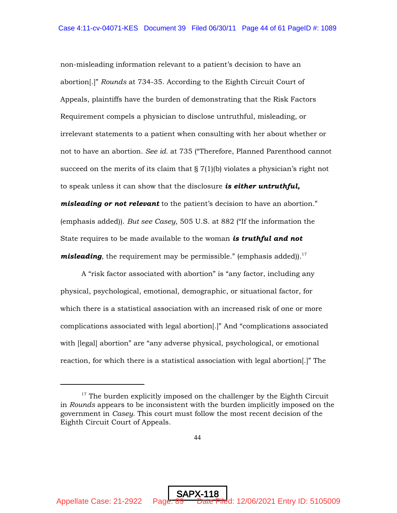non-misleading information relevant to a patient's decision to have an abortion[.]" *Rounds* at 734-35. According to the Eighth Circuit Court of Appeals, plaintiffs have the burden of demonstrating that the Risk Factors Requirement compels a physician to disclose untruthful, misleading, or irrelevant statements to a patient when consulting with her about whether or not to have an abortion. *See id.* at 735 ("Therefore, Planned Parenthood cannot succeed on the merits of its claim that  $\S 7(1)(b)$  violates a physician's right not to speak unless it can show that the disclosure *is either untruthful, misleading or not relevant* to the patient's decision to have an abortion." (emphasis added)). *But see Casey*, 505 U.S. at 882 ("If the information the State requires to be made available to the woman *is truthful and not misleading*, the requirement may be permissible." (emphasis added)).<sup>17</sup>

A "risk factor associated with abortion" is "any factor, including any physical, psychological, emotional, demographic, or situational factor, for which there is a statistical association with an increased risk of one or more complications associated with legal abortion[.]" And "complications associated with [legal] abortion" are "any adverse physical, psychological, or emotional reaction, for which there is a statistical association with legal abortion[.]" The

 $17$  The burden explicitly imposed on the challenger by the Eighth Circuit in *Rounds* appears to be inconsistent with the burden implicitly imposed on the government in *Casey*. This court must follow the most recent decision of the Eighth Circuit Court of Appeals.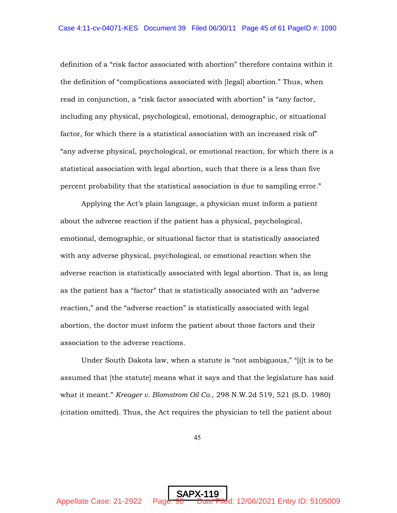definition of a "risk factor associated with abortion" therefore contains within it the definition of "complications associated with [legal] abortion." Thus, when read in conjunction, a "risk factor associated with abortion" is "any factor, including any physical, psychological, emotional, demographic, or situational factor, for which there is a statistical association with an increased risk of" "any adverse physical, psychological, or emotional reaction, for which there is a statistical association with legal abortion, such that there is a less than five percent probability that the statistical association is due to sampling error."

Applying the Act's plain language, a physician must inform a patient about the adverse reaction if the patient has a physical, psychological, emotional, demographic, or situational factor that is statistically associated with any adverse physical, psychological, or emotional reaction when the adverse reaction is statistically associated with legal abortion. That is, as long as the patient has a "factor" that is statistically associated with an "adverse reaction," and the "adverse reaction" is statistically associated with legal abortion, the doctor must inform the patient about those factors and their association to the adverse reactions.

Under South Dakota law, when a statute is "not ambiguous," "[i]t is to be assumed that [the statute] means what it says and that the legislature has said what it meant." *Kreager v. Blomstrom Oil Co.*, 298 N.W.2d 519, 521 (S.D. 1980) (citation omitted). Thus, the Act requires the physician to tell the patient about

45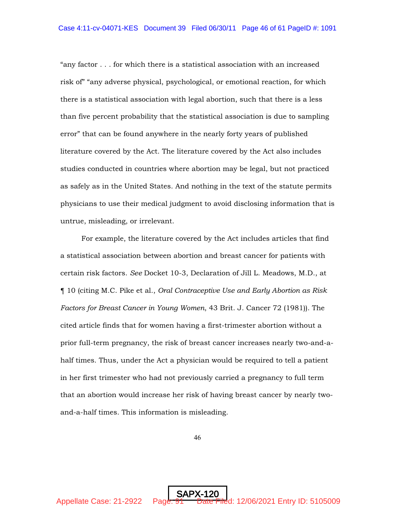"any factor . . . for which there is a statistical association with an increased risk of" "any adverse physical, psychological, or emotional reaction, for which there is a statistical association with legal abortion, such that there is a less than five percent probability that the statistical association is due to sampling error" that can be found anywhere in the nearly forty years of published literature covered by the Act. The literature covered by the Act also includes studies conducted in countries where abortion may be legal, but not practiced as safely as in the United States. And nothing in the text of the statute permits physicians to use their medical judgment to avoid disclosing information that is untrue, misleading, or irrelevant.

For example, the literature covered by the Act includes articles that find a statistical association between abortion and breast cancer for patients with certain risk factors. *See* Docket 10-3, Declaration of Jill L. Meadows, M.D., at ¶ 10 (citing M.C. Pike et al., *Oral Contraceptive Use and Early Abortion as Risk Factors for Breast Cancer in Young Women*, 43 Brit. J. Cancer 72 (1981)). The cited article finds that for women having a first-trimester abortion without a prior full-term pregnancy, the risk of breast cancer increases nearly two-and-ahalf times. Thus, under the Act a physician would be required to tell a patient in her first trimester who had not previously carried a pregnancy to full term that an abortion would increase her risk of having breast cancer by nearly twoand-a-half times. This information is misleading.

46

SAPX-120

Appellate Case: 21-2922 Page: 91 Date Filed: 12/06/2021 Entry ID: 5105009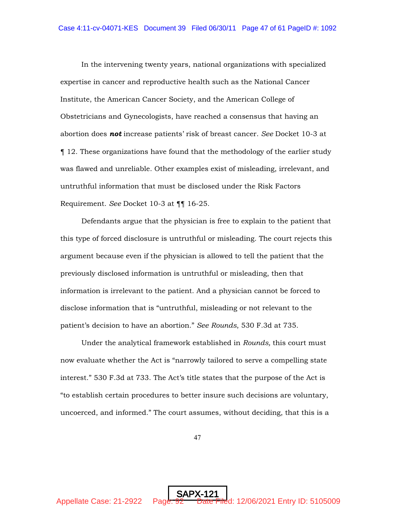In the intervening twenty years, national organizations with specialized expertise in cancer and reproductive health such as the National Cancer Institute, the American Cancer Society, and the American College of Obstetricians and Gynecologists, have reached a consensus that having an abortion does *not* increase patients' risk of breast cancer. *See* Docket 10-3 at ¶ 12. These organizations have found that the methodology of the earlier study was flawed and unreliable. Other examples exist of misleading, irrelevant, and untruthful information that must be disclosed under the Risk Factors Requirement. *See* Docket 10-3 at ¶¶ 16-25.

Defendants argue that the physician is free to explain to the patient that this type of forced disclosure is untruthful or misleading. The court rejects this argument because even if the physician is allowed to tell the patient that the previously disclosed information is untruthful or misleading, then that information is irrelevant to the patient. And a physician cannot be forced to disclose information that is "untruthful, misleading or not relevant to the patient's decision to have an abortion." *See Rounds*, 530 F.3d at 735.

Under the analytical framework established in *Rounds,* this court must now evaluate whether the Act is "narrowly tailored to serve a compelling state interest." 530 F.3d at 733. The Act's title states that the purpose of the Act is "to establish certain procedures to better insure such decisions are voluntary, uncoerced, and informed." The court assumes, without deciding, that this is a

47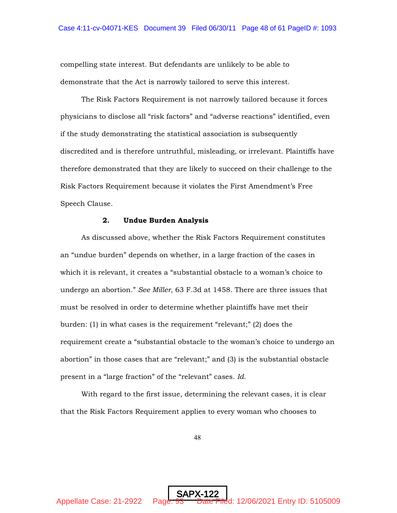compelling state interest. But defendants are unlikely to be able to demonstrate that the Act is narrowly tailored to serve this interest.

The Risk Factors Requirement is not narrowly tailored because it forces physicians to disclose all "risk factors" and "adverse reactions" identified, even if the study demonstrating the statistical association is subsequently discredited and is therefore untruthful, misleading, or irrelevant. Plaintiffs have therefore demonstrated that they are likely to succeed on their challenge to the Risk Factors Requirement because it violates the First Amendment's Free Speech Clause.

# 2. Undue Burden Analysis

As discussed above, whether the Risk Factors Requirement constitutes an "undue burden" depends on whether, in a large fraction of the cases in which it is relevant, it creates a "substantial obstacle to a woman's choice to undergo an abortion." *See Miller*, 63 F.3d at 1458. There are three issues that must be resolved in order to determine whether plaintiffs have met their burden: (1) in what cases is the requirement "relevant;" (2) does the requirement create a "substantial obstacle to the woman's choice to undergo an abortion" in those cases that are "relevant;" and (3) is the substantial obstacle present in a "large fraction" of the "relevant" cases. *Id.* 

With regard to the first issue, determining the relevant cases, it is clear that the Risk Factors Requirement applies to every woman who chooses to

48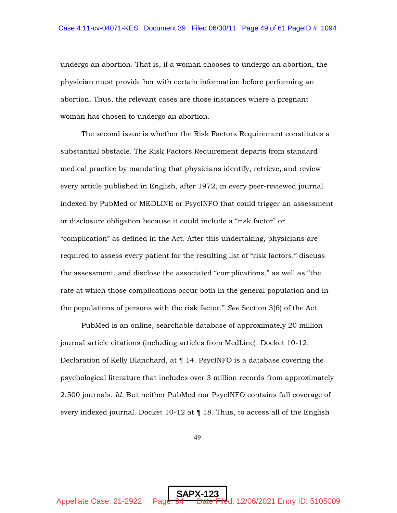undergo an abortion. That is, if a woman chooses to undergo an abortion, the physician must provide her with certain information before performing an abortion. Thus, the relevant cases are those instances where a pregnant woman has chosen to undergo an abortion.

The second issue is whether the Risk Factors Requirement constitutes a substantial obstacle. The Risk Factors Requirement departs from standard medical practice by mandating that physicians identify, retrieve, and review every article published in English, after 1972, in every peer-reviewed journal indexed by PubMed or MEDLINE or PsycINFO that could trigger an assessment or disclosure obligation because it could include a "risk factor" or "complication" as defined in the Act. After this undertaking, physicians are required to assess every patient for the resulting list of "risk factors," discuss the assessment, and disclose the associated "complications," as well as "the rate at which those complications occur both in the general population and in the populations of persons with the risk factor." *See* Section 3(6) of the Act.

PubMed is an online, searchable database of approximately 20 million journal article citations (including articles from MedLine). Docket 10-12, Declaration of Kelly Blanchard, at ¶ 14. PsycINFO is a database covering the psychological literature that includes over 3 million records from approximately 2,500 journals. *Id.* But neither PubMed nor PsycINFO contains full coverage of every indexed journal. Docket  $10-12$  at  $\P$  18. Thus, to access all of the English

49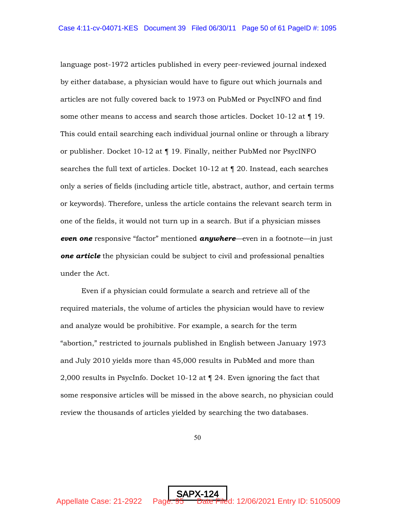language post-1972 articles published in every peer-reviewed journal indexed by either database, a physician would have to figure out which journals and articles are not fully covered back to 1973 on PubMed or PsycINFO and find some other means to access and search those articles. Docket  $10-12$  at  $\P$  19. This could entail searching each individual journal online or through a library or publisher. Docket 10-12 at ¶ 19. Finally, neither PubMed nor PsycINFO searches the full text of articles. Docket 10-12 at ¶ 20. Instead, each searches only a series of fields (including article title, abstract, author, and certain terms or keywords). Therefore, unless the article contains the relevant search term in one of the fields, it would not turn up in a search. But if a physician misses *even one* responsive "factor" mentioned *anywhere*—even in a footnote—in just *one article* the physician could be subject to civil and professional penalties under the Act.

Even if a physician could formulate a search and retrieve all of the required materials, the volume of articles the physician would have to review and analyze would be prohibitive. For example, a search for the term "abortion," restricted to journals published in English between January 1973 and July 2010 yields more than 45,000 results in PubMed and more than 2,000 results in PsycInfo. Docket 10-12 at ¶ 24. Even ignoring the fact that some responsive articles will be missed in the above search, no physician could review the thousands of articles yielded by searching the two databases.

50

SAPX-124

Appellate Case: 21-2922 Page: 95 Date Filed: 12/06/2021 Entry ID: 5105009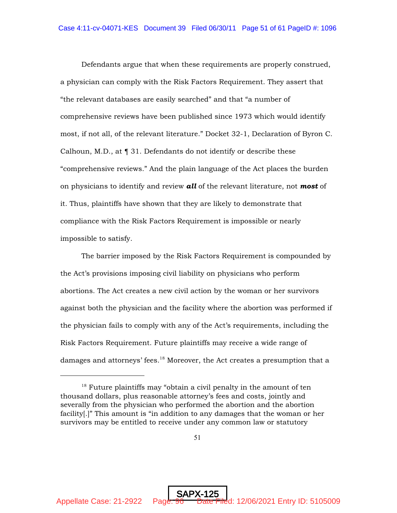Defendants argue that when these requirements are properly construed, a physician can comply with the Risk Factors Requirement. They assert that "the relevant databases are easily searched" and that "a number of comprehensive reviews have been published since 1973 which would identify most, if not all, of the relevant literature." Docket 32-1, Declaration of Byron C. Calhoun, M.D., at ¶ 31. Defendants do not identify or describe these "comprehensive reviews." And the plain language of the Act places the burden on physicians to identify and review *all* of the relevant literature, not *most* of it. Thus, plaintiffs have shown that they are likely to demonstrate that compliance with the Risk Factors Requirement is impossible or nearly impossible to satisfy.

The barrier imposed by the Risk Factors Requirement is compounded by the Act's provisions imposing civil liability on physicians who perform abortions. The Act creates a new civil action by the woman or her survivors against both the physician and the facility where the abortion was performed if the physician fails to comply with any of the Act's requirements, including the Risk Factors Requirement. Future plaintiffs may receive a wide range of damages and attorneys' fees.<sup>18</sup> Moreover, the Act creates a presumption that a

 $18$  Future plaintiffs may "obtain a civil penalty in the amount of ten thousand dollars, plus reasonable attorney's fees and costs, jointly and severally from the physician who performed the abortion and the abortion facility[.]" This amount is "in addition to any damages that the woman or her survivors may be entitled to receive under any common law or statutory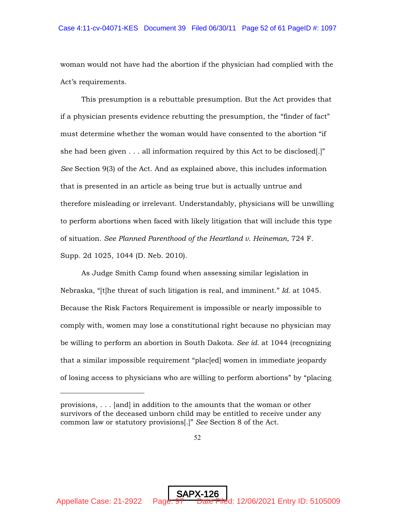woman would not have had the abortion if the physician had complied with the Act's requirements.

This presumption is a rebuttable presumption. But the Act provides that if a physician presents evidence rebutting the presumption, the "finder of fact" must determine whether the woman would have consented to the abortion "if she had been given  $\dots$  all information required by this Act to be disclosed.]" *See* Section 9(3) of the Act. And as explained above, this includes information that is presented in an article as being true but is actually untrue and therefore misleading or irrelevant. Understandably, physicians will be unwilling to perform abortions when faced with likely litigation that will include this type of situation. *See Planned Parenthood of the Heartland v. Heineman*, 724 F. Supp. 2d 1025, 1044 (D. Neb. 2010).

As Judge Smith Camp found when assessing similar legislation in Nebraska, "[t]he threat of such litigation is real, and imminent." *Id.* at 1045. Because the Risk Factors Requirement is impossible or nearly impossible to comply with, women may lose a constitutional right because no physician may be willing to perform an abortion in South Dakota. *See id.* at 1044 (recognizing that a similar impossible requirement "plac[ed] women in immediate jeopardy of losing access to physicians who are willing to perform abortions" by "placing

provisions, . . . [and] in addition to the amounts that the woman or other survivors of the deceased unborn child may be entitled to receive under any common law or statutory provisions[.]" *See* Section 8 of the Act.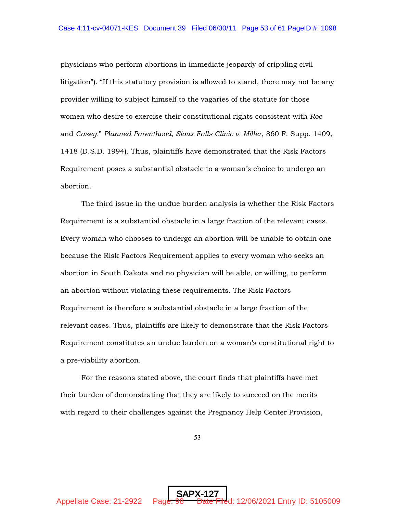physicians who perform abortions in immediate jeopardy of crippling civil litigation"). "If this statutory provision is allowed to stand, there may not be any provider willing to subject himself to the vagaries of the statute for those women who desire to exercise their constitutional rights consistent with *Roe* and *Casey.*" *Planned Parenthood, Sioux Falls Clinic v. Miller*, 860 F. Supp. 1409, 1418 (D.S.D. 1994). Thus, plaintiffs have demonstrated that the Risk Factors Requirement poses a substantial obstacle to a woman's choice to undergo an abortion.

The third issue in the undue burden analysis is whether the Risk Factors Requirement is a substantial obstacle in a large fraction of the relevant cases. Every woman who chooses to undergo an abortion will be unable to obtain one because the Risk Factors Requirement applies to every woman who seeks an abortion in South Dakota and no physician will be able, or willing, to perform an abortion without violating these requirements. The Risk Factors Requirement is therefore a substantial obstacle in a large fraction of the relevant cases. Thus, plaintiffs are likely to demonstrate that the Risk Factors Requirement constitutes an undue burden on a woman's constitutional right to a pre-viability abortion.

For the reasons stated above, the court finds that plaintiffs have met their burden of demonstrating that they are likely to succeed on the merits with regard to their challenges against the Pregnancy Help Center Provision,

53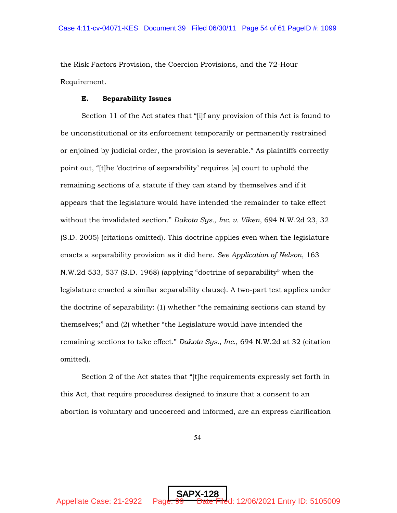the Risk Factors Provision, the Coercion Provisions, and the 72-Hour Requirement.

# E. Separability Issues

Section 11 of the Act states that "[i]f any provision of this Act is found to be unconstitutional or its enforcement temporarily or permanently restrained or enjoined by judicial order, the provision is severable." As plaintiffs correctly point out, "[t]he 'doctrine of separability' requires [a] court to uphold the remaining sections of a statute if they can stand by themselves and if it appears that the legislature would have intended the remainder to take effect without the invalidated section." *Dakota Sys., Inc. v. Viken*, 694 N.W.2d 23, 32 (S.D. 2005) (citations omitted). This doctrine applies even when the legislature enacts a separability provision as it did here. *See Application of Nelson*, 163 N.W.2d 533, 537 (S.D. 1968) (applying "doctrine of separability" when the legislature enacted a similar separability clause). A two-part test applies under the doctrine of separability: (1) whether "the remaining sections can stand by themselves;" and (2) whether "the Legislature would have intended the remaining sections to take effect." *Dakota Sys., Inc.*, 694 N.W.2d at 32 (citation omitted).

Section 2 of the Act states that "[t]he requirements expressly set forth in this Act, that require procedures designed to insure that a consent to an abortion is voluntary and uncoerced and informed, are an express clarification

54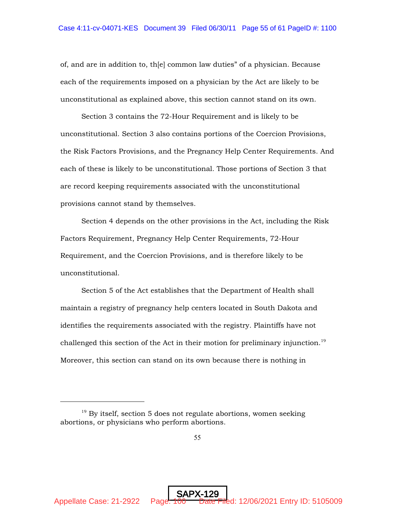of, and are in addition to, th[e] common law duties" of a physician. Because each of the requirements imposed on a physician by the Act are likely to be unconstitutional as explained above, this section cannot stand on its own.

Section 3 contains the 72-Hour Requirement and is likely to be unconstitutional. Section 3 also contains portions of the Coercion Provisions, the Risk Factors Provisions, and the Pregnancy Help Center Requirements. And each of these is likely to be unconstitutional. Those portions of Section 3 that are record keeping requirements associated with the unconstitutional provisions cannot stand by themselves.

Section 4 depends on the other provisions in the Act, including the Risk Factors Requirement, Pregnancy Help Center Requirements, 72-Hour Requirement, and the Coercion Provisions, and is therefore likely to be unconstitutional.

Section 5 of the Act establishes that the Department of Health shall maintain a registry of pregnancy help centers located in South Dakota and identifies the requirements associated with the registry. Plaintiffs have not challenged this section of the Act in their motion for preliminary injunction.<sup>19</sup> Moreover, this section can stand on its own because there is nothing in

 $19$  By itself, section 5 does not regulate abortions, women seeking abortions, or physicians who perform abortions.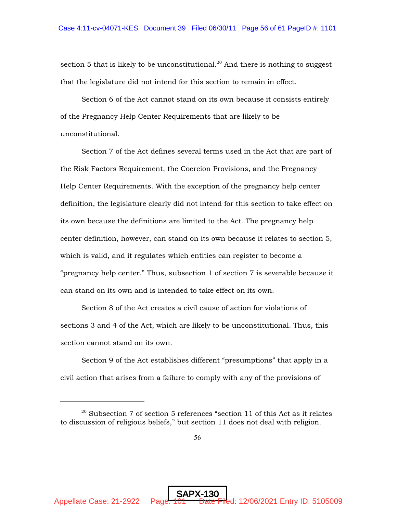section 5 that is likely to be unconstitutional.<sup>20</sup> And there is nothing to suggest that the legislature did not intend for this section to remain in effect.

Section 6 of the Act cannot stand on its own because it consists entirely of the Pregnancy Help Center Requirements that are likely to be unconstitutional.

Section 7 of the Act defines several terms used in the Act that are part of the Risk Factors Requirement, the Coercion Provisions, and the Pregnancy Help Center Requirements. With the exception of the pregnancy help center definition, the legislature clearly did not intend for this section to take effect on its own because the definitions are limited to the Act. The pregnancy help center definition, however, can stand on its own because it relates to section 5, which is valid, and it regulates which entities can register to become a "pregnancy help center." Thus, subsection 1 of section 7 is severable because it can stand on its own and is intended to take effect on its own.

Section 8 of the Act creates a civil cause of action for violations of sections 3 and 4 of the Act, which are likely to be unconstitutional. Thus, this section cannot stand on its own.

Section 9 of the Act establishes different "presumptions" that apply in a civil action that arises from a failure to comply with any of the provisions of

 $20$  Subsection 7 of section 5 references "section 11 of this Act as it relates to discussion of religious beliefs," but section 11 does not deal with religion.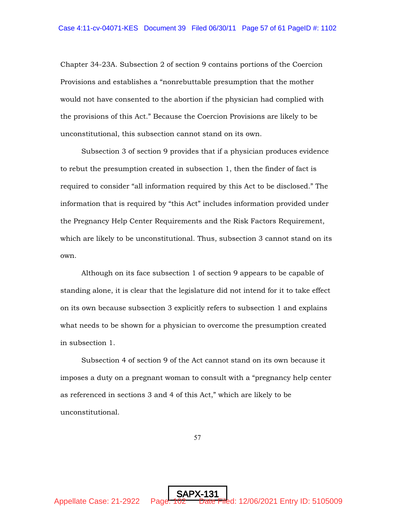Chapter 34-23A. Subsection 2 of section 9 contains portions of the Coercion Provisions and establishes a "nonrebuttable presumption that the mother would not have consented to the abortion if the physician had complied with the provisions of this Act." Because the Coercion Provisions are likely to be unconstitutional, this subsection cannot stand on its own.

Subsection 3 of section 9 provides that if a physician produces evidence to rebut the presumption created in subsection 1, then the finder of fact is required to consider "all information required by this Act to be disclosed." The information that is required by "this Act" includes information provided under the Pregnancy Help Center Requirements and the Risk Factors Requirement, which are likely to be unconstitutional. Thus, subsection 3 cannot stand on its own.

Although on its face subsection 1 of section 9 appears to be capable of standing alone, it is clear that the legislature did not intend for it to take effect on its own because subsection 3 explicitly refers to subsection 1 and explains what needs to be shown for a physician to overcome the presumption created in subsection 1.

Subsection 4 of section 9 of the Act cannot stand on its own because it imposes a duty on a pregnant woman to consult with a "pregnancy help center as referenced in sections 3 and 4 of this Act," which are likely to be unconstitutional.

57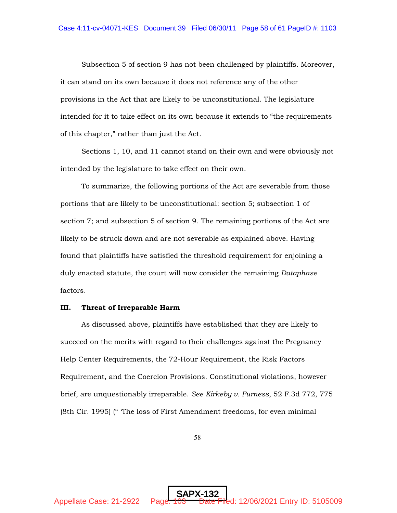Subsection 5 of section 9 has not been challenged by plaintiffs. Moreover, it can stand on its own because it does not reference any of the other provisions in the Act that are likely to be unconstitutional. The legislature intended for it to take effect on its own because it extends to "the requirements of this chapter," rather than just the Act.

Sections 1, 10, and 11 cannot stand on their own and were obviously not intended by the legislature to take effect on their own.

To summarize, the following portions of the Act are severable from those portions that are likely to be unconstitutional: section 5; subsection 1 of section 7; and subsection 5 of section 9. The remaining portions of the Act are likely to be struck down and are not severable as explained above. Having found that plaintiffs have satisfied the threshold requirement for enjoining a duly enacted statute, the court will now consider the remaining *Dataphase* factors.

#### III. Threat of Irreparable Harm

As discussed above, plaintiffs have established that they are likely to succeed on the merits with regard to their challenges against the Pregnancy Help Center Requirements, the 72-Hour Requirement, the Risk Factors Requirement, and the Coercion Provisions. Constitutional violations, however brief, are unquestionably irreparable. *See Kirkeby v. Furness*, 52 F.3d 772, 775 (8th Cir. 1995) (" 'The loss of First Amendment freedoms, for even minimal

58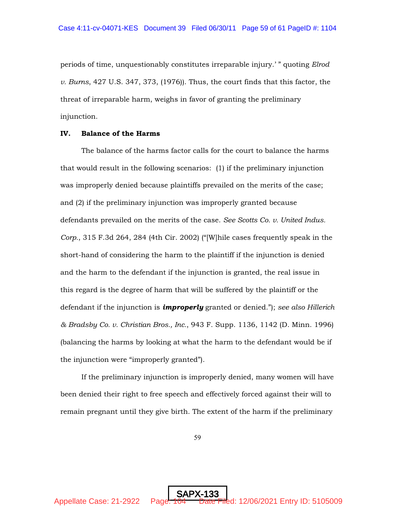periods of time, unquestionably constitutes irreparable injury.' " quoting *Elrod v. Burns*, 427 U.S. 347, 373, (1976)). Thus, the court finds that this factor, the threat of irreparable harm, weighs in favor of granting the preliminary injunction.

### IV. Balance of the Harms

The balance of the harms factor calls for the court to balance the harms that would result in the following scenarios: (1) if the preliminary injunction was improperly denied because plaintiffs prevailed on the merits of the case; and (2) if the preliminary injunction was improperly granted because defendants prevailed on the merits of the case. *See Scotts Co. v. United Indus. Corp.*, 315 F.3d 264, 284 (4th Cir. 2002) ("[W]hile cases frequently speak in the short-hand of considering the harm to the plaintiff if the injunction is denied and the harm to the defendant if the injunction is granted, the real issue in this regard is the degree of harm that will be suffered by the plaintiff or the defendant if the injunction is *improperly* granted or denied."); *see also Hillerich & Bradsby Co. v. Christian Bros., Inc.*, 943 F. Supp. 1136, 1142 (D. Minn. 1996) (balancing the harms by looking at what the harm to the defendant would be if the injunction were "improperly granted").

If the preliminary injunction is improperly denied, many women will have been denied their right to free speech and effectively forced against their will to remain pregnant until they give birth. The extent of the harm if the preliminary

59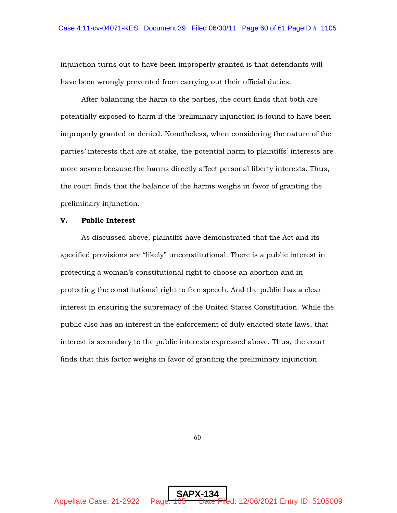injunction turns out to have been improperly granted is that defendants will have been wrongly prevented from carrying out their official duties.

After balancing the harm to the parties, the court finds that both are potentially exposed to harm if the preliminary injunction is found to have been improperly granted or denied. Nonetheless, when considering the nature of the parties' interests that are at stake, the potential harm to plaintiffs' interests are more severe because the harms directly affect personal liberty interests. Thus, the court finds that the balance of the harms weighs in favor of granting the preliminary injunction.

## V. Public Interest

As discussed above, plaintiffs have demonstrated that the Act and its specified provisions are "likely" unconstitutional. There is a public interest in protecting a woman's constitutional right to choose an abortion and in protecting the constitutional right to free speech. And the public has a clear interest in ensuring the supremacy of the United States Constitution. While the public also has an interest in the enforcement of duly enacted state laws, that interest is secondary to the public interests expressed above. Thus, the court finds that this factor weighs in favor of granting the preliminary injunction.

60